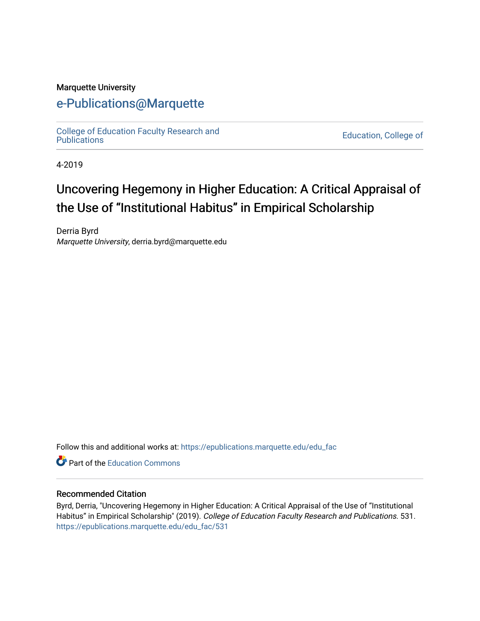#### Marquette University

# [e-Publications@Marquette](https://epublications.marquette.edu/)

College of Education Faculty Research and<br>Publications

**Education, College of** 

4-2019

# Uncovering Hegemony in Higher Education: A Critical Appraisal of the Use of "Institutional Habitus" in Empirical Scholarship

Derria Byrd Marquette University, derria.byrd@marquette.edu

Follow this and additional works at: [https://epublications.marquette.edu/edu\\_fac](https://epublications.marquette.edu/edu_fac?utm_source=epublications.marquette.edu%2Fedu_fac%2F531&utm_medium=PDF&utm_campaign=PDFCoverPages) 

**C** Part of the [Education Commons](http://network.bepress.com/hgg/discipline/784?utm_source=epublications.marquette.edu%2Fedu_fac%2F531&utm_medium=PDF&utm_campaign=PDFCoverPages)

#### Recommended Citation

Byrd, Derria, "Uncovering Hegemony in Higher Education: A Critical Appraisal of the Use of "Institutional Habitus" in Empirical Scholarship" (2019). College of Education Faculty Research and Publications. 531. [https://epublications.marquette.edu/edu\\_fac/531](https://epublications.marquette.edu/edu_fac/531?utm_source=epublications.marquette.edu%2Fedu_fac%2F531&utm_medium=PDF&utm_campaign=PDFCoverPages)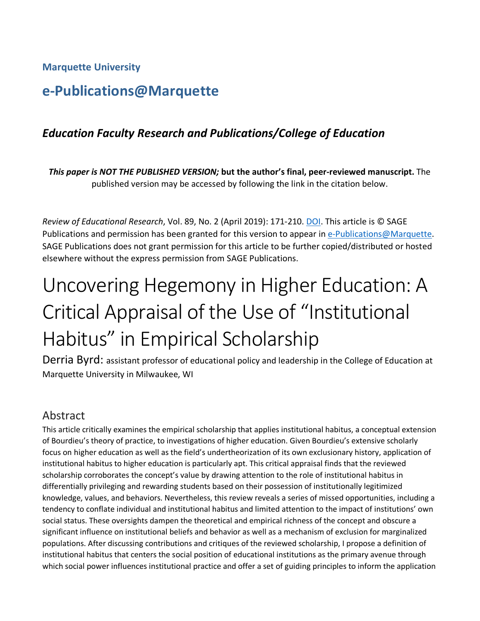**Marquette University**

# **e-Publications@Marquette**

# *Education Faculty Research and Publications/College of Education*

*This paper is NOT THE PUBLISHED VERSION;* **but the author's final, peer-reviewed manuscript.** The published version may be accessed by following the link in the citation below.

*Review of Educational Research*, Vol. 89, No. 2 (April 2019): 171-210. [DOI.](https://journals.sagepub.com/doi/10.3102/0034654318812915) This article is © SAGE Publications and permission has been granted for this version to appear in [e-Publications@Marquette.](http://epublications.marquette.edu/) SAGE Publications does not grant permission for this article to be further copied/distributed or hosted elsewhere without the express permission from SAGE Publications.

# Uncovering Hegemony in Higher Education: A Critical Appraisal of the Use of "Institutional Habitus" in Empirical Scholarship

Derria Byrd: assistant professor of educational policy and leadership in the College of Education at Marquette University in Milwaukee, WI

# Abstract

This article critically examines the empirical scholarship that applies institutional habitus, a conceptual extension of Bourdieu's theory of practice, to investigations of higher education. Given Bourdieu's extensive scholarly focus on higher education as well as the field's undertheorization of its own exclusionary history, application of institutional habitus to higher education is particularly apt. This critical appraisal finds that the reviewed scholarship corroborates the concept's value by drawing attention to the role of institutional habitus in differentially privileging and rewarding students based on their possession of institutionally legitimized knowledge, values, and behaviors. Nevertheless, this review reveals a series of missed opportunities, including a tendency to conflate individual and institutional habitus and limited attention to the impact of institutions' own social status. These oversights dampen the theoretical and empirical richness of the concept and obscure a significant influence on institutional beliefs and behavior as well as a mechanism of exclusion for marginalized populations. After discussing contributions and critiques of the reviewed scholarship, I propose a definition of institutional habitus that centers the social position of educational institutions as the primary avenue through which social power influences institutional practice and offer a set of guiding principles to inform the application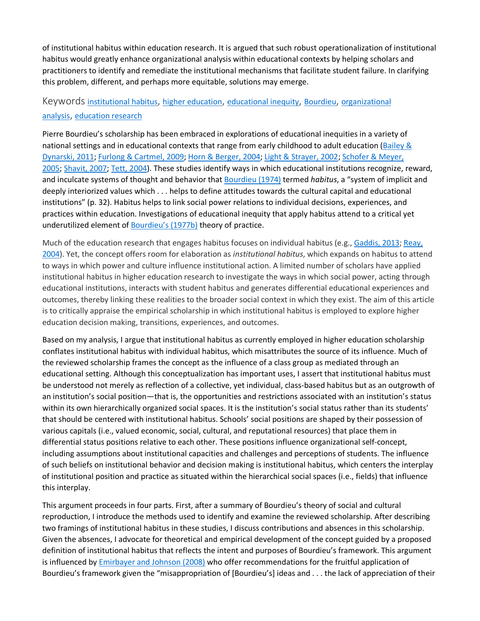of institutional habitus within education research. It is argued that such robust operationalization of institutional habitus would greatly enhance organizational analysis within educational contexts by helping scholars and practitioners to identify and remediate the institutional mechanisms that facilitate student failure. In clarifying this problem, different, and perhaps more equitable, solutions may emerge.

## Keywords [institutional habitus,](https://0-journals-sagepub-com.libus.csd.mu.edu/keyword/Institutional+Habitus) [higher education,](https://0-journals-sagepub-com.libus.csd.mu.edu/keyword/Higher+Education) [educational inequity,](https://0-journals-sagepub-com.libus.csd.mu.edu/keyword/Educational+Inequity) [Bourdieu,](https://0-journals-sagepub-com.libus.csd.mu.edu/keyword/Bourdieu) [organizational](https://0-journals-sagepub-com.libus.csd.mu.edu/keyword/Organizational+Analysis)  [analysis,](https://0-journals-sagepub-com.libus.csd.mu.edu/keyword/Organizational+Analysis) [education research](https://0-journals-sagepub-com.libus.csd.mu.edu/keyword/Education+Research)

Pierre Bourdieu's scholarship has been embraced in explorations of educational inequities in a variety of national settings and in educational contexts that range from early childhood to adult education [\(Bailey &](https://0-journals-sagepub-com.libus.csd.mu.edu/doi/full/10.3102/0034654318812915)  [Dynarski, 2011;](https://0-journals-sagepub-com.libus.csd.mu.edu/doi/full/10.3102/0034654318812915) [Furlong & Cartmel, 2009;](https://0-journals-sagepub-com.libus.csd.mu.edu/doi/full/10.3102/0034654318812915) [Horn & Berger, 2004;](https://0-journals-sagepub-com.libus.csd.mu.edu/doi/full/10.3102/0034654318812915) [Light & Strayer, 2002;](https://0-journals-sagepub-com.libus.csd.mu.edu/doi/full/10.3102/0034654318812915) [Schofer & Meyer,](https://0-journals-sagepub-com.libus.csd.mu.edu/doi/full/10.3102/0034654318812915)  [2005;](https://0-journals-sagepub-com.libus.csd.mu.edu/doi/full/10.3102/0034654318812915) [Shavit, 2007;](https://0-journals-sagepub-com.libus.csd.mu.edu/doi/full/10.3102/0034654318812915) [Tett, 2004\)](https://0-journals-sagepub-com.libus.csd.mu.edu/doi/full/10.3102/0034654318812915). These studies identify ways in which educational institutions recognize, reward, and inculcate systems of thought and behavior that [Bourdieu \(1974\)](https://0-journals-sagepub-com.libus.csd.mu.edu/doi/full/10.3102/0034654318812915) termed *habitus*, a "system of implicit and deeply interiorized values which . . . helps to define attitudes towards the cultural capital and educational institutions" (p. 32). Habitus helps to link social power relations to individual decisions, experiences, and practices within education. Investigations of educational inequity that apply habitus attend to a critical yet underutilized element of [Bourdieu's \(1977b\)](https://0-journals-sagepub-com.libus.csd.mu.edu/doi/full/10.3102/0034654318812915) theory of practice.

Much of the education research that engages habitus focuses on individual habitus (e.g., [Gaddis, 2013;](https://0-journals-sagepub-com.libus.csd.mu.edu/doi/full/10.3102/0034654318812915) [Reay,](https://0-journals-sagepub-com.libus.csd.mu.edu/doi/full/10.3102/0034654318812915)  [2004\)](https://0-journals-sagepub-com.libus.csd.mu.edu/doi/full/10.3102/0034654318812915). Yet, the concept offers room for elaboration as *institutional habitus*, which expands on habitus to attend to ways in which power and culture influence institutional action. A limited number of scholars have applied institutional habitus in higher education research to investigate the ways in which social power, acting through educational institutions, interacts with student habitus and generates differential educational experiences and outcomes, thereby linking these realities to the broader social context in which they exist. The aim of this article is to critically appraise the empirical scholarship in which institutional habitus is employed to explore higher education decision making, transitions, experiences, and outcomes.

Based on my analysis, I argue that institutional habitus as currently employed in higher education scholarship conflates institutional habitus with individual habitus, which misattributes the source of its influence. Much of the reviewed scholarship frames the concept as the influence of a class group as mediated through an educational setting. Although this conceptualization has important uses, I assert that institutional habitus must be understood not merely as reflection of a collective, yet individual, class-based habitus but as an outgrowth of an institution's social position—that is, the opportunities and restrictions associated with an institution's status within its own hierarchically organized social spaces. It is the institution's social status rather than its students' that should be centered with institutional habitus. Schools' social positions are shaped by their possession of various capitals (i.e., valued economic, social, cultural, and reputational resources) that place them in differential status positions relative to each other. These positions influence organizational self-concept, including assumptions about institutional capacities and challenges and perceptions of students. The influence of such beliefs on institutional behavior and decision making is institutional habitus, which centers the interplay of institutional position and practice as situated within the hierarchical social spaces (i.e., fields) that influence this interplay.

This argument proceeds in four parts. First, after a summary of Bourdieu's theory of social and cultural reproduction, I introduce the methods used to identify and examine the reviewed scholarship. After describing two framings of institutional habitus in these studies, I discuss contributions and absences in this scholarship. Given the absences, I advocate for theoretical and empirical development of the concept guided by a proposed definition of institutional habitus that reflects the intent and purposes of Bourdieu's framework. This argument is influenced by [Emirbayer and Johnson \(2008\)](https://0-journals-sagepub-com.libus.csd.mu.edu/doi/full/10.3102/0034654318812915) who offer recommendations for the fruitful application of Bourdieu's framework given the "misappropriation of [Bourdieu's] ideas and . . . the lack of appreciation of their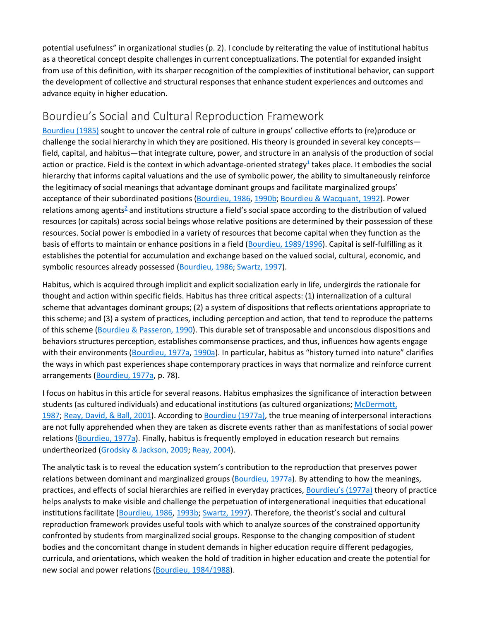potential usefulness" in organizational studies (p. 2). I conclude by reiterating the value of institutional habitus as a theoretical concept despite challenges in current conceptualizations. The potential for expanded insight from use of this definition, with its sharper recognition of the complexities of institutional behavior, can support the development of collective and structural responses that enhance student experiences and outcomes and advance equity in higher education.

# Bourdieu's Social and Cultural Reproduction Framework

[Bourdieu \(1985\)](https://0-journals-sagepub-com.libus.csd.mu.edu/doi/full/10.3102/0034654318812915) sought to uncover the central role of culture in groups' collective efforts to (re)produce or challenge the social hierarchy in which they are positioned. His theory is grounded in several key concepts field, capital, and habitus—that integrate culture, power, and structure in an analysis of the production of social action or practice. Field is the context in which advantage-oriented strategy<sup>1</sup> takes place. It embodies the social hierarchy that informs capital valuations and the use of symbolic power, the ability to simultaneously reinforce the legitimacy of social meanings that advantage dominant groups and facilitate marginalized groups' acceptance of their subordinated positions [\(Bourdieu, 1986,](https://0-journals-sagepub-com.libus.csd.mu.edu/doi/full/10.3102/0034654318812915) [1990b;](https://0-journals-sagepub-com.libus.csd.mu.edu/doi/full/10.3102/0034654318812915) [Bourdieu & Wacquant, 1992\)](https://0-journals-sagepub-com.libus.csd.mu.edu/doi/full/10.3102/0034654318812915). Power relations among agents<sup>2</sup> and institutions structure a field's social space according to the distribution of valued resources (or capitals) across social beings whose relative positions are determined by their possession of these resources. Social power is embodied in a variety of resources that become capital when they function as the basis of efforts to maintain or enhance positions in a field [\(Bourdieu, 1989/1996\)](https://0-journals-sagepub-com.libus.csd.mu.edu/doi/full/10.3102/0034654318812915). Capital is self-fulfilling as it establishes the potential for accumulation and exchange based on the valued social, cultural, economic, and symbolic resources already possessed [\(Bourdieu, 1986;](https://0-journals-sagepub-com.libus.csd.mu.edu/doi/full/10.3102/0034654318812915) [Swartz, 1997\)](https://0-journals-sagepub-com.libus.csd.mu.edu/doi/full/10.3102/0034654318812915).

Habitus, which is acquired through implicit and explicit socialization early in life, undergirds the rationale for thought and action within specific fields. Habitus has three critical aspects: (1) internalization of a cultural scheme that advantages dominant groups; (2) a system of dispositions that reflects orientations appropriate to this scheme; and (3) a system of practices, including perception and action, that tend to reproduce the patterns of this scheme [\(Bourdieu & Passeron, 1990\)](https://0-journals-sagepub-com.libus.csd.mu.edu/doi/full/10.3102/0034654318812915). This durable set of transposable and unconscious dispositions and behaviors structures perception, establishes commonsense practices, and thus, influences how agents engage with their environments [\(Bourdieu, 1977a,](https://0-journals-sagepub-com.libus.csd.mu.edu/doi/full/10.3102/0034654318812915) [1990a\)](https://0-journals-sagepub-com.libus.csd.mu.edu/doi/full/10.3102/0034654318812915). In particular, habitus as "history turned into nature" clarifies the ways in which past experiences shape contemporary practices in ways that normalize and reinforce current arrangements [\(Bourdieu, 1977a,](https://0-journals-sagepub-com.libus.csd.mu.edu/doi/full/10.3102/0034654318812915) p. 78).

I focus on habitus in this article for several reasons. Habitus emphasizes the significance of interaction between students (as cultured individuals) and educational institutions (as cultured organizations; [McDermott,](https://0-journals-sagepub-com.libus.csd.mu.edu/doi/full/10.3102/0034654318812915)  [1987;](https://0-journals-sagepub-com.libus.csd.mu.edu/doi/full/10.3102/0034654318812915) [Reay, David, & Ball, 2001\)](https://0-journals-sagepub-com.libus.csd.mu.edu/doi/full/10.3102/0034654318812915). According to [Bourdieu \(1977a\),](https://0-journals-sagepub-com.libus.csd.mu.edu/doi/full/10.3102/0034654318812915) the true meaning of interpersonal interactions are not fully apprehended when they are taken as discrete events rather than as manifestations of social power relations [\(Bourdieu, 1977a\)](https://0-journals-sagepub-com.libus.csd.mu.edu/doi/full/10.3102/0034654318812915). Finally, habitus is frequently employed in education research but remains undertheorized [\(Grodsky & Jackson, 2009;](https://0-journals-sagepub-com.libus.csd.mu.edu/doi/full/10.3102/0034654318812915) [Reay, 2004\)](https://0-journals-sagepub-com.libus.csd.mu.edu/doi/full/10.3102/0034654318812915).

The analytic task is to reveal the education system's contribution to the reproduction that preserves power relations between dominant and marginalized groups [\(Bourdieu, 1977a\)](https://0-journals-sagepub-com.libus.csd.mu.edu/doi/full/10.3102/0034654318812915). By attending to how the meanings, practices, and effects of social hierarchies are reified in everyday practices, [Bourdieu's \(1977a\)](https://0-journals-sagepub-com.libus.csd.mu.edu/doi/full/10.3102/0034654318812915) theory of practice helps analysts to make visible and challenge the perpetuation of intergenerational inequities that educational institutions facilitate [\(Bourdieu, 1986,](https://0-journals-sagepub-com.libus.csd.mu.edu/doi/full/10.3102/0034654318812915) [1993b;](https://0-journals-sagepub-com.libus.csd.mu.edu/doi/full/10.3102/0034654318812915) [Swartz, 1997\)](https://0-journals-sagepub-com.libus.csd.mu.edu/doi/full/10.3102/0034654318812915). Therefore, the theorist's social and cultural reproduction framework provides useful tools with which to analyze sources of the constrained opportunity confronted by students from marginalized social groups. Response to the changing composition of student bodies and the concomitant change in student demands in higher education require different pedagogies, curricula, and orientations, which weaken the hold of tradition in higher education and create the potential for new social and power relations [\(Bourdieu, 1984/1988\)](https://0-journals-sagepub-com.libus.csd.mu.edu/doi/full/10.3102/0034654318812915).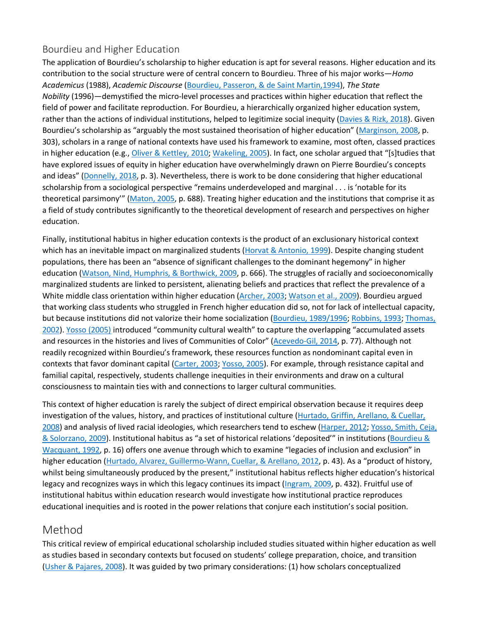## Bourdieu and Higher Education

The application of Bourdieu's scholarship to higher education is apt for several reasons. Higher education and its contribution to the social structure were of central concern to Bourdieu. Three of his major works—*Homo Academicus* (1988), *Academic Discourse* [\(Bourdieu, Passeron, & de Saint Martin,1994\)](https://0-journals-sagepub-com.libus.csd.mu.edu/doi/full/10.3102/0034654318812915), *The State Nobility* (1996)—demystified the micro-level processes and practices within higher education that reflect the field of power and facilitate reproduction. For Bourdieu, a hierarchically organized higher education system, rather than the actions of individual institutions, helped to legitimize social inequity [\(Davies & Rizk, 2018\)](https://0-journals-sagepub-com.libus.csd.mu.edu/doi/full/10.3102/0034654318812915). Given Bourdieu's scholarship as "arguably the most sustained theorisation of higher education" [\(Marginson, 2008,](https://0-journals-sagepub-com.libus.csd.mu.edu/doi/full/10.3102/0034654318812915) p. 303), scholars in a range of national contexts have used his framework to examine, most often, classed practices in higher education (e.g., [Oliver & Kettley, 2010;](https://0-journals-sagepub-com.libus.csd.mu.edu/doi/full/10.3102/0034654318812915) [Wakeling, 2005\)](https://0-journals-sagepub-com.libus.csd.mu.edu/doi/full/10.3102/0034654318812915). In fact, one scholar argued that "[s]tudies that have explored issues of equity in higher education have overwhelmingly drawn on Pierre Bourdieu's concepts and ideas" [\(Donnelly, 2018,](https://0-journals-sagepub-com.libus.csd.mu.edu/doi/full/10.3102/0034654318812915) p. 3). Nevertheless, there is work to be done considering that higher educational scholarship from a sociological perspective "remains underdeveloped and marginal . . . is 'notable for its theoretical parsimony'" [\(Maton, 2005,](https://0-journals-sagepub-com.libus.csd.mu.edu/doi/full/10.3102/0034654318812915) p. 688). Treating higher education and the institutions that comprise it as a field of study contributes significantly to the theoretical development of research and perspectives on higher education.

Finally, institutional habitus in higher education contexts is the product of an exclusionary historical context which has an inevitable impact on marginalized students [\(Horvat & Antonio, 1999\)](https://0-journals-sagepub-com.libus.csd.mu.edu/doi/full/10.3102/0034654318812915). Despite changing student populations, there has been an "absence of significant challenges to the dominant hegemony" in higher education [\(Watson, Nind, Humphris, & Borthwick, 2009,](https://0-journals-sagepub-com.libus.csd.mu.edu/doi/full/10.3102/0034654318812915) p. 666). The struggles of racially and socioeconomically marginalized students are linked to persistent, alienating beliefs and practices that reflect the prevalence of a White middle class orientation within higher education [\(Archer, 2003;](https://0-journals-sagepub-com.libus.csd.mu.edu/doi/full/10.3102/0034654318812915) [Watson et al., 2009\)](https://0-journals-sagepub-com.libus.csd.mu.edu/doi/full/10.3102/0034654318812915). Bourdieu argued that working class students who struggled in French higher education did so, not for lack of intellectual capacity, but because institutions did not valorize their home socialization [\(Bourdieu, 1989/1996;](https://0-journals-sagepub-com.libus.csd.mu.edu/doi/full/10.3102/0034654318812915) [Robbins, 1993;](https://0-journals-sagepub-com.libus.csd.mu.edu/doi/full/10.3102/0034654318812915) [Thomas,](https://0-journals-sagepub-com.libus.csd.mu.edu/doi/full/10.3102/0034654318812915)  [2002\)](https://0-journals-sagepub-com.libus.csd.mu.edu/doi/full/10.3102/0034654318812915). [Yosso \(2005\)](https://0-journals-sagepub-com.libus.csd.mu.edu/doi/full/10.3102/0034654318812915) introduced "community cultural wealth" to capture the overlapping "accumulated assets and resources in the histories and lives of Communities of Color" [\(Acevedo-Gil, 2014,](https://0-journals-sagepub-com.libus.csd.mu.edu/doi/full/10.3102/0034654318812915) p. 77). Although not readily recognized within Bourdieu's framework, these resources function as nondominant capital even in contexts that favor dominant capital [\(Carter, 2003;](https://0-journals-sagepub-com.libus.csd.mu.edu/doi/full/10.3102/0034654318812915) [Yosso, 2005\)](https://0-journals-sagepub-com.libus.csd.mu.edu/doi/full/10.3102/0034654318812915). For example, through resistance capital and familial capital, respectively, students challenge inequities in their environments and draw on a cultural consciousness to maintain ties with and connections to larger cultural communities.

This context of higher education is rarely the subject of direct empirical observation because it requires deep investigation of the values, history, and practices of institutional culture [\(Hurtado, Griffin, Arellano, & Cuellar,](https://0-journals-sagepub-com.libus.csd.mu.edu/doi/full/10.3102/0034654318812915)  [2008\)](https://0-journals-sagepub-com.libus.csd.mu.edu/doi/full/10.3102/0034654318812915) and analysis of lived racial ideologies, which researchers tend to eschew [\(Harper, 2012;](https://0-journals-sagepub-com.libus.csd.mu.edu/doi/full/10.3102/0034654318812915) [Yosso, Smith, Ceja,](https://0-journals-sagepub-com.libus.csd.mu.edu/doi/full/10.3102/0034654318812915)  [& Solorzano, 2009\)](https://0-journals-sagepub-com.libus.csd.mu.edu/doi/full/10.3102/0034654318812915). Institutional habitus as "a set of historical relations 'deposited'" in institutions [\(Bourdieu &](https://0-journals-sagepub-com.libus.csd.mu.edu/doi/full/10.3102/0034654318812915)  [Wacquant, 1992,](https://0-journals-sagepub-com.libus.csd.mu.edu/doi/full/10.3102/0034654318812915) p. 16) offers one avenue through which to examine "legacies of inclusion and exclusion" in higher education [\(Hurtado, Alvarez, Guillermo-Wann, Cuellar, & Arellano, 2012,](https://0-journals-sagepub-com.libus.csd.mu.edu/doi/full/10.3102/0034654318812915) p. 43). As a "product of history, whilst being simultaneously produced by the present," institutional habitus reflects higher education's historical legacy and recognizes ways in which this legacy continues its impact [\(Ingram, 2009,](https://0-journals-sagepub-com.libus.csd.mu.edu/doi/full/10.3102/0034654318812915) p. 432). Fruitful use of institutional habitus within education research would investigate how institutional practice reproduces educational inequities and is rooted in the power relations that conjure each institution's social position.

# Method

This critical review of empirical educational scholarship included studies situated within higher education as well as studies based in secondary contexts but focused on students' college preparation, choice, and transition [\(Usher & Pajares, 2008\)](https://0-journals-sagepub-com.libus.csd.mu.edu/doi/full/10.3102/0034654318812915). It was guided by two primary considerations: (1) how scholars conceptualized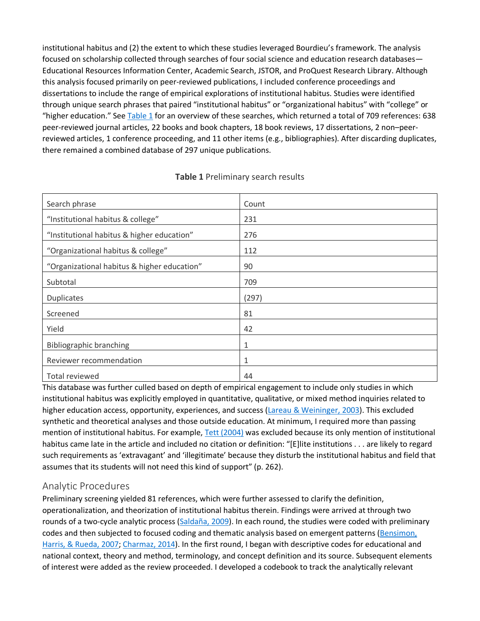institutional habitus and (2) the extent to which these studies leveraged Bourdieu's framework. The analysis focused on scholarship collected through searches of four social science and education research databases— Educational Resources Information Center, Academic Search, JSTOR, and ProQuest Research Library. Although this analysis focused primarily on peer-reviewed publications, I included conference proceedings and dissertations to include the range of empirical explorations of institutional habitus. Studies were identified through unique search phrases that paired "institutional habitus" or "organizational habitus" with "college" or "higher education." See [Table 1](https://0-journals-sagepub-com.libus.csd.mu.edu/doi/full/10.3102/0034654318812915) for an overview of these searches, which returned a total of 709 references: 638 peer-reviewed journal articles, 22 books and book chapters, 18 book reviews, 17 dissertations, 2 non–peerreviewed articles, 1 conference proceeding, and 11 other items (e.g., bibliographies). After discarding duplicates, there remained a combined database of 297 unique publications.

| Search phrase                               | Count |
|---------------------------------------------|-------|
| "Institutional habitus & college"           | 231   |
| "Institutional habitus & higher education"  | 276   |
| "Organizational habitus & college"          | 112   |
| "Organizational habitus & higher education" | 90    |
| Subtotal                                    | 709   |
| <b>Duplicates</b>                           | (297) |
| Screened                                    | 81    |
| Yield                                       | 42    |
| <b>Bibliographic branching</b>              | 1     |
| Reviewer recommendation                     | 1     |
| Total reviewed                              | 44    |

#### **Table 1** Preliminary search results

This database was further culled based on depth of empirical engagement to include only studies in which institutional habitus was explicitly employed in quantitative, qualitative, or mixed method inquiries related to higher education access, opportunity, experiences, and success [\(Lareau & Weininger, 2003\)](https://0-journals-sagepub-com.libus.csd.mu.edu/doi/full/10.3102/0034654318812915). This excluded synthetic and theoretical analyses and those outside education. At minimum, I required more than passing mention of institutional habitus. For example, [Tett \(2004\)](https://0-journals-sagepub-com.libus.csd.mu.edu/doi/full/10.3102/0034654318812915) was excluded because its only mention of institutional habitus came late in the article and included no citation or definition: "[E]lite institutions . . . are likely to regard such requirements as 'extravagant' and 'illegitimate' because they disturb the institutional habitus and field that assumes that its students will not need this kind of support" (p. 262).

## Analytic Procedures

Preliminary screening yielded 81 references, which were further assessed to clarify the definition, operationalization, and theorization of institutional habitus therein. Findings were arrived at through two rounds of a two-cycle analytic process [\(Saldaña, 2009\)](https://0-journals-sagepub-com.libus.csd.mu.edu/doi/full/10.3102/0034654318812915). In each round, the studies were coded with preliminary codes and then subjected to focused coding and thematic analysis based on emergent patterns (Bensimon, [Harris, & Rueda, 2007;](https://0-journals-sagepub-com.libus.csd.mu.edu/doi/full/10.3102/0034654318812915) [Charmaz, 2014\)](https://0-journals-sagepub-com.libus.csd.mu.edu/doi/full/10.3102/0034654318812915). In the first round, I began with descriptive codes for educational and national context, theory and method, terminology, and concept definition and its source. Subsequent elements of interest were added as the review proceeded. I developed a codebook to track the analytically relevant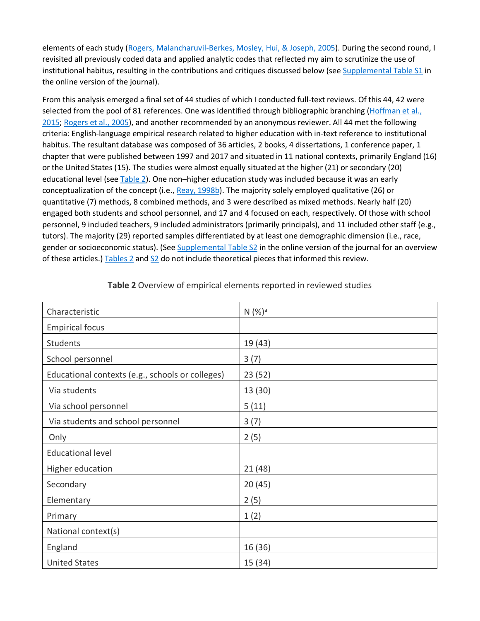elements of each study [\(Rogers, Malancharuvil-Berkes, Mosley, Hui,](https://0-journals-sagepub-com.libus.csd.mu.edu/doi/full/10.3102/0034654318812915) & Joseph, 2005). During the second round, I revisited all previously coded data and applied analytic codes that reflected my aim to scrutinize the use of institutional habitus, resulting in the contributions and critiques discussed below (see [Supplemental Table S1](http://0-journals.sagepub.com.libus.csd.mu.edu/doi/suppl/10.1177/0034654318812915) in the online version of the journal).

From this analysis emerged a final set of 44 studies of which I conducted full-text reviews. Of this 44, 42 were selected from the pool of 81 references. One was identified through bibliographic branching [\(Hoffman et al.,](https://0-journals-sagepub-com.libus.csd.mu.edu/doi/full/10.3102/0034654318812915)  [2015;](https://0-journals-sagepub-com.libus.csd.mu.edu/doi/full/10.3102/0034654318812915) [Rogers et al., 2005\)](https://0-journals-sagepub-com.libus.csd.mu.edu/doi/full/10.3102/0034654318812915), and another recommended by an anonymous reviewer. All 44 met the following criteria: English-language empirical research related to higher education with in-text reference to institutional habitus. The resultant database was composed of 36 articles, 2 books, 4 dissertations, 1 conference paper, 1 chapter that were published between 1997 and 2017 and situated in 11 national contexts, primarily England (16) or the United States (15). The studies were almost equally situated at the higher (21) or secondary (20) educational level (see [Table 2\)](https://0-journals-sagepub-com.libus.csd.mu.edu/doi/full/10.3102/0034654318812915). One non-higher education study was included because it was an early conceptualization of the concept (i.e., [Reay, 1998b\)](https://0-journals-sagepub-com.libus.csd.mu.edu/doi/full/10.3102/0034654318812915). The majority solely employed qualitative (26) or quantitative (7) methods, 8 combined methods, and 3 were described as mixed methods. Nearly half (20) engaged both students and school personnel, and 17 and 4 focused on each, respectively. Of those with school personnel, 9 included teachers, 9 included administrators (primarily principals), and 11 included other staff (e.g., tutors). The majority (29) reported samples differentiated by at least one demographic dimension (i.e., race, gender or socioeconomic status). (See [Supplemental Table S2](http://0-journals.sagepub.com.libus.csd.mu.edu/doi/suppl/10.1177/0034654318812915) in the online version of the journal for an overview of these articles.) [Tables](https://0-journals-sagepub-com.libus.csd.mu.edu/doi/full/10.3102/0034654318812915) 2 and [S2](http://0-journals.sagepub.com.libus.csd.mu.edu/doi/suppl/10.1177/0034654318812915) do not include theoretical pieces that informed this review.

| Characteristic                                   | $N$ $(\%)^a$ |
|--------------------------------------------------|--------------|
| <b>Empirical focus</b>                           |              |
| <b>Students</b>                                  | 19(43)       |
| School personnel                                 | 3(7)         |
| Educational contexts (e.g., schools or colleges) | 23(52)       |
| Via students                                     | 13 (30)      |
| Via school personnel                             | 5(11)        |
| Via students and school personnel                | 3(7)         |
| Only                                             | 2(5)         |
| <b>Educational level</b>                         |              |
| Higher education                                 | 21(48)       |
| Secondary                                        | 20(45)       |
| Elementary                                       | 2(5)         |
| Primary                                          | 1(2)         |
| National context(s)                              |              |
| England                                          | 16 (36)      |
| <b>United States</b>                             | 15 (34)      |

**Table 2** Overview of empirical elements reported in reviewed studies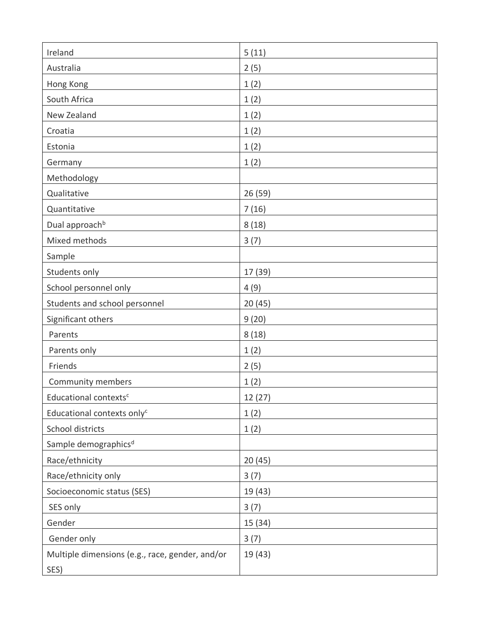| Ireland                                         | 5(11)   |
|-------------------------------------------------|---------|
| Australia                                       | 2(5)    |
| Hong Kong                                       | 1(2)    |
| South Africa                                    | 1(2)    |
| New Zealand                                     | 1(2)    |
| Croatia                                         | 1(2)    |
| Estonia                                         | 1(2)    |
| Germany                                         | 1(2)    |
| Methodology                                     |         |
| Qualitative                                     | 26(59)  |
| Quantitative                                    | 7(16)   |
| Dual approach <sup>b</sup>                      | 8(18)   |
| Mixed methods                                   | 3(7)    |
| Sample                                          |         |
| Students only                                   | 17 (39) |
| School personnel only                           | 4(9)    |
| Students and school personnel                   | 20(45)  |
| Significant others                              | 9(20)   |
| Parents                                         | 8(18)   |
| Parents only                                    | 1(2)    |
| Friends                                         | 2(5)    |
| Community members                               | 1(2)    |
| Educational contexts <sup>c</sup>               | 12(27)  |
| Educational contexts only <sup>c</sup>          | 1(2)    |
| School districts                                | 1(2)    |
| Sample demographics <sup>d</sup>                |         |
| Race/ethnicity                                  | 20(45)  |
| Race/ethnicity only                             | 3(7)    |
| Socioeconomic status (SES)                      | 19 (43) |
| SES only                                        | 3(7)    |
| Gender                                          | 15 (34) |
| Gender only                                     | 3(7)    |
| Multiple dimensions (e.g., race, gender, and/or | 19(43)  |
| SES)                                            |         |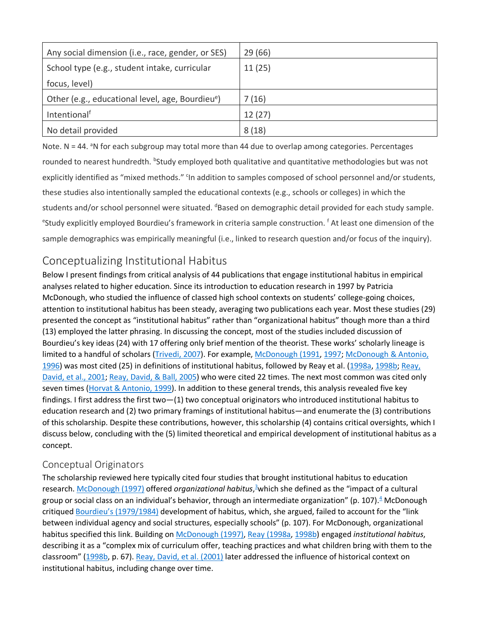| Any social dimension (i.e., race, gender, or SES)            | 29(66) |
|--------------------------------------------------------------|--------|
| School type (e.g., student intake, curricular                | 11(25) |
| focus, level)                                                |        |
| Other (e.g., educational level, age, Bourdieu <sup>e</sup> ) | 7 (16) |
| Intentionalf                                                 | 12(27) |
| No detail provided                                           | 8(18)  |

Note. N = 44. <sup>a</sup>N for each subgroup may total more than 44 due to overlap among categories. Percentages rounded to nearest hundredth. <sup>b</sup>Study employed both qualitative and quantitative methodologies but was not explicitly identified as "mixed methods." In addition to samples composed of school personnel and/or students, these studies also intentionally sampled the educational contexts (e.g., schools or colleges) in which the students and/or school personnel were situated. <sup>d</sup>Based on demographic detail provided for each study sample. <sup>e</sup>Study explicitly employed Bourdieu's framework in criteria sample construction. <sup>f</sup> At least one dimension of the sample demographics was empirically meaningful (i.e., linked to research question and/or focus of the inquiry).

# Conceptualizing Institutional Habitus

Below I present findings from critical analysis of 44 publications that engage institutional habitus in empirical analyses related to higher education. Since its introduction to education research in 1997 by Patricia McDonough, who studied the influence of classed high school contexts on students' college-going choices, attention to institutional habitus has been steady, averaging two publications each year. Most these studies (29) presented the concept as "institutional habitus" rather than "organizational habitus" though more than a third (13) employed the latter phrasing. In discussing the concept, most of the studies included discussion of Bourdieu's key ideas (24) with 17 offering only brief mention of the theorist. These works' scholarly lineage is limited to a handful of scholars [\(Trivedi, 2007\)](https://0-journals-sagepub-com.libus.csd.mu.edu/doi/full/10.3102/0034654318812915). For example, [McDonough \(1991,](https://0-journals-sagepub-com.libus.csd.mu.edu/doi/full/10.3102/0034654318812915) [1997;](https://0-journals-sagepub-com.libus.csd.mu.edu/doi/full/10.3102/0034654318812915) [McDonough & Antonio,](https://0-journals-sagepub-com.libus.csd.mu.edu/doi/full/10.3102/0034654318812915)  [1996\)](https://0-journals-sagepub-com.libus.csd.mu.edu/doi/full/10.3102/0034654318812915) was most cited (25) in definitions of institutional habitus, followed by Reay et al. [\(1998a,](https://0-journals-sagepub-com.libus.csd.mu.edu/doi/full/10.3102/0034654318812915) [1998b;](https://0-journals-sagepub-com.libus.csd.mu.edu/doi/full/10.3102/0034654318812915) [Reay,](https://0-journals-sagepub-com.libus.csd.mu.edu/doi/full/10.3102/0034654318812915)  [David, et al., 2001;](https://0-journals-sagepub-com.libus.csd.mu.edu/doi/full/10.3102/0034654318812915) [Reay, David, & Ball, 2005\)](https://0-journals-sagepub-com.libus.csd.mu.edu/doi/full/10.3102/0034654318812915) who were cited 22 times. The next most common was cited only seven times [\(Horvat & Antonio, 1999\)](https://0-journals-sagepub-com.libus.csd.mu.edu/doi/full/10.3102/0034654318812915). In addition to these general trends, this analysis revealed five key findings. I first address the first two—(1) two conceptual originators who introduced institutional habitus to education research and (2) two primary framings of institutional habitus—and enumerate the (3) contributions of this scholarship. Despite these contributions, however, this scholarship (4) contains critical oversights, which I discuss below, concluding with the (5) limited theoretical and empirical development of institutional habitus as a concept.

## Conceptual Originators

The scholarship reviewed here typically cited four studies that brought institutional habitus to education research. [McDonough \(1997\)](https://0-journals-sagepub-com.libus.csd.mu.edu/doi/full/10.3102/0034654318812915) offered *organizational habitus*[,](javascript:popRef() 3 which she defined as the "impact of a cultural group or social class on an individual's behavior, through an intermediate organization" (p. 107). $4$  McDonough critiqued [Bourdieu's \(1979/1984\)](https://0-journals-sagepub-com.libus.csd.mu.edu/doi/full/10.3102/0034654318812915) development of habitus, which, she argued, failed to account for the "link between individual agency and social structures, especially schools" (p. 107). For McDonough, organizational habitus specified this link. Building on [McDonough \(1997\),](https://0-journals-sagepub-com.libus.csd.mu.edu/doi/full/10.3102/0034654318812915) [Reay \(1998a,](https://0-journals-sagepub-com.libus.csd.mu.edu/doi/full/10.3102/0034654318812915) [1998b\)](https://0-journals-sagepub-com.libus.csd.mu.edu/doi/full/10.3102/0034654318812915) engaged *institutional habitus*, describing it as a "complex mix of curriculum offer, teaching practices and what children bring with them to the classroom" [\(1998b,](https://0-journals-sagepub-com.libus.csd.mu.edu/doi/full/10.3102/0034654318812915) p. 67). [Reay, David, et al. \(2001\)](https://0-journals-sagepub-com.libus.csd.mu.edu/doi/full/10.3102/0034654318812915) later addressed the influence of historical context on institutional habitus, including change over time.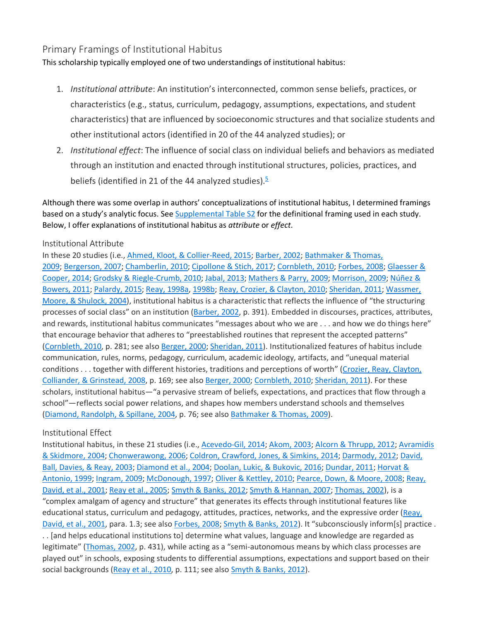### Primary Framings of Institutional Habitus

This scholarship typically employed one of two understandings of institutional habitus:

- 1. *Institutional attribute*: An institution's interconnected, common sense beliefs, practices, or characteristics (e.g., status, curriculum, pedagogy, assumptions, expectations, and student characteristics) that are influenced by socioeconomic structures and that socialize students and other institutional actors (identified in 20 of the 44 analyzed studies); or
- 2. *Institutional effect*: The influence of social class on individual beliefs and behaviors as mediated through an institution and enacted through institutional structures, policies, practices, and beliefs (identified in 21 of the 44 analyzed studies). $5/5$

Although there was some overlap in authors' conceptualizations of institutional habitus, I determined framings based on a study's analytic focus. See [Supplemental Table S2](http://0-journals.sagepub.com.libus.csd.mu.edu/doi/suppl/10.1177/0034654318812915) for the definitional framing used in each study. Below, I offer explanations of institutional habitus as *attribute* or *effect*.

#### Institutional Attribute

In these 20 studies (i.e., [Ahmed, Kloot, & Collier-Reed, 2015;](https://0-journals-sagepub-com.libus.csd.mu.edu/doi/full/10.3102/0034654318812915) [Barber, 2002;](https://0-journals-sagepub-com.libus.csd.mu.edu/doi/full/10.3102/0034654318812915) [Bathmaker & Thomas,](https://0-journals-sagepub-com.libus.csd.mu.edu/doi/full/10.3102/0034654318812915)  [2009;](https://0-journals-sagepub-com.libus.csd.mu.edu/doi/full/10.3102/0034654318812915) [Bergerson, 2007;](https://0-journals-sagepub-com.libus.csd.mu.edu/doi/full/10.3102/0034654318812915) [Chamberlin, 2010;](https://0-journals-sagepub-com.libus.csd.mu.edu/doi/full/10.3102/0034654318812915) [Cipollone & Stich, 2017;](https://0-journals-sagepub-com.libus.csd.mu.edu/doi/full/10.3102/0034654318812915) [Cornbleth, 2010;](https://0-journals-sagepub-com.libus.csd.mu.edu/doi/full/10.3102/0034654318812915) [Forbes, 2008;](https://0-journals-sagepub-com.libus.csd.mu.edu/doi/full/10.3102/0034654318812915) [Glaesser &](https://0-journals-sagepub-com.libus.csd.mu.edu/doi/full/10.3102/0034654318812915)  [Cooper, 2014;](https://0-journals-sagepub-com.libus.csd.mu.edu/doi/full/10.3102/0034654318812915) [Grodsky & Riegle-Crumb, 2010;](https://0-journals-sagepub-com.libus.csd.mu.edu/doi/full/10.3102/0034654318812915) [Jabal, 2013;](https://0-journals-sagepub-com.libus.csd.mu.edu/doi/full/10.3102/0034654318812915) [Mathers & Parry, 2009;](https://0-journals-sagepub-com.libus.csd.mu.edu/doi/full/10.3102/0034654318812915) [Morrison, 2009;](https://0-journals-sagepub-com.libus.csd.mu.edu/doi/full/10.3102/0034654318812915) [Núñez &](https://0-journals-sagepub-com.libus.csd.mu.edu/doi/full/10.3102/0034654318812915)  [Bowers, 2011;](https://0-journals-sagepub-com.libus.csd.mu.edu/doi/full/10.3102/0034654318812915) [Palardy, 2015;](https://0-journals-sagepub-com.libus.csd.mu.edu/doi/full/10.3102/0034654318812915) [Reay, 1998a,](https://0-journals-sagepub-com.libus.csd.mu.edu/doi/full/10.3102/0034654318812915) [1998b;](https://0-journals-sagepub-com.libus.csd.mu.edu/doi/full/10.3102/0034654318812915) [Reay, Crozier, & Clayton, 2010;](https://0-journals-sagepub-com.libus.csd.mu.edu/doi/full/10.3102/0034654318812915) [Sheridan, 2011;](https://0-journals-sagepub-com.libus.csd.mu.edu/doi/full/10.3102/0034654318812915) [Wassmer,](https://0-journals-sagepub-com.libus.csd.mu.edu/doi/full/10.3102/0034654318812915)  [Moore, & Shulock, 2004\)](https://0-journals-sagepub-com.libus.csd.mu.edu/doi/full/10.3102/0034654318812915), institutional habitus is a characteristic that reflects the influence of "the structuring processes of social class" on an institution [\(Barber, 2002,](https://0-journals-sagepub-com.libus.csd.mu.edu/doi/full/10.3102/0034654318812915) p. 391). Embedded in discourses, practices, attributes, and rewards, institutional habitus communicates "messages about who we are . . . and how we do things here" that encourage behavior that adheres to "preestablished routines that represent the accepted patterns" [\(Cornbleth, 2010,](https://0-journals-sagepub-com.libus.csd.mu.edu/doi/full/10.3102/0034654318812915) p. 281; see also [Berger, 2000;](https://0-journals-sagepub-com.libus.csd.mu.edu/doi/full/10.3102/0034654318812915) [Sheridan, 2011\)](https://0-journals-sagepub-com.libus.csd.mu.edu/doi/full/10.3102/0034654318812915). Institutionalized features of habitus include communication, rules, norms, pedagogy, curriculum, academic ideology, artifacts, and "unequal material conditions . . . together with different histories, traditions and perceptions of worth" [\(Crozier, Reay, Clayton,](https://0-journals-sagepub-com.libus.csd.mu.edu/doi/full/10.3102/0034654318812915)  [Colliander, & Grinstead, 2008,](https://0-journals-sagepub-com.libus.csd.mu.edu/doi/full/10.3102/0034654318812915) p. 169; see also [Berger, 2000;](https://0-journals-sagepub-com.libus.csd.mu.edu/doi/full/10.3102/0034654318812915) [Cornbleth, 2010;](https://0-journals-sagepub-com.libus.csd.mu.edu/doi/full/10.3102/0034654318812915) [Sheridan, 2011\)](https://0-journals-sagepub-com.libus.csd.mu.edu/doi/full/10.3102/0034654318812915). For these scholars, institutional habitus—"a pervasive stream of beliefs, expectations, and practices that flow through a school"—reflects social power relations, and shapes how members understand schools and themselves [\(Diamond, Randolph, & Spillane, 2004,](https://0-journals-sagepub-com.libus.csd.mu.edu/doi/full/10.3102/0034654318812915) p. 76; see also [Bathmaker & Thomas, 2009\)](https://0-journals-sagepub-com.libus.csd.mu.edu/doi/full/10.3102/0034654318812915).

#### Institutional Effect

Institutional habitus, in these 21 studies (i.e., [Acevedo-Gil, 2014;](https://0-journals-sagepub-com.libus.csd.mu.edu/doi/full/10.3102/0034654318812915) [Akom, 2003;](https://0-journals-sagepub-com.libus.csd.mu.edu/doi/full/10.3102/0034654318812915) [Alcorn & Thrupp, 2012;](https://0-journals-sagepub-com.libus.csd.mu.edu/doi/full/10.3102/0034654318812915) [Avramidis](https://0-journals-sagepub-com.libus.csd.mu.edu/doi/full/10.3102/0034654318812915)  [& Skidmore, 2004;](https://0-journals-sagepub-com.libus.csd.mu.edu/doi/full/10.3102/0034654318812915) [Chonwerawong, 2006;](https://0-journals-sagepub-com.libus.csd.mu.edu/doi/full/10.3102/0034654318812915) [Coldron, Crawford, Jones, & Simkins, 2014;](https://0-journals-sagepub-com.libus.csd.mu.edu/doi/full/10.3102/0034654318812915) [Darmody, 2012;](https://0-journals-sagepub-com.libus.csd.mu.edu/doi/full/10.3102/0034654318812915) [David,](https://0-journals-sagepub-com.libus.csd.mu.edu/doi/full/10.3102/0034654318812915)  [Ball, Davies, & Reay, 2003;](https://0-journals-sagepub-com.libus.csd.mu.edu/doi/full/10.3102/0034654318812915) [Diamond et al., 2004;](https://0-journals-sagepub-com.libus.csd.mu.edu/doi/full/10.3102/0034654318812915) [Doolan, Lukic, & Bukovic, 2016;](https://0-journals-sagepub-com.libus.csd.mu.edu/doi/full/10.3102/0034654318812915) [Dundar, 2011;](https://0-journals-sagepub-com.libus.csd.mu.edu/doi/full/10.3102/0034654318812915) [Horvat &](https://0-journals-sagepub-com.libus.csd.mu.edu/doi/full/10.3102/0034654318812915)  [Antonio, 1999;](https://0-journals-sagepub-com.libus.csd.mu.edu/doi/full/10.3102/0034654318812915) [Ingram, 2009;](https://0-journals-sagepub-com.libus.csd.mu.edu/doi/full/10.3102/0034654318812915) [McDonough, 1997;](https://0-journals-sagepub-com.libus.csd.mu.edu/doi/full/10.3102/0034654318812915) [Oliver & Kettley, 2010;](https://0-journals-sagepub-com.libus.csd.mu.edu/doi/full/10.3102/0034654318812915) [Pearce, Down, & Moore, 2008;](https://0-journals-sagepub-com.libus.csd.mu.edu/doi/full/10.3102/0034654318812915) [Reay,](https://0-journals-sagepub-com.libus.csd.mu.edu/doi/full/10.3102/0034654318812915)  [David, et al., 2001;](https://0-journals-sagepub-com.libus.csd.mu.edu/doi/full/10.3102/0034654318812915) [Reay et al., 2005;](https://0-journals-sagepub-com.libus.csd.mu.edu/doi/full/10.3102/0034654318812915) [Smyth & Banks, 2012;](https://0-journals-sagepub-com.libus.csd.mu.edu/doi/full/10.3102/0034654318812915) [Smyth & Hannan, 2007;](https://0-journals-sagepub-com.libus.csd.mu.edu/doi/full/10.3102/0034654318812915) [Thomas, 2002\)](https://0-journals-sagepub-com.libus.csd.mu.edu/doi/full/10.3102/0034654318812915), is a "complex amalgam of agency and structure" that generates its effects through institutional features like educational status, curriculum and pedagogy, attitudes, practices, networks, and the expressive order [\(Reay,](https://0-journals-sagepub-com.libus.csd.mu.edu/doi/full/10.3102/0034654318812915)  [David, et al., 2001,](https://0-journals-sagepub-com.libus.csd.mu.edu/doi/full/10.3102/0034654318812915) para. 1.3; see also [Forbes, 2008;](https://0-journals-sagepub-com.libus.csd.mu.edu/doi/full/10.3102/0034654318812915) [Smyth & Banks, 2012\)](https://0-journals-sagepub-com.libus.csd.mu.edu/doi/full/10.3102/0034654318812915). It "subconsciously inform[s] practice. . . [and helps educational institutions to] determine what values, language and knowledge are regarded as legitimate" [\(Thomas, 2002,](https://0-journals-sagepub-com.libus.csd.mu.edu/doi/full/10.3102/0034654318812915) p. 431), while acting as a "semi-autonomous means by which class processes are played out" in schools, exposing students to differential assumptions, expectations and support based on their social backgrounds [\(Reay et al., 2010,](https://0-journals-sagepub-com.libus.csd.mu.edu/doi/full/10.3102/0034654318812915) p. 111; see also [Smyth & Banks, 2012\)](https://0-journals-sagepub-com.libus.csd.mu.edu/doi/full/10.3102/0034654318812915).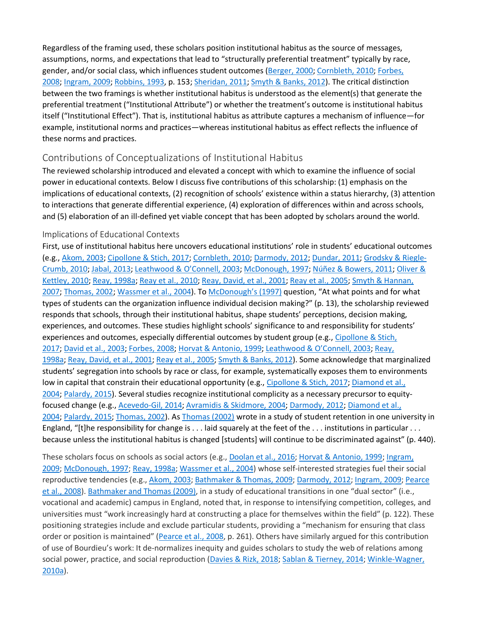Regardless of the framing used, these scholars position institutional habitus as the source of messages, assumptions, norms, and expectations that lead to "structurally preferential treatment" typically by race, gender, and/or social class, which influences student outcomes [\(Berger, 2000;](https://0-journals-sagepub-com.libus.csd.mu.edu/doi/full/10.3102/0034654318812915) [Cornbleth, 2010;](https://0-journals-sagepub-com.libus.csd.mu.edu/doi/full/10.3102/0034654318812915) [Forbes,](https://0-journals-sagepub-com.libus.csd.mu.edu/doi/full/10.3102/0034654318812915)  [2008;](https://0-journals-sagepub-com.libus.csd.mu.edu/doi/full/10.3102/0034654318812915) [Ingram, 2009;](https://0-journals-sagepub-com.libus.csd.mu.edu/doi/full/10.3102/0034654318812915) [Robbins, 1993,](https://0-journals-sagepub-com.libus.csd.mu.edu/doi/full/10.3102/0034654318812915) p. 153; [Sheridan, 2011;](https://0-journals-sagepub-com.libus.csd.mu.edu/doi/full/10.3102/0034654318812915) [Smyth & Banks, 2012\)](https://0-journals-sagepub-com.libus.csd.mu.edu/doi/full/10.3102/0034654318812915). The critical distinction between the two framings is whether institutional habitus is understood as the element(s) that generate the preferential treatment ("Institutional Attribute") or whether the treatment's outcome is institutional habitus itself ("Institutional Effect"). That is, institutional habitus as attribute captures a mechanism of influence—for example, institutional norms and practices—whereas institutional habitus as effect reflects the influence of these norms and practices.

## Contributions of Conceptualizations of Institutional Habitus

The reviewed scholarship introduced and elevated a concept with which to examine the influence of social power in educational contexts. Below I discuss five contributions of this scholarship: (1) emphasis on the implications of educational contexts, (2) recognition of schools' existence within a status hierarchy, (3) attention to interactions that generate differential experience, (4) exploration of differences within and across schools, and (5) elaboration of an ill-defined yet viable concept that has been adopted by scholars around the world.

#### Implications of Educational Contexts

First, use of institutional habitus here uncovers educational institutions' role in students' educational outcomes (e.g., [Akom, 2003;](https://0-journals-sagepub-com.libus.csd.mu.edu/doi/full/10.3102/0034654318812915) [Cipollone & Stich, 2017;](https://0-journals-sagepub-com.libus.csd.mu.edu/doi/full/10.3102/0034654318812915) [Cornbleth, 2010;](https://0-journals-sagepub-com.libus.csd.mu.edu/doi/full/10.3102/0034654318812915) [Darmody, 2012;](https://0-journals-sagepub-com.libus.csd.mu.edu/doi/full/10.3102/0034654318812915) [Dundar, 2011;](https://0-journals-sagepub-com.libus.csd.mu.edu/doi/full/10.3102/0034654318812915) [Grodsky & Riegle-](https://0-journals-sagepub-com.libus.csd.mu.edu/doi/full/10.3102/0034654318812915)[Crumb, 2010;](https://0-journals-sagepub-com.libus.csd.mu.edu/doi/full/10.3102/0034654318812915) [Jabal, 2013;](https://0-journals-sagepub-com.libus.csd.mu.edu/doi/full/10.3102/0034654318812915) [Leathwood & O'Connell, 2003](https://0-journals-sagepub-com.libus.csd.mu.edu/doi/full/10.3102/0034654318812915); [McDonough, 1997;](https://0-journals-sagepub-com.libus.csd.mu.edu/doi/full/10.3102/0034654318812915) [Núñez & Bowers, 2011;](https://0-journals-sagepub-com.libus.csd.mu.edu/doi/full/10.3102/0034654318812915) [Oliver &](https://0-journals-sagepub-com.libus.csd.mu.edu/doi/full/10.3102/0034654318812915)  [Kettley, 2010;](https://0-journals-sagepub-com.libus.csd.mu.edu/doi/full/10.3102/0034654318812915) [Reay, 1998a;](https://0-journals-sagepub-com.libus.csd.mu.edu/doi/full/10.3102/0034654318812915) [Reay et al., 2010;](https://0-journals-sagepub-com.libus.csd.mu.edu/doi/full/10.3102/0034654318812915) [Reay, David, et al., 2001;](https://0-journals-sagepub-com.libus.csd.mu.edu/doi/full/10.3102/0034654318812915) [Reay et al., 2005;](https://0-journals-sagepub-com.libus.csd.mu.edu/doi/full/10.3102/0034654318812915) Smyth & Hannan, [2007;](https://0-journals-sagepub-com.libus.csd.mu.edu/doi/full/10.3102/0034654318812915) [Thomas, 2002;](https://0-journals-sagepub-com.libus.csd.mu.edu/doi/full/10.3102/0034654318812915) [Wassmer et al., 2004\)](https://0-journals-sagepub-com.libus.csd.mu.edu/doi/full/10.3102/0034654318812915). To [McDonough's \(1997\)](https://0-journals-sagepub-com.libus.csd.mu.edu/doi/full/10.3102/0034654318812915) question, "At what points and for what types of students can the organization influence individual decision making?" (p. 13), the scholarship reviewed responds that schools, through their institutional habitus, shape students' perceptions, decision making, experiences, and outcomes. These studies highlight schools' significance to and responsibility for students' experiences and outcomes, especially differential outcomes by student group (e.g., [Cipollone & Stich,](https://0-journals-sagepub-com.libus.csd.mu.edu/doi/full/10.3102/0034654318812915)  [2017;](https://0-journals-sagepub-com.libus.csd.mu.edu/doi/full/10.3102/0034654318812915) [David et al., 2003;](https://0-journals-sagepub-com.libus.csd.mu.edu/doi/full/10.3102/0034654318812915) [Forbes, 2008;](https://0-journals-sagepub-com.libus.csd.mu.edu/doi/full/10.3102/0034654318812915) [Horvat & Antonio, 1999;](https://0-journals-sagepub-com.libus.csd.mu.edu/doi/full/10.3102/0034654318812915) [Leathwood & O'Connell, 2003](https://0-journals-sagepub-com.libus.csd.mu.edu/doi/full/10.3102/0034654318812915); [Reay,](https://0-journals-sagepub-com.libus.csd.mu.edu/doi/full/10.3102/0034654318812915)  [1998a;](https://0-journals-sagepub-com.libus.csd.mu.edu/doi/full/10.3102/0034654318812915) [Reay, David, et al., 2001;](https://0-journals-sagepub-com.libus.csd.mu.edu/doi/full/10.3102/0034654318812915) [Reay et al., 2005;](https://0-journals-sagepub-com.libus.csd.mu.edu/doi/full/10.3102/0034654318812915) [Smyth & Banks, 2012\)](https://0-journals-sagepub-com.libus.csd.mu.edu/doi/full/10.3102/0034654318812915). Some acknowledge that marginalized students' segregation into schools by race or class, for example, systematically exposes them to environments low in capital that constrain their educational opportunity (e.g., [Cipollone & Stich, 2017;](https://0-journals-sagepub-com.libus.csd.mu.edu/doi/full/10.3102/0034654318812915) [Diamond et al.,](https://0-journals-sagepub-com.libus.csd.mu.edu/doi/full/10.3102/0034654318812915)  [2004;](https://0-journals-sagepub-com.libus.csd.mu.edu/doi/full/10.3102/0034654318812915) [Palardy, 2015\)](https://0-journals-sagepub-com.libus.csd.mu.edu/doi/full/10.3102/0034654318812915). Several studies recognize institutional complicity as a necessary precursor to equityfocused change (e.g., [Acevedo-Gil, 2014;](https://0-journals-sagepub-com.libus.csd.mu.edu/doi/full/10.3102/0034654318812915) [Avramidis & Skidmore, 2004;](https://0-journals-sagepub-com.libus.csd.mu.edu/doi/full/10.3102/0034654318812915) [Darmody, 2012;](https://0-journals-sagepub-com.libus.csd.mu.edu/doi/full/10.3102/0034654318812915) [Diamond et al.,](https://0-journals-sagepub-com.libus.csd.mu.edu/doi/full/10.3102/0034654318812915)  [2004;](https://0-journals-sagepub-com.libus.csd.mu.edu/doi/full/10.3102/0034654318812915) [Palardy, 2015;](https://0-journals-sagepub-com.libus.csd.mu.edu/doi/full/10.3102/0034654318812915) [Thomas, 2002\)](https://0-journals-sagepub-com.libus.csd.mu.edu/doi/full/10.3102/0034654318812915). As [Thomas \(2002\)](https://0-journals-sagepub-com.libus.csd.mu.edu/doi/full/10.3102/0034654318812915) wrote in a study of student retention in one university in England, "[t]he responsibility for change is  $\dots$  laid squarely at the feet of the  $\dots$  institutions in particular  $\dots$ because unless the institutional habitus is changed [students] will continue to be discriminated against" (p. 440).

These scholars focus on schools as social actors (e.g., [Doolan et al., 2016;](https://0-journals-sagepub-com.libus.csd.mu.edu/doi/full/10.3102/0034654318812915) [Horvat & Antonio, 1999;](https://0-journals-sagepub-com.libus.csd.mu.edu/doi/full/10.3102/0034654318812915) [Ingram,](https://0-journals-sagepub-com.libus.csd.mu.edu/doi/full/10.3102/0034654318812915)  [2009;](https://0-journals-sagepub-com.libus.csd.mu.edu/doi/full/10.3102/0034654318812915) [McDonough, 1997;](https://0-journals-sagepub-com.libus.csd.mu.edu/doi/full/10.3102/0034654318812915) [Reay, 1998a;](https://0-journals-sagepub-com.libus.csd.mu.edu/doi/full/10.3102/0034654318812915) [Wassmer et al., 2004\)](https://0-journals-sagepub-com.libus.csd.mu.edu/doi/full/10.3102/0034654318812915) whose self-interested strategies fuel their social reproductive tendencies (e.g., [Akom, 2003;](https://0-journals-sagepub-com.libus.csd.mu.edu/doi/full/10.3102/0034654318812915) [Bathmaker & Thomas, 2009;](https://0-journals-sagepub-com.libus.csd.mu.edu/doi/full/10.3102/0034654318812915) [Darmody, 2012;](https://0-journals-sagepub-com.libus.csd.mu.edu/doi/full/10.3102/0034654318812915) [Ingram, 2009;](https://0-journals-sagepub-com.libus.csd.mu.edu/doi/full/10.3102/0034654318812915) [Pearce](https://0-journals-sagepub-com.libus.csd.mu.edu/doi/full/10.3102/0034654318812915)  [et al., 2008\)](https://0-journals-sagepub-com.libus.csd.mu.edu/doi/full/10.3102/0034654318812915). [Bathmaker and Thomas \(2009\),](https://0-journals-sagepub-com.libus.csd.mu.edu/doi/full/10.3102/0034654318812915) in a study of educational transitions in one "dual sector" (i.e., vocational and academic) campus in England, noted that, in response to intensifying competition, colleges, and universities must "work increasingly hard at constructing a place for themselves within the field" (p. 122). These positioning strategies include and exclude particular students, providing a "mechanism for ensuring that class order or position is maintained" [\(Pearce et al., 2008,](https://0-journals-sagepub-com.libus.csd.mu.edu/doi/full/10.3102/0034654318812915) p. 261). Others have similarly argued for this contribution of use of Bourdieu's work: It de-normalizes inequity and guides scholars to study the web of relations among social power, practice, and social reproduction [\(Davies & Rizk, 2018;](https://0-journals-sagepub-com.libus.csd.mu.edu/doi/full/10.3102/0034654318812915) [Sablan & Tierney, 2014;](https://0-journals-sagepub-com.libus.csd.mu.edu/doi/full/10.3102/0034654318812915) [Winkle-Wagner,](https://0-journals-sagepub-com.libus.csd.mu.edu/doi/full/10.3102/0034654318812915)  [2010a\)](https://0-journals-sagepub-com.libus.csd.mu.edu/doi/full/10.3102/0034654318812915).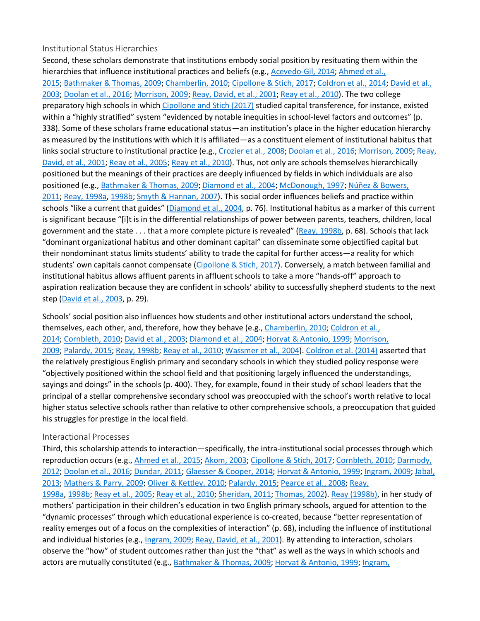#### Institutional Status Hierarchies

Second, these scholars demonstrate that institutions embody social position by resituating them within the hierarchies that influence institutional practices and beliefs (e.g., [Acevedo-Gil, 2014;](https://0-journals-sagepub-com.libus.csd.mu.edu/doi/full/10.3102/0034654318812915) Ahmed et al., [2015;](https://0-journals-sagepub-com.libus.csd.mu.edu/doi/full/10.3102/0034654318812915) [Bathmaker & Thomas, 2009;](https://0-journals-sagepub-com.libus.csd.mu.edu/doi/full/10.3102/0034654318812915) [Chamberlin, 2010;](https://0-journals-sagepub-com.libus.csd.mu.edu/doi/full/10.3102/0034654318812915) [Cipollone & Stich, 2017;](https://0-journals-sagepub-com.libus.csd.mu.edu/doi/full/10.3102/0034654318812915) [Coldron et al., 2014;](https://0-journals-sagepub-com.libus.csd.mu.edu/doi/full/10.3102/0034654318812915) [David et al.,](https://0-journals-sagepub-com.libus.csd.mu.edu/doi/full/10.3102/0034654318812915)  [2003;](https://0-journals-sagepub-com.libus.csd.mu.edu/doi/full/10.3102/0034654318812915) [Doolan et al., 2016;](https://0-journals-sagepub-com.libus.csd.mu.edu/doi/full/10.3102/0034654318812915) [Morrison, 2009;](https://0-journals-sagepub-com.libus.csd.mu.edu/doi/full/10.3102/0034654318812915) [Reay, David, et al., 2001;](https://0-journals-sagepub-com.libus.csd.mu.edu/doi/full/10.3102/0034654318812915) [Reay et al., 2010\)](https://0-journals-sagepub-com.libus.csd.mu.edu/doi/full/10.3102/0034654318812915). The two college preparatory high schools in which [Cipollone and Stich \(2017\)](https://0-journals-sagepub-com.libus.csd.mu.edu/doi/full/10.3102/0034654318812915) studied capital transference, for instance, existed within a "highly stratified" system "evidenced by notable inequities in school-level factors and outcomes" (p. 338). Some of these scholars frame educational status—an institution's place in the higher education hierarchy as measured by the institutions with which it is affiliated—as a constituent element of institutional habitus that links social structure to institutional practice (e.g., [Crozier et al., 2008;](https://0-journals-sagepub-com.libus.csd.mu.edu/doi/full/10.3102/0034654318812915) [Doolan et al., 2016;](https://0-journals-sagepub-com.libus.csd.mu.edu/doi/full/10.3102/0034654318812915) [Morrison, 2009;](https://0-journals-sagepub-com.libus.csd.mu.edu/doi/full/10.3102/0034654318812915) Reay, [David, et al., 2001;](https://0-journals-sagepub-com.libus.csd.mu.edu/doi/full/10.3102/0034654318812915) [Reay et al., 2005;](https://0-journals-sagepub-com.libus.csd.mu.edu/doi/full/10.3102/0034654318812915) [Reay et al., 2010\)](https://0-journals-sagepub-com.libus.csd.mu.edu/doi/full/10.3102/0034654318812915). Thus, not only are schools themselves hierarchically positioned but the meanings of their practices are deeply influenced by fields in which individuals are also positioned (e.g., [Bathmaker & Thomas, 2009;](https://0-journals-sagepub-com.libus.csd.mu.edu/doi/full/10.3102/0034654318812915) [Diamond et al., 2004;](https://0-journals-sagepub-com.libus.csd.mu.edu/doi/full/10.3102/0034654318812915) [McDonough, 1997;](https://0-journals-sagepub-com.libus.csd.mu.edu/doi/full/10.3102/0034654318812915) Núñez & Bowers, [2011;](https://0-journals-sagepub-com.libus.csd.mu.edu/doi/full/10.3102/0034654318812915) [Reay, 1998a,](https://0-journals-sagepub-com.libus.csd.mu.edu/doi/full/10.3102/0034654318812915) [1998b;](https://0-journals-sagepub-com.libus.csd.mu.edu/doi/full/10.3102/0034654318812915) [Smyth & Hannan, 2007\)](https://0-journals-sagepub-com.libus.csd.mu.edu/doi/full/10.3102/0034654318812915). This social order influences beliefs and practice within schools "like a current that guides" [\(Diamond et al., 2004,](https://0-journals-sagepub-com.libus.csd.mu.edu/doi/full/10.3102/0034654318812915) p. 76). Institutional habitus as a marker of this current is significant because "[i]t is in the differential relationships of power between parents, teachers, children, local government and the state . . . that a more complete picture is revealed" [\(Reay, 1998b,](https://0-journals-sagepub-com.libus.csd.mu.edu/doi/full/10.3102/0034654318812915) p. 68). Schools that lack "dominant organizational habitus and other dominant capital" can disseminate some objectified capital but their nondominant status limits students' ability to trade the capital for further access—a reality for which students' own capitals cannot compensate [\(Cipollone &](https://0-journals-sagepub-com.libus.csd.mu.edu/doi/full/10.3102/0034654318812915) Stich, 2017). Conversely, a match between familial and institutional habitus allows affluent parents in affluent schools to take a more "hands-off" approach to aspiration realization because they are confident in schools' ability to successfully shepherd students to the next step [\(David et al., 2003,](https://0-journals-sagepub-com.libus.csd.mu.edu/doi/full/10.3102/0034654318812915) p. 29).

Schools' social position also influences how students and other institutional actors understand the school, themselves, each other, and, therefore, how they behave (e.g., [Chamberlin, 2010;](https://0-journals-sagepub-com.libus.csd.mu.edu/doi/full/10.3102/0034654318812915) [Coldron et al.,](https://0-journals-sagepub-com.libus.csd.mu.edu/doi/full/10.3102/0034654318812915)  [2014;](https://0-journals-sagepub-com.libus.csd.mu.edu/doi/full/10.3102/0034654318812915) [Cornbleth, 2010;](https://0-journals-sagepub-com.libus.csd.mu.edu/doi/full/10.3102/0034654318812915) [David et al., 2003;](https://0-journals-sagepub-com.libus.csd.mu.edu/doi/full/10.3102/0034654318812915) [Diamond et al., 2004;](https://0-journals-sagepub-com.libus.csd.mu.edu/doi/full/10.3102/0034654318812915) [Horvat & Antonio, 1999;](https://0-journals-sagepub-com.libus.csd.mu.edu/doi/full/10.3102/0034654318812915) [Morrison,](https://0-journals-sagepub-com.libus.csd.mu.edu/doi/full/10.3102/0034654318812915)  [2009;](https://0-journals-sagepub-com.libus.csd.mu.edu/doi/full/10.3102/0034654318812915) [Palardy, 2015;](https://0-journals-sagepub-com.libus.csd.mu.edu/doi/full/10.3102/0034654318812915) [Reay, 1998b;](https://0-journals-sagepub-com.libus.csd.mu.edu/doi/full/10.3102/0034654318812915) [Reay et al., 2010;](https://0-journals-sagepub-com.libus.csd.mu.edu/doi/full/10.3102/0034654318812915) [Wassmer et al., 2004\)](https://0-journals-sagepub-com.libus.csd.mu.edu/doi/full/10.3102/0034654318812915). [Coldron et al. \(2014\)](https://0-journals-sagepub-com.libus.csd.mu.edu/doi/full/10.3102/0034654318812915) asserted that the relatively prestigious English primary and secondary schools in which they studied policy response were "objectively positioned within the school field and that positioning largely influenced the understandings, sayings and doings" in the schools (p. 400). They, for example, found in their study of school leaders that the principal of a stellar comprehensive secondary school was preoccupied with the school's worth relative to local higher status selective schools rather than relative to other comprehensive schools, a preoccupation that guided his struggles for prestige in the local field.

#### Interactional Processes

Third, this scholarship attends to interaction—specifically, the intra-institutional social processes through which reproduction occurs (e.g., [Ahmed et al., 2015;](https://0-journals-sagepub-com.libus.csd.mu.edu/doi/full/10.3102/0034654318812915) [Akom, 2003;](https://0-journals-sagepub-com.libus.csd.mu.edu/doi/full/10.3102/0034654318812915) [Cipollone & Stich, 2017;](https://0-journals-sagepub-com.libus.csd.mu.edu/doi/full/10.3102/0034654318812915) [Cornbleth, 2010;](https://0-journals-sagepub-com.libus.csd.mu.edu/doi/full/10.3102/0034654318812915) [Darmody,](https://0-journals-sagepub-com.libus.csd.mu.edu/doi/full/10.3102/0034654318812915)  [2012;](https://0-journals-sagepub-com.libus.csd.mu.edu/doi/full/10.3102/0034654318812915) [Doolan et al., 2016;](https://0-journals-sagepub-com.libus.csd.mu.edu/doi/full/10.3102/0034654318812915) [Dundar, 2011;](https://0-journals-sagepub-com.libus.csd.mu.edu/doi/full/10.3102/0034654318812915) [Glaesser & Cooper, 2014;](https://0-journals-sagepub-com.libus.csd.mu.edu/doi/full/10.3102/0034654318812915) [Horvat & Antonio, 1999;](https://0-journals-sagepub-com.libus.csd.mu.edu/doi/full/10.3102/0034654318812915) [Ingram, 2009;](https://0-journals-sagepub-com.libus.csd.mu.edu/doi/full/10.3102/0034654318812915) [Jabal,](https://0-journals-sagepub-com.libus.csd.mu.edu/doi/full/10.3102/0034654318812915)  [2013;](https://0-journals-sagepub-com.libus.csd.mu.edu/doi/full/10.3102/0034654318812915) [Mathers & Parry, 2009;](https://0-journals-sagepub-com.libus.csd.mu.edu/doi/full/10.3102/0034654318812915) [Oliver & Kettley, 2010;](https://0-journals-sagepub-com.libus.csd.mu.edu/doi/full/10.3102/0034654318812915) [Palardy, 2015;](https://0-journals-sagepub-com.libus.csd.mu.edu/doi/full/10.3102/0034654318812915) [Pearce et al., 2008;](https://0-journals-sagepub-com.libus.csd.mu.edu/doi/full/10.3102/0034654318812915) [Reay,](https://0-journals-sagepub-com.libus.csd.mu.edu/doi/full/10.3102/0034654318812915)  [1998a,](https://0-journals-sagepub-com.libus.csd.mu.edu/doi/full/10.3102/0034654318812915) [1998b;](https://0-journals-sagepub-com.libus.csd.mu.edu/doi/full/10.3102/0034654318812915) [Reay et al., 2005;](https://0-journals-sagepub-com.libus.csd.mu.edu/doi/full/10.3102/0034654318812915) [Reay et al., 2010;](https://0-journals-sagepub-com.libus.csd.mu.edu/doi/full/10.3102/0034654318812915) [Sheridan, 2011;](https://0-journals-sagepub-com.libus.csd.mu.edu/doi/full/10.3102/0034654318812915) [Thomas, 2002\)](https://0-journals-sagepub-com.libus.csd.mu.edu/doi/full/10.3102/0034654318812915). [Reay \(1998b\),](https://0-journals-sagepub-com.libus.csd.mu.edu/doi/full/10.3102/0034654318812915) in her study of mothers' participation in their children's education in two English primary schools, argued for attention to the "dynamic processes" through which educational experience is co-created, because "better representation of reality emerges out of a focus on the complexities of interaction" (p. 68), including the influence of institutional and individual histories (e.g., [Ingram, 2009;](https://0-journals-sagepub-com.libus.csd.mu.edu/doi/full/10.3102/0034654318812915) [Reay, David, et al., 2001\)](https://0-journals-sagepub-com.libus.csd.mu.edu/doi/full/10.3102/0034654318812915). By attending to interaction, scholars observe the "how" of student outcomes rather than just the "that" as well as the ways in which schools and actors are mutually constituted (e.g., [Bathmaker & Thomas, 2009;](https://0-journals-sagepub-com.libus.csd.mu.edu/doi/full/10.3102/0034654318812915) [Horvat & Antonio, 1999;](https://0-journals-sagepub-com.libus.csd.mu.edu/doi/full/10.3102/0034654318812915) [Ingram,](https://0-journals-sagepub-com.libus.csd.mu.edu/doi/full/10.3102/0034654318812915)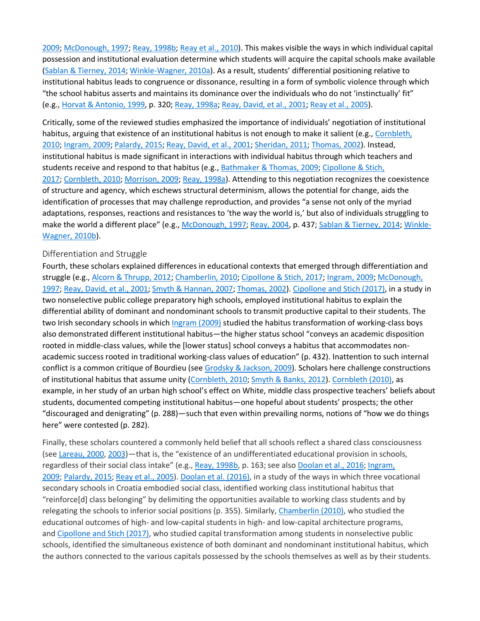[2009;](https://0-journals-sagepub-com.libus.csd.mu.edu/doi/full/10.3102/0034654318812915) [McDonough, 1997;](https://0-journals-sagepub-com.libus.csd.mu.edu/doi/full/10.3102/0034654318812915) [Reay, 1998b;](https://0-journals-sagepub-com.libus.csd.mu.edu/doi/full/10.3102/0034654318812915) [Reay et al., 2010\)](https://0-journals-sagepub-com.libus.csd.mu.edu/doi/full/10.3102/0034654318812915). This makes visible the ways in which individual capital possession and institutional evaluation determine which students will acquire the capital schools make available [\(Sablan & Tierney, 2014;](https://0-journals-sagepub-com.libus.csd.mu.edu/doi/full/10.3102/0034654318812915) [Winkle-Wagner, 2010a\)](https://0-journals-sagepub-com.libus.csd.mu.edu/doi/full/10.3102/0034654318812915). As a result, students' differential positioning relative to institutional habitus leads to congruence or dissonance, resulting in a form of symbolic violence through which "the school habitus asserts and maintains its dominance over the individuals who do not 'instinctually' fit" (e.g., [Horvat & Antonio, 1999,](https://0-journals-sagepub-com.libus.csd.mu.edu/doi/full/10.3102/0034654318812915) p. 320; [Reay, 1998a;](https://0-journals-sagepub-com.libus.csd.mu.edu/doi/full/10.3102/0034654318812915) [Reay, David, et al., 2001;](https://0-journals-sagepub-com.libus.csd.mu.edu/doi/full/10.3102/0034654318812915) [Reay et al., 2005\)](https://0-journals-sagepub-com.libus.csd.mu.edu/doi/full/10.3102/0034654318812915).

Critically, some of the reviewed studies emphasized the importance of individuals' negotiation of institutional habitus, arguing that existence of an institutional habitus is not enough to make it salient (e.g., Cornbleth, [2010;](https://0-journals-sagepub-com.libus.csd.mu.edu/doi/full/10.3102/0034654318812915) [Ingram, 2009;](https://0-journals-sagepub-com.libus.csd.mu.edu/doi/full/10.3102/0034654318812915) [Palardy, 2015;](https://0-journals-sagepub-com.libus.csd.mu.edu/doi/full/10.3102/0034654318812915) [Reay, David, et al., 2001;](https://0-journals-sagepub-com.libus.csd.mu.edu/doi/full/10.3102/0034654318812915) [Sheridan, 2011;](https://0-journals-sagepub-com.libus.csd.mu.edu/doi/full/10.3102/0034654318812915) [Thomas, 2002\)](https://0-journals-sagepub-com.libus.csd.mu.edu/doi/full/10.3102/0034654318812915). Instead, institutional habitus is made significant in interactions with individual habitus through which teachers and students receive and respond to that habitus (e.g., [Bathmaker & Thomas, 2009;](https://0-journals-sagepub-com.libus.csd.mu.edu/doi/full/10.3102/0034654318812915) Cipollone & Stich, [2017;](https://0-journals-sagepub-com.libus.csd.mu.edu/doi/full/10.3102/0034654318812915) [Cornbleth, 2010;](https://0-journals-sagepub-com.libus.csd.mu.edu/doi/full/10.3102/0034654318812915) [Morrison, 2009;](https://0-journals-sagepub-com.libus.csd.mu.edu/doi/full/10.3102/0034654318812915) [Reay, 1998a\)](https://0-journals-sagepub-com.libus.csd.mu.edu/doi/full/10.3102/0034654318812915). Attending to this negotiation recognizes the coexistence of structure and agency, which eschews structural determinism, allows the potential for change, aids the identification of processes that may challenge reproduction, and provides "a sense not only of the myriad adaptations, responses, reactions and resistances to 'the way the world is,' but also of individuals struggling to make the world a different place" (e.g., [McDonough, 1997;](https://0-journals-sagepub-com.libus.csd.mu.edu/doi/full/10.3102/0034654318812915) [Reay, 2004,](https://0-journals-sagepub-com.libus.csd.mu.edu/doi/full/10.3102/0034654318812915) p. 437; [Sablan & Tierney, 2014;](https://0-journals-sagepub-com.libus.csd.mu.edu/doi/full/10.3102/0034654318812915) [Winkle-](https://0-journals-sagepub-com.libus.csd.mu.edu/doi/full/10.3102/0034654318812915)[Wagner, 2010b\)](https://0-journals-sagepub-com.libus.csd.mu.edu/doi/full/10.3102/0034654318812915).

#### Differentiation and Struggle

Fourth, these scholars explained differences in educational contexts that emerged through differentiation and struggle (e.g., [Alcorn & Thrupp, 2012;](https://0-journals-sagepub-com.libus.csd.mu.edu/doi/full/10.3102/0034654318812915) [Chamberlin, 2010;](https://0-journals-sagepub-com.libus.csd.mu.edu/doi/full/10.3102/0034654318812915) [Cipollone & Stich, 2017;](https://0-journals-sagepub-com.libus.csd.mu.edu/doi/full/10.3102/0034654318812915) [Ingram, 2009;](https://0-journals-sagepub-com.libus.csd.mu.edu/doi/full/10.3102/0034654318812915) [McDonough,](https://0-journals-sagepub-com.libus.csd.mu.edu/doi/full/10.3102/0034654318812915)  [1997;](https://0-journals-sagepub-com.libus.csd.mu.edu/doi/full/10.3102/0034654318812915) [Reay, David, et al., 2001;](https://0-journals-sagepub-com.libus.csd.mu.edu/doi/full/10.3102/0034654318812915) [Smyth & Hannan, 2007;](https://0-journals-sagepub-com.libus.csd.mu.edu/doi/full/10.3102/0034654318812915) [Thomas, 2002\)](https://0-journals-sagepub-com.libus.csd.mu.edu/doi/full/10.3102/0034654318812915). [Cipollone and Stich \(2017\),](https://0-journals-sagepub-com.libus.csd.mu.edu/doi/full/10.3102/0034654318812915) in a study in two nonselective public college preparatory high schools, employed institutional habitus to explain the differential ability of dominant and nondominant schools to transmit productive capital to their students. The two Irish secondary schools in which [Ingram \(2009\)](https://0-journals-sagepub-com.libus.csd.mu.edu/doi/full/10.3102/0034654318812915) studied the habitus transformation of working-class boys also demonstrated different institutional habitus—the higher status school "conveys an academic disposition rooted in middle-class values, while the [lower status] school conveys a habitus that accommodates nonacademic success rooted in traditional working-class values of education" (p. 432). Inattention to such internal conflict is a common critique of Bourdieu (see [Grodsky & Jackson, 2009\)](https://0-journals-sagepub-com.libus.csd.mu.edu/doi/full/10.3102/0034654318812915). Scholars here challenge constructions of institutional habitus that assume unity [\(Cornbleth, 2010;](https://0-journals-sagepub-com.libus.csd.mu.edu/doi/full/10.3102/0034654318812915) [Smyth & Banks, 2012\)](https://0-journals-sagepub-com.libus.csd.mu.edu/doi/full/10.3102/0034654318812915). [Cornbleth \(2010\),](https://0-journals-sagepub-com.libus.csd.mu.edu/doi/full/10.3102/0034654318812915) as example, in her study of an urban high school's effect on White, middle class prospective teachers' beliefs about students, documented competing institutional habitus—one hopeful about students' prospects; the other "discouraged and denigrating" (p. 288)—such that even within prevailing norms, notions of "how we do things here" were contested (p. 282).

Finally, these scholars countered a commonly held belief that all schools reflect a shared class consciousness (see [Lareau, 2000,](https://0-journals-sagepub-com.libus.csd.mu.edu/doi/full/10.3102/0034654318812915) [2003\)](https://0-journals-sagepub-com.libus.csd.mu.edu/doi/full/10.3102/0034654318812915)—that is, the "existence of an undifferentiated educational provision in schools, regardless of their social class intake" (e.g., [Reay, 1998b,](https://0-journals-sagepub-com.libus.csd.mu.edu/doi/full/10.3102/0034654318812915) p. 163; see also [Doolan et al., 2016;](https://0-journals-sagepub-com.libus.csd.mu.edu/doi/full/10.3102/0034654318812915) Ingram, [2009;](https://0-journals-sagepub-com.libus.csd.mu.edu/doi/full/10.3102/0034654318812915) [Palardy, 2015;](https://0-journals-sagepub-com.libus.csd.mu.edu/doi/full/10.3102/0034654318812915) [Reay et al., 2005\)](https://0-journals-sagepub-com.libus.csd.mu.edu/doi/full/10.3102/0034654318812915). [Doolan et al. \(2016\),](https://0-journals-sagepub-com.libus.csd.mu.edu/doi/full/10.3102/0034654318812915) in a study of the ways in which three vocational secondary schools in Croatia embodied social class, identified working class institutional habitus that "reinforce[d] class belonging" by delimiting the opportunities available to working class students and by relegating the schools to inferior social positions (p. 355). Similarly, [Chamberlin \(2010\),](https://0-journals-sagepub-com.libus.csd.mu.edu/doi/full/10.3102/0034654318812915) who studied the educational outcomes of high- and low-capital students in high- and low-capital architecture programs, and [Cipollone and Stich \(2017\),](https://0-journals-sagepub-com.libus.csd.mu.edu/doi/full/10.3102/0034654318812915) who studied capital transformation among students in nonselective public schools, identified the simultaneous existence of both dominant and nondominant institutional habitus, which the authors connected to the various capitals possessed by the schools themselves as well as by their students.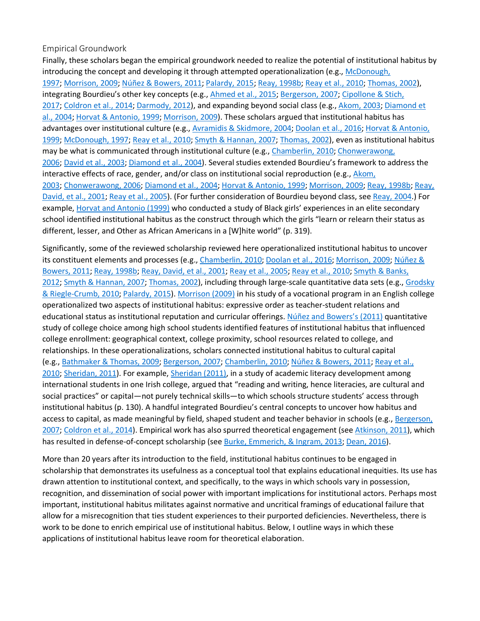#### Empirical Groundwork

Finally, these scholars began the empirical groundwork needed to realize the potential of institutional habitus by introducing the concept and developing it through attempted operationalization (e.g., [McDonough,](https://0-journals-sagepub-com.libus.csd.mu.edu/doi/full/10.3102/0034654318812915)  [1997;](https://0-journals-sagepub-com.libus.csd.mu.edu/doi/full/10.3102/0034654318812915) [Morrison, 2009;](https://0-journals-sagepub-com.libus.csd.mu.edu/doi/full/10.3102/0034654318812915) [Núñez & Bowers, 2011;](https://0-journals-sagepub-com.libus.csd.mu.edu/doi/full/10.3102/0034654318812915) [Palardy, 2015;](https://0-journals-sagepub-com.libus.csd.mu.edu/doi/full/10.3102/0034654318812915) [Reay, 1998b;](https://0-journals-sagepub-com.libus.csd.mu.edu/doi/full/10.3102/0034654318812915) [Reay et al., 2010;](https://0-journals-sagepub-com.libus.csd.mu.edu/doi/full/10.3102/0034654318812915) [Thomas, 2002\)](https://0-journals-sagepub-com.libus.csd.mu.edu/doi/full/10.3102/0034654318812915), integrating Bourdieu's other key concepts (e.g., [Ahmed et al., 2015;](https://0-journals-sagepub-com.libus.csd.mu.edu/doi/full/10.3102/0034654318812915) [Bergerson, 2007;](https://0-journals-sagepub-com.libus.csd.mu.edu/doi/full/10.3102/0034654318812915) [Cipollone & Stich,](https://0-journals-sagepub-com.libus.csd.mu.edu/doi/full/10.3102/0034654318812915)  [2017;](https://0-journals-sagepub-com.libus.csd.mu.edu/doi/full/10.3102/0034654318812915) [Coldron et al., 2014;](https://0-journals-sagepub-com.libus.csd.mu.edu/doi/full/10.3102/0034654318812915) [Darmody, 2012\)](https://0-journals-sagepub-com.libus.csd.mu.edu/doi/full/10.3102/0034654318812915), and expanding beyond social class (e.g., [Akom, 2003;](https://0-journals-sagepub-com.libus.csd.mu.edu/doi/full/10.3102/0034654318812915) [Diamond et](https://0-journals-sagepub-com.libus.csd.mu.edu/doi/full/10.3102/0034654318812915)  [al., 2004;](https://0-journals-sagepub-com.libus.csd.mu.edu/doi/full/10.3102/0034654318812915) [Horvat & Antonio, 1999;](https://0-journals-sagepub-com.libus.csd.mu.edu/doi/full/10.3102/0034654318812915) [Morrison, 2009\)](https://0-journals-sagepub-com.libus.csd.mu.edu/doi/full/10.3102/0034654318812915). These scholars argued that institutional habitus has advantages over institutional culture (e.g., [Avramidis & Skidmore, 2004;](https://0-journals-sagepub-com.libus.csd.mu.edu/doi/full/10.3102/0034654318812915) [Doolan et al., 2016;](https://0-journals-sagepub-com.libus.csd.mu.edu/doi/full/10.3102/0034654318812915) Horvat & Antonio, [1999;](https://0-journals-sagepub-com.libus.csd.mu.edu/doi/full/10.3102/0034654318812915) [McDonough, 1997;](https://0-journals-sagepub-com.libus.csd.mu.edu/doi/full/10.3102/0034654318812915) [Reay et al., 2010;](https://0-journals-sagepub-com.libus.csd.mu.edu/doi/full/10.3102/0034654318812915) [Smyth & Hannan, 2007;](https://0-journals-sagepub-com.libus.csd.mu.edu/doi/full/10.3102/0034654318812915) [Thomas, 2002\)](https://0-journals-sagepub-com.libus.csd.mu.edu/doi/full/10.3102/0034654318812915), even as institutional habitus may be what is communicated through institutional culture (e.g., [Chamberlin, 2010;](https://0-journals-sagepub-com.libus.csd.mu.edu/doi/full/10.3102/0034654318812915) [Chonwerawong,](https://0-journals-sagepub-com.libus.csd.mu.edu/doi/full/10.3102/0034654318812915)  [2006;](https://0-journals-sagepub-com.libus.csd.mu.edu/doi/full/10.3102/0034654318812915) [David et al., 2003;](https://0-journals-sagepub-com.libus.csd.mu.edu/doi/full/10.3102/0034654318812915) [Diamond et al., 2004\)](https://0-journals-sagepub-com.libus.csd.mu.edu/doi/full/10.3102/0034654318812915). Several studies extended Bourdieu's framework to address the interactive effects of race, gender, and/or class on institutional social reproduction (e.g., [Akom,](https://0-journals-sagepub-com.libus.csd.mu.edu/doi/full/10.3102/0034654318812915)  [2003;](https://0-journals-sagepub-com.libus.csd.mu.edu/doi/full/10.3102/0034654318812915) [Chonwerawong, 2006;](https://0-journals-sagepub-com.libus.csd.mu.edu/doi/full/10.3102/0034654318812915) [Diamond et al., 2004;](https://0-journals-sagepub-com.libus.csd.mu.edu/doi/full/10.3102/0034654318812915) [Horvat & Antonio, 1999;](https://0-journals-sagepub-com.libus.csd.mu.edu/doi/full/10.3102/0034654318812915) [Morrison, 2009;](https://0-journals-sagepub-com.libus.csd.mu.edu/doi/full/10.3102/0034654318812915) [Reay, 1998b;](https://0-journals-sagepub-com.libus.csd.mu.edu/doi/full/10.3102/0034654318812915) [Reay,](https://0-journals-sagepub-com.libus.csd.mu.edu/doi/full/10.3102/0034654318812915)  [David, et al., 2001;](https://0-journals-sagepub-com.libus.csd.mu.edu/doi/full/10.3102/0034654318812915) [Reay et al., 2005\)](https://0-journals-sagepub-com.libus.csd.mu.edu/doi/full/10.3102/0034654318812915). (For further consideration of Bourdieu beyond class, see [Reay, 2004.](https://0-journals-sagepub-com.libus.csd.mu.edu/doi/full/10.3102/0034654318812915)) For example, [Horvat and Antonio \(1999\)](https://0-journals-sagepub-com.libus.csd.mu.edu/doi/full/10.3102/0034654318812915) who conducted a study of Black girls' experiences in an elite secondary school identified institutional habitus as the construct through which the girls "learn or relearn their status as different, lesser, and Other as African Americans in a [W]hite world" (p. 319).

Significantly, some of the reviewed scholarship reviewed here operationalized institutional habitus to uncover its constituent elements and processes (e.g., [Chamberlin, 2010;](https://0-journals-sagepub-com.libus.csd.mu.edu/doi/full/10.3102/0034654318812915) [Doolan et al., 2016;](https://0-journals-sagepub-com.libus.csd.mu.edu/doi/full/10.3102/0034654318812915) [Morrison, 2009;](https://0-journals-sagepub-com.libus.csd.mu.edu/doi/full/10.3102/0034654318812915) [Núñez &](https://0-journals-sagepub-com.libus.csd.mu.edu/doi/full/10.3102/0034654318812915)  [Bowers, 2011;](https://0-journals-sagepub-com.libus.csd.mu.edu/doi/full/10.3102/0034654318812915) [Reay, 1998b;](https://0-journals-sagepub-com.libus.csd.mu.edu/doi/full/10.3102/0034654318812915) [Reay, David, et al., 2001;](https://0-journals-sagepub-com.libus.csd.mu.edu/doi/full/10.3102/0034654318812915) [Reay et al., 2005;](https://0-journals-sagepub-com.libus.csd.mu.edu/doi/full/10.3102/0034654318812915) [Reay et al., 2010;](https://0-journals-sagepub-com.libus.csd.mu.edu/doi/full/10.3102/0034654318812915) [Smyth & Banks,](https://0-journals-sagepub-com.libus.csd.mu.edu/doi/full/10.3102/0034654318812915)  [2012;](https://0-journals-sagepub-com.libus.csd.mu.edu/doi/full/10.3102/0034654318812915) [Smyth & Hannan, 2007;](https://0-journals-sagepub-com.libus.csd.mu.edu/doi/full/10.3102/0034654318812915) [Thomas, 2002\)](https://0-journals-sagepub-com.libus.csd.mu.edu/doi/full/10.3102/0034654318812915), including through large-scale quantitative data sets (e.g., [Grodsky](https://0-journals-sagepub-com.libus.csd.mu.edu/doi/full/10.3102/0034654318812915)  [& Riegle-Crumb, 2010;](https://0-journals-sagepub-com.libus.csd.mu.edu/doi/full/10.3102/0034654318812915) [Palardy, 2015\)](https://0-journals-sagepub-com.libus.csd.mu.edu/doi/full/10.3102/0034654318812915). [Morrison \(2009\)](https://0-journals-sagepub-com.libus.csd.mu.edu/doi/full/10.3102/0034654318812915) in his study of a vocational program in an English college operationalized two aspects of institutional habitus: expressive order as teacher-student relations and educational status as institutional reputation and curricular offerings. [Núñez and Bowers's \(2011\)](https://0-journals-sagepub-com.libus.csd.mu.edu/doi/full/10.3102/0034654318812915) quantitative study of college choice among high school students identified features of institutional habitus that influenced college enrollment: geographical context, college proximity, school resources related to college, and relationships. In these operationalizations, scholars connected institutional habitus to cultural capital (e.g., [Bathmaker & Thomas, 2009;](https://0-journals-sagepub-com.libus.csd.mu.edu/doi/full/10.3102/0034654318812915) [Bergerson, 2007;](https://0-journals-sagepub-com.libus.csd.mu.edu/doi/full/10.3102/0034654318812915) [Chamberlin, 2010;](https://0-journals-sagepub-com.libus.csd.mu.edu/doi/full/10.3102/0034654318812915) [Núñez & Bowers, 2011;](https://0-journals-sagepub-com.libus.csd.mu.edu/doi/full/10.3102/0034654318812915) [Reay et al.,](https://0-journals-sagepub-com.libus.csd.mu.edu/doi/full/10.3102/0034654318812915)  [2010;](https://0-journals-sagepub-com.libus.csd.mu.edu/doi/full/10.3102/0034654318812915) [Sheridan, 2011\)](https://0-journals-sagepub-com.libus.csd.mu.edu/doi/full/10.3102/0034654318812915). For example, [Sheridan \(2011\),](https://0-journals-sagepub-com.libus.csd.mu.edu/doi/full/10.3102/0034654318812915) in a study of academic literacy development among international students in one Irish college, argued that "reading and writing, hence literacies, are cultural and social practices" or capital—not purely technical skills—to which schools structure students' access through institutional habitus (p. 130). A handful integrated Bourdieu's central concepts to uncover how habitus and access to capital, as made meaningful by field, shaped student and teacher behavior in schools (e.g., Bergerson, [2007;](https://0-journals-sagepub-com.libus.csd.mu.edu/doi/full/10.3102/0034654318812915) [Coldron et al., 2014\)](https://0-journals-sagepub-com.libus.csd.mu.edu/doi/full/10.3102/0034654318812915). Empirical work has also spurred theoretical engagement (see [Atkinson, 2011\)](https://0-journals-sagepub-com.libus.csd.mu.edu/doi/full/10.3102/0034654318812915), which has resulted in defense-of-concept scholarship (see [Burke, Emmerich,](https://0-journals-sagepub-com.libus.csd.mu.edu/doi/full/10.3102/0034654318812915) & Ingram, 2013; [Dean, 2016\)](https://0-journals-sagepub-com.libus.csd.mu.edu/doi/full/10.3102/0034654318812915).

More than 20 years after its introduction to the field, institutional habitus continues to be engaged in scholarship that demonstrates its usefulness as a conceptual tool that explains educational inequities. Its use has drawn attention to institutional context, and specifically, to the ways in which schools vary in possession, recognition, and dissemination of social power with important implications for institutional actors. Perhaps most important, institutional habitus militates against normative and uncritical framings of educational failure that allow for a misrecognition that ties student experiences to their purported deficiencies. Nevertheless, there is work to be done to enrich empirical use of institutional habitus. Below, I outline ways in which these applications of institutional habitus leave room for theoretical elaboration.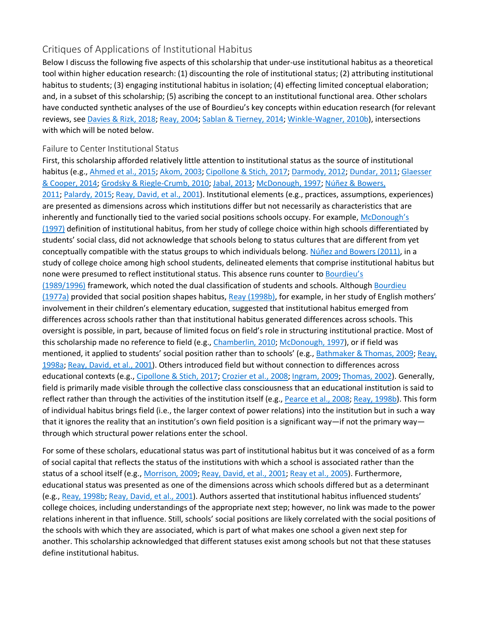## Critiques of Applications of Institutional Habitus

Below I discuss the following five aspects of this scholarship that under-use institutional habitus as a theoretical tool within higher education research: (1) discounting the role of institutional status; (2) attributing institutional habitus to students; (3) engaging institutional habitus in isolation; (4) effecting limited conceptual elaboration; and, in a subset of this scholarship; (5) ascribing the concept to an institutional functional area. Other scholars have conducted synthetic analyses of the use of Bourdieu's key concepts within education research (for relevant reviews, see [Davies & Rizk, 2018;](https://0-journals-sagepub-com.libus.csd.mu.edu/doi/full/10.3102/0034654318812915) [Reay, 2004;](https://0-journals-sagepub-com.libus.csd.mu.edu/doi/full/10.3102/0034654318812915) [Sablan & Tierney, 2014;](https://0-journals-sagepub-com.libus.csd.mu.edu/doi/full/10.3102/0034654318812915) [Winkle-Wagner, 2010b\)](https://0-journals-sagepub-com.libus.csd.mu.edu/doi/full/10.3102/0034654318812915), intersections with which will be noted below.

#### Failure to Center Institutional Status

First, this scholarship afforded relatively little attention to institutional status as the source of institutional habitus (e.g., [Ahmed et al., 2015;](https://0-journals-sagepub-com.libus.csd.mu.edu/doi/full/10.3102/0034654318812915) [Akom, 2003;](https://0-journals-sagepub-com.libus.csd.mu.edu/doi/full/10.3102/0034654318812915) [Cipollone & Stich, 2017;](https://0-journals-sagepub-com.libus.csd.mu.edu/doi/full/10.3102/0034654318812915) [Darmody, 2012;](https://0-journals-sagepub-com.libus.csd.mu.edu/doi/full/10.3102/0034654318812915) [Dundar, 2011;](https://0-journals-sagepub-com.libus.csd.mu.edu/doi/full/10.3102/0034654318812915) [Glaesser](https://0-journals-sagepub-com.libus.csd.mu.edu/doi/full/10.3102/0034654318812915)  [& Cooper, 2014;](https://0-journals-sagepub-com.libus.csd.mu.edu/doi/full/10.3102/0034654318812915) [Grodsky & Riegle-Crumb, 2010;](https://0-journals-sagepub-com.libus.csd.mu.edu/doi/full/10.3102/0034654318812915) [Jabal, 2013;](https://0-journals-sagepub-com.libus.csd.mu.edu/doi/full/10.3102/0034654318812915) [McDonough, 1997;](https://0-journals-sagepub-com.libus.csd.mu.edu/doi/full/10.3102/0034654318812915) [Núñez & Bowers,](https://0-journals-sagepub-com.libus.csd.mu.edu/doi/full/10.3102/0034654318812915)  [2011;](https://0-journals-sagepub-com.libus.csd.mu.edu/doi/full/10.3102/0034654318812915) [Palardy, 2015;](https://0-journals-sagepub-com.libus.csd.mu.edu/doi/full/10.3102/0034654318812915) [Reay, David, et al., 2001\)](https://0-journals-sagepub-com.libus.csd.mu.edu/doi/full/10.3102/0034654318812915). Institutional elements (e.g., practices, assumptions, experiences) are presented as dimensions across which institutions differ but not necessarily as characteristics that are inherently and functionally tied to the varied social positions schools occupy. For example, [McDonough's](https://0-journals-sagepub-com.libus.csd.mu.edu/doi/full/10.3102/0034654318812915)  [\(1997\)](https://0-journals-sagepub-com.libus.csd.mu.edu/doi/full/10.3102/0034654318812915) definition of institutional habitus, from her study of college choice within high schools differentiated by students' social class, did not acknowledge that schools belong to status cultures that are different from yet conceptually compatible with the status groups to which individuals belong. [Núñez and Bowers \(2011\),](https://0-journals-sagepub-com.libus.csd.mu.edu/doi/full/10.3102/0034654318812915) in a study of college choice among high school students, delineated elements that comprise institutional habitus but none were presumed to reflect institutional status. This absence runs counter to Bourdieu's [\(1989/1996\)](https://0-journals-sagepub-com.libus.csd.mu.edu/doi/full/10.3102/0034654318812915) framework, which noted the dual classification of students and schools. Although [Bourdieu](https://0-journals-sagepub-com.libus.csd.mu.edu/doi/full/10.3102/0034654318812915)  [\(1977a\)](https://0-journals-sagepub-com.libus.csd.mu.edu/doi/full/10.3102/0034654318812915) provided that social position shapes habitus, [Reay \(1998b\),](https://0-journals-sagepub-com.libus.csd.mu.edu/doi/full/10.3102/0034654318812915) for example, in her study of English mothers' involvement in their children's elementary education, suggested that institutional habitus emerged from differences across schools rather than that institutional habitus generated differences across schools. This oversight is possible, in part, because of limited focus on field's role in structuring institutional practice. Most of this scholarship made no reference to field (e.g., [Chamberlin, 2010;](https://0-journals-sagepub-com.libus.csd.mu.edu/doi/full/10.3102/0034654318812915) [McDonough, 1997\)](https://0-journals-sagepub-com.libus.csd.mu.edu/doi/full/10.3102/0034654318812915), or if field was mentioned, it applied to students' social position rather than to schools' (e.g., [Bathmaker & Thomas, 2009;](https://0-journals-sagepub-com.libus.csd.mu.edu/doi/full/10.3102/0034654318812915) Reay, [1998a;](https://0-journals-sagepub-com.libus.csd.mu.edu/doi/full/10.3102/0034654318812915) [Reay, David, et al., 2001\)](https://0-journals-sagepub-com.libus.csd.mu.edu/doi/full/10.3102/0034654318812915). Others introduced field but without connection to differences across educational contexts (e.g., [Cipollone & Stich, 2017;](https://0-journals-sagepub-com.libus.csd.mu.edu/doi/full/10.3102/0034654318812915) [Crozier et al., 2008;](https://0-journals-sagepub-com.libus.csd.mu.edu/doi/full/10.3102/0034654318812915) [Ingram, 2009;](https://0-journals-sagepub-com.libus.csd.mu.edu/doi/full/10.3102/0034654318812915) [Thomas, 2002\)](https://0-journals-sagepub-com.libus.csd.mu.edu/doi/full/10.3102/0034654318812915). Generally, field is primarily made visible through the collective class consciousness that an educational institution is said to reflect rather than through the activities of the institution itself (e.g., [Pearce et al., 2008;](https://0-journals-sagepub-com.libus.csd.mu.edu/doi/full/10.3102/0034654318812915) [Reay, 1998b\)](https://0-journals-sagepub-com.libus.csd.mu.edu/doi/full/10.3102/0034654318812915). This form of individual habitus brings field (i.e., the larger context of power relations) into the institution but in such a way that it ignores the reality that an institution's own field position is a significant way—if not the primary way through which structural power relations enter the school.

For some of these scholars, educational status was part of institutional habitus but it was conceived of as a form of social capital that reflects the status of the institutions with which a school is associated rather than the status of a school itself (e.g., [Morrison, 2009;](https://0-journals-sagepub-com.libus.csd.mu.edu/doi/full/10.3102/0034654318812915) [Reay, David, et al., 2001;](https://0-journals-sagepub-com.libus.csd.mu.edu/doi/full/10.3102/0034654318812915) [Reay et al., 2005\)](https://0-journals-sagepub-com.libus.csd.mu.edu/doi/full/10.3102/0034654318812915). Furthermore, educational status was presented as one of the dimensions across which schools differed but as a determinant (e.g., [Reay, 1998b;](https://0-journals-sagepub-com.libus.csd.mu.edu/doi/full/10.3102/0034654318812915) [Reay, David, et al., 2001\)](https://0-journals-sagepub-com.libus.csd.mu.edu/doi/full/10.3102/0034654318812915). Authors asserted that institutional habitus influenced students' college choices, including understandings of the appropriate next step; however, no link was made to the power relations inherent in that influence. Still, schools' social positions are likely correlated with the social positions of the schools with which they are associated, which is part of what makes one school a given next step for another. This scholarship acknowledged that different statuses exist among schools but not that these statuses define institutional habitus.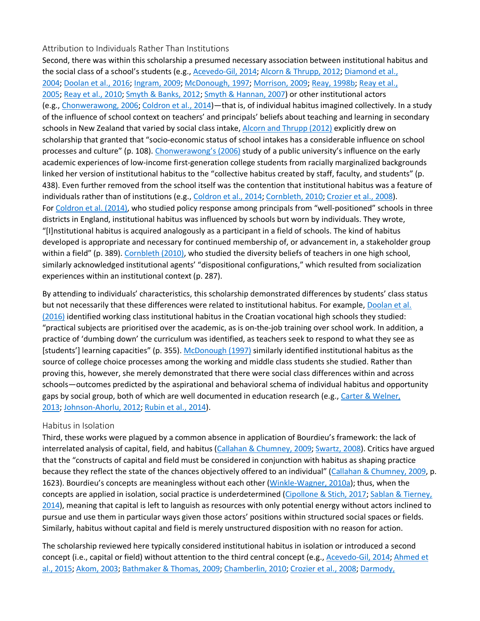#### Attribution to Individuals Rather Than Institutions

Second, there was within this scholarship a presumed necessary association between institutional habitus and the social class of a school's students (e.g., [Acevedo-Gil, 2014;](https://0-journals-sagepub-com.libus.csd.mu.edu/doi/full/10.3102/0034654318812915) [Alcorn & Thrupp, 2012;](https://0-journals-sagepub-com.libus.csd.mu.edu/doi/full/10.3102/0034654318812915) [Diamond et al.,](https://0-journals-sagepub-com.libus.csd.mu.edu/doi/full/10.3102/0034654318812915)  [2004;](https://0-journals-sagepub-com.libus.csd.mu.edu/doi/full/10.3102/0034654318812915) [Doolan et al., 2016;](https://0-journals-sagepub-com.libus.csd.mu.edu/doi/full/10.3102/0034654318812915) [Ingram, 2009;](https://0-journals-sagepub-com.libus.csd.mu.edu/doi/full/10.3102/0034654318812915) [McDonough, 1997;](https://0-journals-sagepub-com.libus.csd.mu.edu/doi/full/10.3102/0034654318812915) [Morrison, 2009;](https://0-journals-sagepub-com.libus.csd.mu.edu/doi/full/10.3102/0034654318812915) [Reay, 1998b;](https://0-journals-sagepub-com.libus.csd.mu.edu/doi/full/10.3102/0034654318812915) [Reay et al.,](https://0-journals-sagepub-com.libus.csd.mu.edu/doi/full/10.3102/0034654318812915)  [2005;](https://0-journals-sagepub-com.libus.csd.mu.edu/doi/full/10.3102/0034654318812915) [Reay et al., 2010;](https://0-journals-sagepub-com.libus.csd.mu.edu/doi/full/10.3102/0034654318812915) [Smyth & Banks, 2012;](https://0-journals-sagepub-com.libus.csd.mu.edu/doi/full/10.3102/0034654318812915) [Smyth & Hannan, 2007\)](https://0-journals-sagepub-com.libus.csd.mu.edu/doi/full/10.3102/0034654318812915) or other institutional actors (e.g., [Chonwerawong, 2006;](https://0-journals-sagepub-com.libus.csd.mu.edu/doi/full/10.3102/0034654318812915) [Coldron et al., 2014\)](https://0-journals-sagepub-com.libus.csd.mu.edu/doi/full/10.3102/0034654318812915)—that is, of individual habitus imagined collectively. In a study of the influence of school context on teachers' and principals' beliefs about teaching and learning in secondary schools in New Zealand that varied by social class intake, [Alcorn and Thrupp \(2012\)](https://0-journals-sagepub-com.libus.csd.mu.edu/doi/full/10.3102/0034654318812915) explicitly drew on scholarship that granted that "socio-economic status of school intakes has a considerable influence on school processes and culture" (p. 108). [Chonwerawong's \(2006\)](https://0-journals-sagepub-com.libus.csd.mu.edu/doi/full/10.3102/0034654318812915) study of a public university's influence on the early academic experiences of low-income first-generation college students from racially marginalized backgrounds linked her version of institutional habitus to the "collective habitus created by staff, faculty, and students" (p. 438). Even further removed from the school itself was the contention that institutional habitus was a feature of individuals rather than of institutions (e.g., [Coldron et al., 2014;](https://0-journals-sagepub-com.libus.csd.mu.edu/doi/full/10.3102/0034654318812915) [Cornbleth, 2010;](https://0-journals-sagepub-com.libus.csd.mu.edu/doi/full/10.3102/0034654318812915) [Crozier et al., 2008\)](https://0-journals-sagepub-com.libus.csd.mu.edu/doi/full/10.3102/0034654318812915). For [Coldron et al. \(2014\),](https://0-journals-sagepub-com.libus.csd.mu.edu/doi/full/10.3102/0034654318812915) who studied policy response among principals from "well-positioned" schools in three districts in England, institutional habitus was influenced by schools but worn by individuals. They wrote, "[I]nstitutional habitus is acquired analogously as a participant in a field of schools. The kind of habitus developed is appropriate and necessary for continued membership of, or advancement in, a stakeholder group within a field" (p. 389). [Cornbleth \(2010\),](https://0-journals-sagepub-com.libus.csd.mu.edu/doi/full/10.3102/0034654318812915) who studied the diversity beliefs of teachers in one high school, similarly acknowledged institutional agents' "dispositional configurations," which resulted from socialization experiences within an institutional context (p. 287).

By attending to individuals' characteristics, this scholarship demonstrated differences by students' class status but not necessarily that these differences were related to institutional habitus. For example, Doolan et al. [\(2016\)](https://0-journals-sagepub-com.libus.csd.mu.edu/doi/full/10.3102/0034654318812915) identified working class institutional habitus in the Croatian vocational high schools they studied: "practical subjects are prioritised over the academic, as is on-the-job training over school work. In addition, a practice of 'dumbing down' the curriculum was identified, as teachers seek to respond to what they see as [students'] learning capacities" (p. 355). [McDonough \(1997\)](https://0-journals-sagepub-com.libus.csd.mu.edu/doi/full/10.3102/0034654318812915) similarly identified institutional habitus as the source of college choice processes among the working and middle class students she studied. Rather than proving this, however, she merely demonstrated that there were social class differences within and across schools—outcomes predicted by the aspirational and behavioral schema of individual habitus and opportunity gaps by social group, both of which are well documented in education research (e.g., Carter & Welner, [2013;](https://0-journals-sagepub-com.libus.csd.mu.edu/doi/full/10.3102/0034654318812915) [Johnson-Ahorlu, 2012;](https://0-journals-sagepub-com.libus.csd.mu.edu/doi/full/10.3102/0034654318812915) [Rubin et al., 2014\)](https://0-journals-sagepub-com.libus.csd.mu.edu/doi/full/10.3102/0034654318812915).

#### Habitus in Isolation

Third, these works were plagued by a common absence in application of Bourdieu's framework: the lack of interrelated analysis of capital, field, and habitus [\(Callahan & Chumney, 2009;](https://0-journals-sagepub-com.libus.csd.mu.edu/doi/full/10.3102/0034654318812915) [Swartz, 2008\)](https://0-journals-sagepub-com.libus.csd.mu.edu/doi/full/10.3102/0034654318812915). Critics have argued that the "constructs of capital and field must be considered in conjunction with habitus as shaping practice because they reflect the state of the chances objectively offered to an individual" [\(Callahan & Chumney, 2009,](https://0-journals-sagepub-com.libus.csd.mu.edu/doi/full/10.3102/0034654318812915) p. 1623). Bourdieu's concepts are meaningless without each other [\(Winkle-Wagner, 2010a\)](https://0-journals-sagepub-com.libus.csd.mu.edu/doi/full/10.3102/0034654318812915); thus, when the concepts are applied in isolation, social practice is underdetermined [\(Cipollone & Stich, 2017;](https://0-journals-sagepub-com.libus.csd.mu.edu/doi/full/10.3102/0034654318812915) [Sablan & Tierney,](https://0-journals-sagepub-com.libus.csd.mu.edu/doi/full/10.3102/0034654318812915)  [2014\)](https://0-journals-sagepub-com.libus.csd.mu.edu/doi/full/10.3102/0034654318812915), meaning that capital is left to languish as resources with only potential energy without actors inclined to pursue and use them in particular ways given those actors' positions within structured social spaces or fields. Similarly, habitus without capital and field is merely unstructured disposition with no reason for action.

The scholarship reviewed here typically considered institutional habitus in isolation or introduced a second concept (i.e., capital or field) without attention to the third central concept (e.g., [Acevedo-Gil, 2014;](https://0-journals-sagepub-com.libus.csd.mu.edu/doi/full/10.3102/0034654318812915) [Ahmed et](https://0-journals-sagepub-com.libus.csd.mu.edu/doi/full/10.3102/0034654318812915)  [al., 2015;](https://0-journals-sagepub-com.libus.csd.mu.edu/doi/full/10.3102/0034654318812915) [Akom, 2003;](https://0-journals-sagepub-com.libus.csd.mu.edu/doi/full/10.3102/0034654318812915) [Bathmaker & Thomas, 2009;](https://0-journals-sagepub-com.libus.csd.mu.edu/doi/full/10.3102/0034654318812915) [Chamberlin, 2010;](https://0-journals-sagepub-com.libus.csd.mu.edu/doi/full/10.3102/0034654318812915) [Crozier et al., 2008;](https://0-journals-sagepub-com.libus.csd.mu.edu/doi/full/10.3102/0034654318812915) [Darmody,](https://0-journals-sagepub-com.libus.csd.mu.edu/doi/full/10.3102/0034654318812915)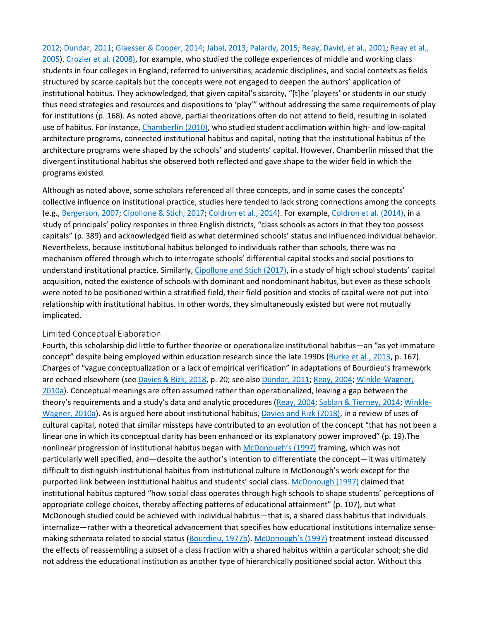[2012;](https://0-journals-sagepub-com.libus.csd.mu.edu/doi/full/10.3102/0034654318812915) [Dundar, 2011;](https://0-journals-sagepub-com.libus.csd.mu.edu/doi/full/10.3102/0034654318812915) [Glaesser & Cooper, 2014;](https://0-journals-sagepub-com.libus.csd.mu.edu/doi/full/10.3102/0034654318812915) [Jabal, 2013;](https://0-journals-sagepub-com.libus.csd.mu.edu/doi/full/10.3102/0034654318812915) [Palardy, 2015;](https://0-journals-sagepub-com.libus.csd.mu.edu/doi/full/10.3102/0034654318812915) [Reay, David, et al., 2001;](https://0-journals-sagepub-com.libus.csd.mu.edu/doi/full/10.3102/0034654318812915) [Reay et al.,](https://0-journals-sagepub-com.libus.csd.mu.edu/doi/full/10.3102/0034654318812915)  [2005\)](https://0-journals-sagepub-com.libus.csd.mu.edu/doi/full/10.3102/0034654318812915). [Crozier et al. \(2008\),](https://0-journals-sagepub-com.libus.csd.mu.edu/doi/full/10.3102/0034654318812915) for example, who studied the college experiences of middle and working class students in four colleges in England, referred to universities, academic disciplines, and social contexts as fields structured by scarce capitals but the concepts were not engaged to deepen the authors' application of institutional habitus. They acknowledged, that given capital's scarcity, "[t]he 'players' or students in our study thus need strategies and resources and dispositions to 'play'" without addressing the same requirements of play for institutions (p. 168). As noted above, partial theorizations often do not attend to field, resulting in isolated use of habitus. For instance, [Chamberlin \(2010\),](https://0-journals-sagepub-com.libus.csd.mu.edu/doi/full/10.3102/0034654318812915) who studied student acclimation within high- and low-capital architecture programs, connected institutional habitus and capital, noting that the institutional habitus of the architecture programs were shaped by the schools' and students' capital. However, Chamberlin missed that the divergent institutional habitus she observed both reflected and gave shape to the wider field in which the programs existed.

Although as noted above, some scholars referenced all three concepts, and in some cases the concepts' collective influence on institutional practice, studies here tended to lack strong connections among the concepts (e.g., [Bergerson, 2007;](https://0-journals-sagepub-com.libus.csd.mu.edu/doi/full/10.3102/0034654318812915) [Cipollone & Stich, 2017;](https://0-journals-sagepub-com.libus.csd.mu.edu/doi/full/10.3102/0034654318812915) [Coldron et al., 2014\)](https://0-journals-sagepub-com.libus.csd.mu.edu/doi/full/10.3102/0034654318812915). For example, [Coldron et al. \(2014\),](https://0-journals-sagepub-com.libus.csd.mu.edu/doi/full/10.3102/0034654318812915) in a study of principals' policy responses in three English districts, "class schools as actors in that they too possess capitals" (p. 389) and acknowledged field as what determined schools' status and influenced individual behavior. Nevertheless, because institutional habitus belonged to individuals rather than schools, there was no mechanism offered through which to interrogate schools' differential capital stocks and social positions to understand institutional practice. Similarly, [Cipollone and Stich \(2017\),](https://0-journals-sagepub-com.libus.csd.mu.edu/doi/full/10.3102/0034654318812915) in a study of high school students' capital acquisition, noted the existence of schools with dominant and nondominant habitus, but even as these schools were noted to be positioned within a stratified field, their field position and stocks of capital were not put into relationship with institutional habitus. In other words, they simultaneously existed but were not mutually implicated.

#### Limited Conceptual Elaboration

Fourth, this scholarship did little to further theorize or operationalize institutional habitus—an "as yet immature concept" despite being employed within education research since the late 1990s [\(Burke et al., 2013,](https://0-journals-sagepub-com.libus.csd.mu.edu/doi/full/10.3102/0034654318812915) p. 167). Charges of "vague conceptualization or a lack of empirical verification" in adaptations of Bourdieu's framework are echoed elsewhere (see [Davies & Rizk, 2018,](https://0-journals-sagepub-com.libus.csd.mu.edu/doi/full/10.3102/0034654318812915) p. 20; see also [Dundar, 2011;](https://0-journals-sagepub-com.libus.csd.mu.edu/doi/full/10.3102/0034654318812915) [Reay, 2004;](https://0-journals-sagepub-com.libus.csd.mu.edu/doi/full/10.3102/0034654318812915) [Winkle-Wagner,](https://0-journals-sagepub-com.libus.csd.mu.edu/doi/full/10.3102/0034654318812915)  [2010a\)](https://0-journals-sagepub-com.libus.csd.mu.edu/doi/full/10.3102/0034654318812915). Conceptual meanings are often assumed rather than operationalized, leaving a gap between the theory's requirements and a study's data and analytic procedures [\(Reay, 2004;](https://0-journals-sagepub-com.libus.csd.mu.edu/doi/full/10.3102/0034654318812915) [Sablan & Tierney, 2014;](https://0-journals-sagepub-com.libus.csd.mu.edu/doi/full/10.3102/0034654318812915) [Winkle-](https://0-journals-sagepub-com.libus.csd.mu.edu/doi/full/10.3102/0034654318812915)[Wagner, 2010a\)](https://0-journals-sagepub-com.libus.csd.mu.edu/doi/full/10.3102/0034654318812915). As is argued here about institutional habitus, [Davies and Rizk \(2018\),](https://0-journals-sagepub-com.libus.csd.mu.edu/doi/full/10.3102/0034654318812915) in a review of uses of cultural capital, noted that similar missteps have contributed to an evolution of the concept "that has not been a linear one in which its conceptual clarity has been enhanced or its explanatory power improved" (p. 19).The nonlinear progression of institutional habitus began with [McDonough's \(1997\)](https://0-journals-sagepub-com.libus.csd.mu.edu/doi/full/10.3102/0034654318812915) framing, which was not particularly well specified, and—despite the author's intention to differentiate the concept—it was ultimately difficult to distinguish institutional habitus from institutional culture in McDonough's work except for the purported link between institutional habitus and students' social class. [McDonough \(1997\)](https://0-journals-sagepub-com.libus.csd.mu.edu/doi/full/10.3102/0034654318812915) claimed that institutional habitus captured "how social class operates through high schools to shape students' perceptions of appropriate college choices, thereby affecting patterns of educational attainment" (p. 107), but what McDonough studied could be achieved with individual habitus—that is, a shared class habitus that individuals internalize—rather with a theoretical advancement that specifies how educational institutions internalize sense-making schemata related to social status [\(Bourdieu, 1977b\)](https://0-journals-sagepub-com.libus.csd.mu.edu/doi/full/10.3102/0034654318812915). [McDonough's \(1997\)](https://0-journals-sagepub-com.libus.csd.mu.edu/doi/full/10.3102/0034654318812915) treatment instead discussed the effects of reassembling a subset of a class fraction with a shared habitus within a particular school; she did not address the educational institution as another type of hierarchically positioned social actor. Without this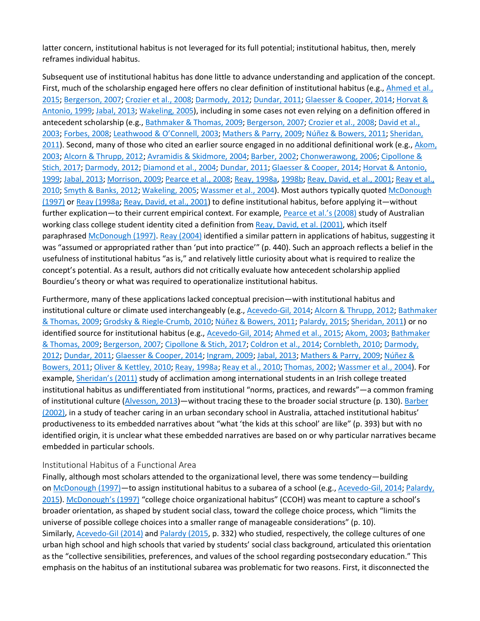latter concern, institutional habitus is not leveraged for its full potential; institutional habitus, then, merely reframes individual habitus.

Subsequent use of institutional habitus has done little to advance understanding and application of the concept. First, much of the scholarship engaged here offers no clear definition of institutional habitus (e.g., [Ahmed et al.,](https://0-journals-sagepub-com.libus.csd.mu.edu/doi/full/10.3102/0034654318812915)  [2015;](https://0-journals-sagepub-com.libus.csd.mu.edu/doi/full/10.3102/0034654318812915) [Bergerson, 2007;](https://0-journals-sagepub-com.libus.csd.mu.edu/doi/full/10.3102/0034654318812915) [Crozier et al., 2008;](https://0-journals-sagepub-com.libus.csd.mu.edu/doi/full/10.3102/0034654318812915) [Darmody, 2012;](https://0-journals-sagepub-com.libus.csd.mu.edu/doi/full/10.3102/0034654318812915) [Dundar, 2011;](https://0-journals-sagepub-com.libus.csd.mu.edu/doi/full/10.3102/0034654318812915) [Glaesser & Cooper, 2014;](https://0-journals-sagepub-com.libus.csd.mu.edu/doi/full/10.3102/0034654318812915) [Horvat &](https://0-journals-sagepub-com.libus.csd.mu.edu/doi/full/10.3102/0034654318812915)  [Antonio, 1999;](https://0-journals-sagepub-com.libus.csd.mu.edu/doi/full/10.3102/0034654318812915) [Jabal, 2013;](https://0-journals-sagepub-com.libus.csd.mu.edu/doi/full/10.3102/0034654318812915) [Wakeling, 2005\)](https://0-journals-sagepub-com.libus.csd.mu.edu/doi/full/10.3102/0034654318812915), including in some cases not even relying on a definition offered in antecedent scholarship (e.g., [Bathmaker & Thomas, 2009;](https://0-journals-sagepub-com.libus.csd.mu.edu/doi/full/10.3102/0034654318812915) [Bergerson, 2007;](https://0-journals-sagepub-com.libus.csd.mu.edu/doi/full/10.3102/0034654318812915) [Crozier et al., 2008;](https://0-journals-sagepub-com.libus.csd.mu.edu/doi/full/10.3102/0034654318812915) David et al., [2003;](https://0-journals-sagepub-com.libus.csd.mu.edu/doi/full/10.3102/0034654318812915) [Forbes, 2008;](https://0-journals-sagepub-com.libus.csd.mu.edu/doi/full/10.3102/0034654318812915) [Leathwood & O'Connell, 2003](https://0-journals-sagepub-com.libus.csd.mu.edu/doi/full/10.3102/0034654318812915); [Mathers & Parry, 2009;](https://0-journals-sagepub-com.libus.csd.mu.edu/doi/full/10.3102/0034654318812915) [Núñez & Bowers, 2011;](https://0-journals-sagepub-com.libus.csd.mu.edu/doi/full/10.3102/0034654318812915) [Sheridan,](https://0-journals-sagepub-com.libus.csd.mu.edu/doi/full/10.3102/0034654318812915)  [2011\)](https://0-journals-sagepub-com.libus.csd.mu.edu/doi/full/10.3102/0034654318812915). Second, many of those who cited an earlier source engaged in no additional definitional work (e.g., Akom, [2003;](https://0-journals-sagepub-com.libus.csd.mu.edu/doi/full/10.3102/0034654318812915) [Alcorn & Thrupp, 2012;](https://0-journals-sagepub-com.libus.csd.mu.edu/doi/full/10.3102/0034654318812915) [Avramidis & Skidmore, 2004;](https://0-journals-sagepub-com.libus.csd.mu.edu/doi/full/10.3102/0034654318812915) [Barber, 2002;](https://0-journals-sagepub-com.libus.csd.mu.edu/doi/full/10.3102/0034654318812915) [Chonwerawong, 2006;](https://0-journals-sagepub-com.libus.csd.mu.edu/doi/full/10.3102/0034654318812915) [Cipollone &](https://0-journals-sagepub-com.libus.csd.mu.edu/doi/full/10.3102/0034654318812915)  [Stich, 2017;](https://0-journals-sagepub-com.libus.csd.mu.edu/doi/full/10.3102/0034654318812915) [Darmody, 2012;](https://0-journals-sagepub-com.libus.csd.mu.edu/doi/full/10.3102/0034654318812915) [Diamond et al., 2004;](https://0-journals-sagepub-com.libus.csd.mu.edu/doi/full/10.3102/0034654318812915) [Dundar, 2011;](https://0-journals-sagepub-com.libus.csd.mu.edu/doi/full/10.3102/0034654318812915) [Glaesser & Cooper, 2014;](https://0-journals-sagepub-com.libus.csd.mu.edu/doi/full/10.3102/0034654318812915) [Horvat & Antonio,](https://0-journals-sagepub-com.libus.csd.mu.edu/doi/full/10.3102/0034654318812915)  [1999;](https://0-journals-sagepub-com.libus.csd.mu.edu/doi/full/10.3102/0034654318812915) [Jabal, 2013;](https://0-journals-sagepub-com.libus.csd.mu.edu/doi/full/10.3102/0034654318812915) [Morrison, 2009;](https://0-journals-sagepub-com.libus.csd.mu.edu/doi/full/10.3102/0034654318812915) [Pearce et al., 2008;](https://0-journals-sagepub-com.libus.csd.mu.edu/doi/full/10.3102/0034654318812915) [Reay, 1998a,](https://0-journals-sagepub-com.libus.csd.mu.edu/doi/full/10.3102/0034654318812915) [1998b;](https://0-journals-sagepub-com.libus.csd.mu.edu/doi/full/10.3102/0034654318812915) [Reay, David, et al., 2001;](https://0-journals-sagepub-com.libus.csd.mu.edu/doi/full/10.3102/0034654318812915) [Reay et al.,](https://0-journals-sagepub-com.libus.csd.mu.edu/doi/full/10.3102/0034654318812915)  [2010;](https://0-journals-sagepub-com.libus.csd.mu.edu/doi/full/10.3102/0034654318812915) [Smyth & Banks, 2012;](https://0-journals-sagepub-com.libus.csd.mu.edu/doi/full/10.3102/0034654318812915) [Wakeling, 2005;](https://0-journals-sagepub-com.libus.csd.mu.edu/doi/full/10.3102/0034654318812915) [Wassmer et al., 2004\)](https://0-journals-sagepub-com.libus.csd.mu.edu/doi/full/10.3102/0034654318812915). Most authors typically quoted [McDonough](https://0-journals-sagepub-com.libus.csd.mu.edu/doi/full/10.3102/0034654318812915)  [\(1997\)](https://0-journals-sagepub-com.libus.csd.mu.edu/doi/full/10.3102/0034654318812915) or [Reay \(1998a;](https://0-journals-sagepub-com.libus.csd.mu.edu/doi/full/10.3102/0034654318812915) [Reay, David, et al., 2001\)](https://0-journals-sagepub-com.libus.csd.mu.edu/doi/full/10.3102/0034654318812915) to define institutional habitus, before applying it—without further explication—to their current empirical context. For example, [Pearce et al.'s \(2008\)](https://0-journals-sagepub-com.libus.csd.mu.edu/doi/full/10.3102/0034654318812915) study of Australian working class college student identity cited a definition from [Reay, David, et al. \(2001\),](https://0-journals-sagepub-com.libus.csd.mu.edu/doi/full/10.3102/0034654318812915) which itself paraphrased [McDonough \(1997\).](https://0-journals-sagepub-com.libus.csd.mu.edu/doi/full/10.3102/0034654318812915) [Reay \(2004\)](https://0-journals-sagepub-com.libus.csd.mu.edu/doi/full/10.3102/0034654318812915) identified a similar pattern in applications of habitus, suggesting it was "assumed or appropriated rather than 'put into practice'" (p. 440). Such an approach reflects a belief in the usefulness of institutional habitus "as is," and relatively little curiosity about what is required to realize the concept's potential. As a result, authors did not critically evaluate how antecedent scholarship applied Bourdieu's theory or what was required to operationalize institutional habitus.

Furthermore, many of these applications lacked conceptual precision—with institutional habitus and institutional culture or climate used interchangeably (e.g., [Acevedo-Gil, 2014;](https://0-journals-sagepub-com.libus.csd.mu.edu/doi/full/10.3102/0034654318812915) [Alcorn & Thrupp, 2012;](https://0-journals-sagepub-com.libus.csd.mu.edu/doi/full/10.3102/0034654318812915) Bathmaker [& Thomas, 2009;](https://0-journals-sagepub-com.libus.csd.mu.edu/doi/full/10.3102/0034654318812915) [Grodsky & Riegle-Crumb, 2010;](https://0-journals-sagepub-com.libus.csd.mu.edu/doi/full/10.3102/0034654318812915) [Núñez & Bowers, 2011;](https://0-journals-sagepub-com.libus.csd.mu.edu/doi/full/10.3102/0034654318812915) [Palardy, 2015;](https://0-journals-sagepub-com.libus.csd.mu.edu/doi/full/10.3102/0034654318812915) [Sheridan, 2011\)](https://0-journals-sagepub-com.libus.csd.mu.edu/doi/full/10.3102/0034654318812915) or no identified source for institutional habitus (e.g., [Acevedo-Gil, 2014;](https://0-journals-sagepub-com.libus.csd.mu.edu/doi/full/10.3102/0034654318812915) [Ahmed et al., 2015;](https://0-journals-sagepub-com.libus.csd.mu.edu/doi/full/10.3102/0034654318812915) [Akom, 2003;](https://0-journals-sagepub-com.libus.csd.mu.edu/doi/full/10.3102/0034654318812915) [Bathmaker](https://0-journals-sagepub-com.libus.csd.mu.edu/doi/full/10.3102/0034654318812915)  [& Thomas, 2009;](https://0-journals-sagepub-com.libus.csd.mu.edu/doi/full/10.3102/0034654318812915) [Bergerson, 2007;](https://0-journals-sagepub-com.libus.csd.mu.edu/doi/full/10.3102/0034654318812915) [Cipollone & Stich, 2017;](https://0-journals-sagepub-com.libus.csd.mu.edu/doi/full/10.3102/0034654318812915) [Coldron et al., 2014;](https://0-journals-sagepub-com.libus.csd.mu.edu/doi/full/10.3102/0034654318812915) [Cornbleth, 2010;](https://0-journals-sagepub-com.libus.csd.mu.edu/doi/full/10.3102/0034654318812915) [Darmody,](https://0-journals-sagepub-com.libus.csd.mu.edu/doi/full/10.3102/0034654318812915)  [2012;](https://0-journals-sagepub-com.libus.csd.mu.edu/doi/full/10.3102/0034654318812915) [Dundar, 2011;](https://0-journals-sagepub-com.libus.csd.mu.edu/doi/full/10.3102/0034654318812915) [Glaesser & Cooper, 2014;](https://0-journals-sagepub-com.libus.csd.mu.edu/doi/full/10.3102/0034654318812915) [Ingram, 2009;](https://0-journals-sagepub-com.libus.csd.mu.edu/doi/full/10.3102/0034654318812915) [Jabal, 2013;](https://0-journals-sagepub-com.libus.csd.mu.edu/doi/full/10.3102/0034654318812915) [Mathers & Parry, 2009;](https://0-journals-sagepub-com.libus.csd.mu.edu/doi/full/10.3102/0034654318812915) [Núñez &](https://0-journals-sagepub-com.libus.csd.mu.edu/doi/full/10.3102/0034654318812915)  [Bowers, 2011;](https://0-journals-sagepub-com.libus.csd.mu.edu/doi/full/10.3102/0034654318812915) [Oliver & Kettley, 2010;](https://0-journals-sagepub-com.libus.csd.mu.edu/doi/full/10.3102/0034654318812915) [Reay, 1998a;](https://0-journals-sagepub-com.libus.csd.mu.edu/doi/full/10.3102/0034654318812915) [Reay et al., 2010;](https://0-journals-sagepub-com.libus.csd.mu.edu/doi/full/10.3102/0034654318812915) [Thomas, 2002;](https://0-journals-sagepub-com.libus.csd.mu.edu/doi/full/10.3102/0034654318812915) [Wassmer et al., 2004\)](https://0-journals-sagepub-com.libus.csd.mu.edu/doi/full/10.3102/0034654318812915). For example, [Sheridan's \(2011\)](https://0-journals-sagepub-com.libus.csd.mu.edu/doi/full/10.3102/0034654318812915) study of acclimation among international students in an Irish college treated institutional habitus as undifferentiated from institutional "norms, practices, and rewards"—a common framing of institutional culture [\(Alvesson, 2013\)](https://0-journals-sagepub-com.libus.csd.mu.edu/doi/full/10.3102/0034654318812915)—without tracing these to the broader social structure (p. 130). Barber [\(2002\),](https://0-journals-sagepub-com.libus.csd.mu.edu/doi/full/10.3102/0034654318812915) in a study of teacher caring in an urban secondary school in Australia, attached institutional habitus' productiveness to its embedded narratives about "what 'the kids at this school' are like" (p. 393) but with no identified origin, it is unclear what these embedded narratives are based on or why particular narratives became embedded in particular schools.

#### Institutional Habitus of a Functional Area

Finally, although most scholars attended to the organizational level, there was some tendency—building on [McDonough \(1997\)—](https://0-journals-sagepub-com.libus.csd.mu.edu/doi/full/10.3102/0034654318812915)to assign institutional habitus to a subarea of a school (e.g., [Acevedo-Gil, 2014;](https://0-journals-sagepub-com.libus.csd.mu.edu/doi/full/10.3102/0034654318812915) [Palardy,](https://0-journals-sagepub-com.libus.csd.mu.edu/doi/full/10.3102/0034654318812915)  [2015\)](https://0-journals-sagepub-com.libus.csd.mu.edu/doi/full/10.3102/0034654318812915). [McDonough's \(1997\)](https://0-journals-sagepub-com.libus.csd.mu.edu/doi/full/10.3102/0034654318812915) "college choice organizational habitus" (CCOH) was meant to capture a school's broader orientation, as shaped by student social class, toward the college choice process, which "limits the universe of possible college choices into a smaller range of manageable considerations" (p. 10). Similarly, [Acevedo-Gil \(2014\)](https://0-journals-sagepub-com.libus.csd.mu.edu/doi/full/10.3102/0034654318812915) and [Palardy \(2015,](https://0-journals-sagepub-com.libus.csd.mu.edu/doi/full/10.3102/0034654318812915) p. 332) who studied, respectively, the college cultures of one urban high school and high schools that varied by students' social class background, articulated this orientation as the "collective sensibilities, preferences, and values of the school regarding postsecondary education." This emphasis on the habitus of an institutional subarea was problematic for two reasons. First, it disconnected the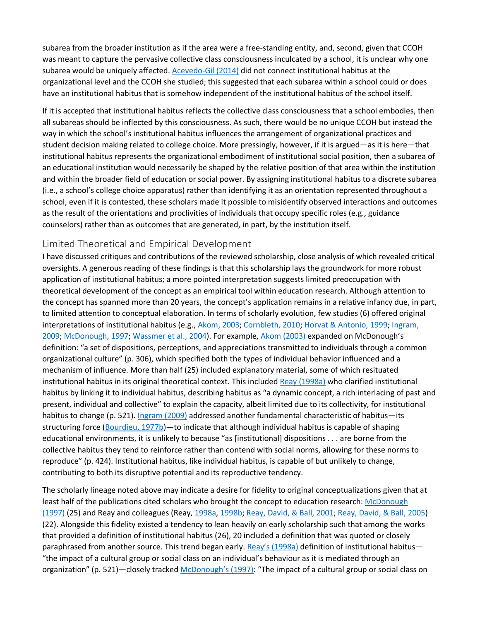subarea from the broader institution as if the area were a free-standing entity, and, second, given that CCOH was meant to capture the pervasive collective class consciousness inculcated by a school, it is unclear why one subarea would be uniquely affected. [Acevedo-Gil \(2014\)](https://0-journals-sagepub-com.libus.csd.mu.edu/doi/full/10.3102/0034654318812915) did not connect institutional habitus at the organizational level and the CCOH she studied; this suggested that each subarea within a school could or does have an institutional habitus that is somehow independent of the institutional habitus of the school itself.

If it is accepted that institutional habitus reflects the collective class consciousness that a school embodies, then all subareas should be inflected by this consciousness. As such, there would be no unique CCOH but instead the way in which the school's institutional habitus influences the arrangement of organizational practices and student decision making related to college choice. More pressingly, however, if it is argued—as it is here—that institutional habitus represents the organizational embodiment of institutional social position, then a subarea of an educational institution would necessarily be shaped by the relative position of that area within the institution and within the broader field of education or social power. By assigning institutional habitus to a discrete subarea (i.e., a school's college choice apparatus) rather than identifying it as an orientation represented throughout a school, even if it is contested, these scholars made it possible to misidentify observed interactions and outcomes as the result of the orientations and proclivities of individuals that occupy specific roles (e.g., guidance counselors) rather than as outcomes that are generated, in part, by the institution itself.

#### Limited Theoretical and Empirical Development

I have discussed critiques and contributions of the reviewed scholarship, close analysis of which revealed critical oversights. A generous reading of these findings is that this scholarship lays the groundwork for more robust application of institutional habitus; a more pointed interpretation suggests limited preoccupation with theoretical development of the concept as an empirical tool within education research. Although attention to the concept has spanned more than 20 years, the concept's application remains in a relative infancy due, in part, to limited attention to conceptual elaboration. In terms of scholarly evolution, few studies (6) offered original interpretations of institutional habitus (e.g., [Akom, 2003;](https://0-journals-sagepub-com.libus.csd.mu.edu/doi/full/10.3102/0034654318812915) [Cornbleth, 2010;](https://0-journals-sagepub-com.libus.csd.mu.edu/doi/full/10.3102/0034654318812915) [Horvat & Antonio, 1999;](https://0-journals-sagepub-com.libus.csd.mu.edu/doi/full/10.3102/0034654318812915) [Ingram,](https://0-journals-sagepub-com.libus.csd.mu.edu/doi/full/10.3102/0034654318812915)  [2009;](https://0-journals-sagepub-com.libus.csd.mu.edu/doi/full/10.3102/0034654318812915) [McDonough, 1997;](https://0-journals-sagepub-com.libus.csd.mu.edu/doi/full/10.3102/0034654318812915) [Wassmer et al., 2004\)](https://0-journals-sagepub-com.libus.csd.mu.edu/doi/full/10.3102/0034654318812915). For example, [Akom \(2003\)](https://0-journals-sagepub-com.libus.csd.mu.edu/doi/full/10.3102/0034654318812915) expanded on McDonough's definition: "a set of dispositions, perceptions, and appreciations transmitted to individuals through a common organizational culture" (p. 306), which specified both the types of individual behavior influenced and a mechanism of influence. More than half (25) included explanatory material, some of which resituated institutional habitus in its original theoretical context. This included [Reay \(1998a\)](https://0-journals-sagepub-com.libus.csd.mu.edu/doi/full/10.3102/0034654318812915) who clarified institutional habitus by linking it to individual habitus, describing habitus as "a dynamic concept, a rich interlacing of past and present, individual and collective" to explain the capacity, albeit limited due to its collectivity, for institutional habitus to change (p. 521). [Ingram \(2009\)](https://0-journals-sagepub-com.libus.csd.mu.edu/doi/full/10.3102/0034654318812915) addressed another fundamental characteristic of habitus—its structuring force [\(Bourdieu, 1977b\)](https://0-journals-sagepub-com.libus.csd.mu.edu/doi/full/10.3102/0034654318812915)—to indicate that although individual habitus is capable of shaping educational environments, it is unlikely to because "as [institutional] dispositions . . . are borne from the collective habitus they tend to reinforce rather than contend with social norms, allowing for these norms to reproduce" (p. 424). Institutional habitus, like individual habitus, is capable of but unlikely to change, contributing to both its disruptive potential and its reproductive tendency.

The scholarly lineage noted above may indicate a desire for fidelity to original conceptualizations given that at least half of the publications cited scholars who brought the concept to education research: [McDonough](https://0-journals-sagepub-com.libus.csd.mu.edu/doi/full/10.3102/0034654318812915)  [\(1997\)](https://0-journals-sagepub-com.libus.csd.mu.edu/doi/full/10.3102/0034654318812915) (25) and Reay and colleagues (Reay, [1998a,](https://0-journals-sagepub-com.libus.csd.mu.edu/doi/full/10.3102/0034654318812915) [1998b;](https://0-journals-sagepub-com.libus.csd.mu.edu/doi/full/10.3102/0034654318812915) [Reay, David, & Ball, 2001;](https://0-journals-sagepub-com.libus.csd.mu.edu/doi/full/10.3102/0034654318812915) [Reay, David, & Ball, 2005\)](https://0-journals-sagepub-com.libus.csd.mu.edu/doi/full/10.3102/0034654318812915) (22). Alongside this fidelity existed a tendency to lean heavily on early scholarship such that among the works that provided a definition of institutional habitus (26), 20 included a definition that was quoted or closely paraphrased from another source. This trend began early. [Reay's \(1998a\)](https://0-journals-sagepub-com.libus.csd.mu.edu/doi/full/10.3102/0034654318812915) definition of institutional habitus— "the impact of a cultural group or social class on an individual's behaviour as it is mediated through an organization" (p. 521)—closely tracked [McDonough's \(1997\):](https://0-journals-sagepub-com.libus.csd.mu.edu/doi/full/10.3102/0034654318812915) "The impact of a cultural group or social class on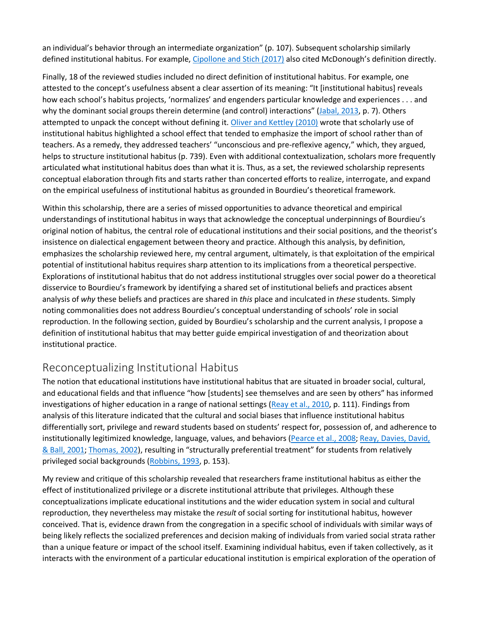an individual's behavior through an intermediate organization" (p. 107). Subsequent scholarship similarly defined institutional habitus. For example, [Cipollone and Stich \(2017\)](https://0-journals-sagepub-com.libus.csd.mu.edu/doi/full/10.3102/0034654318812915) also cited McDonough's definition directly.

Finally, 18 of the reviewed studies included no direct definition of institutional habitus. For example, one attested to the concept's usefulness absent a clear assertion of its meaning: "It [institutional habitus] reveals how each school's habitus projects, 'normalizes' and engenders particular knowledge and experiences . . . and why the dominant social groups therein determine (and control) interactions" [\(Jabal, 2013,](https://0-journals-sagepub-com.libus.csd.mu.edu/doi/full/10.3102/0034654318812915) p. 7). Others attempted to unpack the concept without defining it. [Oliver and Kettley \(2010\)](https://0-journals-sagepub-com.libus.csd.mu.edu/doi/full/10.3102/0034654318812915) wrote that scholarly use of institutional habitus highlighted a school effect that tended to emphasize the import of school rather than of teachers. As a remedy, they addressed teachers' "unconscious and pre-reflexive agency," which, they argued, helps to structure institutional habitus (p. 739). Even with additional contextualization, scholars more frequently articulated what institutional habitus does than what it is. Thus, as a set, the reviewed scholarship represents conceptual elaboration through fits and starts rather than concerted efforts to realize, interrogate, and expand on the empirical usefulness of institutional habitus as grounded in Bourdieu's theoretical framework.

Within this scholarship, there are a series of missed opportunities to advance theoretical and empirical understandings of institutional habitus in ways that acknowledge the conceptual underpinnings of Bourdieu's original notion of habitus, the central role of educational institutions and their social positions, and the theorist's insistence on dialectical engagement between theory and practice. Although this analysis, by definition, emphasizes the scholarship reviewed here, my central argument, ultimately, is that exploitation of the empirical potential of institutional habitus requires sharp attention to its implications from a theoretical perspective. Explorations of institutional habitus that do not address institutional struggles over social power do a theoretical disservice to Bourdieu's framework by identifying a shared set of institutional beliefs and practices absent analysis of *why* these beliefs and practices are shared in *this* place and inculcated in *these* students. Simply noting commonalities does not address Bourdieu's conceptual understanding of schools' role in social reproduction. In the following section, guided by Bourdieu's scholarship and the current analysis, I propose a definition of institutional habitus that may better guide empirical investigation of and theorization about institutional practice.

# Reconceptualizing Institutional Habitus

The notion that educational institutions have institutional habitus that are situated in broader social, cultural, and educational fields and that influence "how [students] see themselves and are seen by others" has informed investigations of higher education in a range of national settings [\(Reay et al., 2010,](https://0-journals-sagepub-com.libus.csd.mu.edu/doi/full/10.3102/0034654318812915) p. 111). Findings from analysis of this literature indicated that the cultural and social biases that influence institutional habitus differentially sort, privilege and reward students based on students' respect for, possession of, and adherence to institutionally legitimized knowledge, language, values, and behaviors [\(Pearce et al., 2008;](https://0-journals-sagepub-com.libus.csd.mu.edu/doi/full/10.3102/0034654318812915) [Reay, Davies, David,](https://0-journals-sagepub-com.libus.csd.mu.edu/doi/full/10.3102/0034654318812915)  [& Ball, 2001;](https://0-journals-sagepub-com.libus.csd.mu.edu/doi/full/10.3102/0034654318812915) [Thomas, 2002\)](https://0-journals-sagepub-com.libus.csd.mu.edu/doi/full/10.3102/0034654318812915), resulting in "structurally preferential treatment" for students from relatively privileged social backgrounds [\(Robbins, 1993,](https://0-journals-sagepub-com.libus.csd.mu.edu/doi/full/10.3102/0034654318812915) p. 153).

My review and critique of this scholarship revealed that researchers frame institutional habitus as either the effect of institutionalized privilege or a discrete institutional attribute that privileges. Although these conceptualizations implicate educational institutions and the wider education system in social and cultural reproduction, they nevertheless may mistake the *result* of social sorting for institutional habitus, however conceived. That is, evidence drawn from the congregation in a specific school of individuals with similar ways of being likely reflects the socialized preferences and decision making of individuals from varied social strata rather than a unique feature or impact of the school itself. Examining individual habitus, even if taken collectively, as it interacts with the environment of a particular educational institution is empirical exploration of the operation of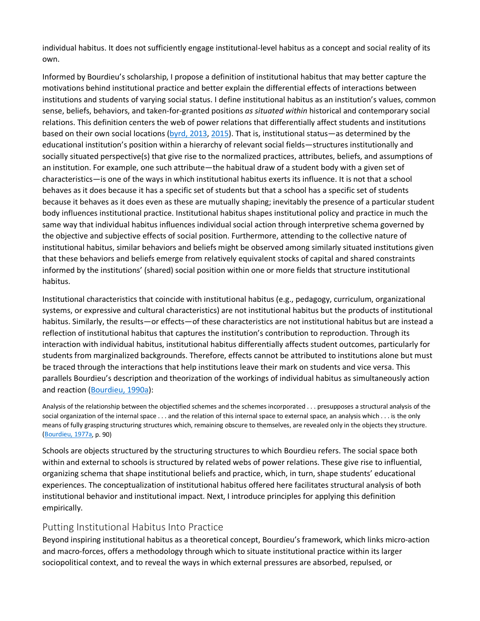individual habitus. It does not sufficiently engage institutional-level habitus as a concept and social reality of its own.

Informed by Bourdieu's scholarship, I propose a definition of institutional habitus that may better capture the motivations behind institutional practice and better explain the differential effects of interactions between institutions and students of varying social status. I define institutional habitus as an institution's values, common sense, beliefs, behaviors, and taken-for-granted positions *as situated within* historical and contemporary social relations. This definition centers the web of power relations that differentially affect students and institutions based on their own social locations [\(byrd, 2013,](https://0-journals-sagepub-com.libus.csd.mu.edu/doi/full/10.3102/0034654318812915) [2015\)](https://0-journals-sagepub-com.libus.csd.mu.edu/doi/full/10.3102/0034654318812915). That is, institutional status—as determined by the educational institution's position within a hierarchy of relevant social fields—structures institutionally and socially situated perspective(s) that give rise to the normalized practices, attributes, beliefs, and assumptions of an institution. For example, one such attribute—the habitual draw of a student body with a given set of characteristics—is one of the ways in which institutional habitus exerts its influence. It is not that a school behaves as it does because it has a specific set of students but that a school has a specific set of students because it behaves as it does even as these are mutually shaping; inevitably the presence of a particular student body influences institutional practice. Institutional habitus shapes institutional policy and practice in much the same way that individual habitus influences individual social action through interpretive schema governed by the objective and subjective effects of social position. Furthermore, attending to the collective nature of institutional habitus, similar behaviors and beliefs might be observed among similarly situated institutions given that these behaviors and beliefs emerge from relatively equivalent stocks of capital and shared constraints informed by the institutions' (shared) social position within one or more fields that structure institutional habitus.

Institutional characteristics that coincide with institutional habitus (e.g., pedagogy, curriculum, organizational systems, or expressive and cultural characteristics) are not institutional habitus but the products of institutional habitus. Similarly, the results—or effects—of these characteristics are not institutional habitus but are instead a reflection of institutional habitus that captures the institution's contribution to reproduction. Through its interaction with individual habitus, institutional habitus differentially affects student outcomes, particularly for students from marginalized backgrounds. Therefore, effects cannot be attributed to institutions alone but must be traced through the interactions that help institutions leave their mark on students and vice versa. This parallels Bourdieu's description and theorization of the workings of individual habitus as simultaneously action and reaction [\(Bourdieu, 1990a\)](https://0-journals-sagepub-com.libus.csd.mu.edu/doi/full/10.3102/0034654318812915):

Analysis of the relationship between the objectified schemes and the schemes incorporated . . . presupposes a structural analysis of the social organization of the internal space . . . and the relation of this internal space to external space, an analysis which . . . is the only means of fully grasping structuring structures which, remaining obscure to themselves, are revealed only in the objects they structure. [\(Bourdieu, 1977a,](https://0-journals-sagepub-com.libus.csd.mu.edu/doi/full/10.3102/0034654318812915) p. 90)

Schools are objects structured by the structuring structures to which Bourdieu refers. The social space both within and external to schools is structured by related webs of power relations. These give rise to influential, organizing schema that shape institutional beliefs and practice, which, in turn, shape students' educational experiences. The conceptualization of institutional habitus offered here facilitates structural analysis of both institutional behavior and institutional impact. Next, I introduce principles for applying this definition empirically.

## Putting Institutional Habitus Into Practice

Beyond inspiring institutional habitus as a theoretical concept, Bourdieu's framework, which links micro-action and macro-forces, offers a methodology through which to situate institutional practice within its larger sociopolitical context, and to reveal the ways in which external pressures are absorbed, repulsed, or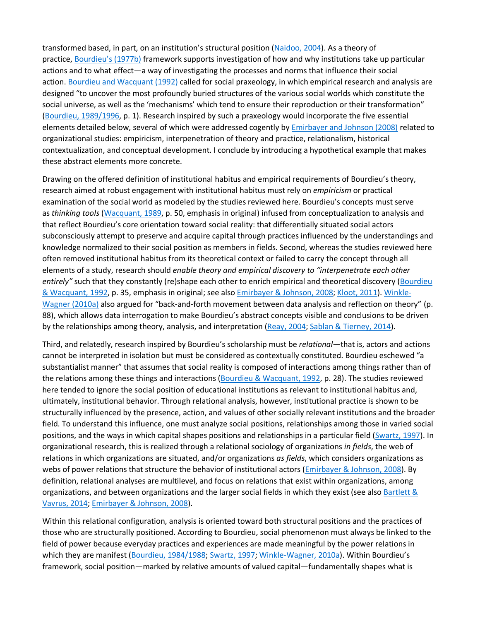transformed based, in part, on an institution's structural position [\(Naidoo, 2004\)](https://0-journals-sagepub-com.libus.csd.mu.edu/doi/full/10.3102/0034654318812915). As a theory of practice, [Bourdieu's \(1977b\)](https://0-journals-sagepub-com.libus.csd.mu.edu/doi/full/10.3102/0034654318812915) framework supports investigation of how and why institutions take up particular actions and to what effect—a way of investigating the processes and norms that influence their social action. [Bourdieu and Wacquant \(1992\)](https://0-journals-sagepub-com.libus.csd.mu.edu/doi/full/10.3102/0034654318812915) called for social praxeology, in which empirical research and analysis are designed "to uncover the most profoundly buried structures of the various social worlds which constitute the social universe, as well as the 'mechanisms' which tend to ensure their reproduction or their transformation" [\(Bourdieu, 1989/1996,](https://0-journals-sagepub-com.libus.csd.mu.edu/doi/full/10.3102/0034654318812915) p. 1). Research inspired by such a praxeology would incorporate the five essential elements detailed below, several of which were addressed cogently by [Emirbayer and Johnson \(2008\)](https://0-journals-sagepub-com.libus.csd.mu.edu/doi/full/10.3102/0034654318812915) related to organizational studies: empiricism, interpenetration of theory and practice, relationalism, historical contextualization, and conceptual development. I conclude by introducing a hypothetical example that makes these abstract elements more concrete.

Drawing on the offered definition of institutional habitus and empirical requirements of Bourdieu's theory, research aimed at robust engagement with institutional habitus must rely on *empiricism* or practical examination of the social world as modeled by the studies reviewed here. Bourdieu's concepts must serve as *thinking tools* [\(Wacquant, 1989,](https://0-journals-sagepub-com.libus.csd.mu.edu/doi/full/10.3102/0034654318812915) p. 50, emphasis in original) infused from conceptualization to analysis and that reflect Bourdieu's core orientation toward social reality: that differentially situated social actors subconsciously attempt to preserve and acquire capital through practices influenced by the understandings and knowledge normalized to their social position as members in fields. Second, whereas the studies reviewed here often removed institutional habitus from its theoretical context or failed to carry the concept through all elements of a study, research should *enable theory and empirical discovery to "interpenetrate each other entirely"* such that they constantly (re)shape each other to enrich empirical and theoretical discovery [\(Bourdieu](https://0-journals-sagepub-com.libus.csd.mu.edu/doi/full/10.3102/0034654318812915)  [& Wacquant, 1992,](https://0-journals-sagepub-com.libus.csd.mu.edu/doi/full/10.3102/0034654318812915) p. 35, emphasis in original; see also [Emirbayer & Johnson, 2008;](https://0-journals-sagepub-com.libus.csd.mu.edu/doi/full/10.3102/0034654318812915) [Kloot, 2011\)](https://0-journals-sagepub-com.libus.csd.mu.edu/doi/full/10.3102/0034654318812915). [Winkle-](https://0-journals-sagepub-com.libus.csd.mu.edu/doi/full/10.3102/0034654318812915)[Wagner \(2010a\)](https://0-journals-sagepub-com.libus.csd.mu.edu/doi/full/10.3102/0034654318812915) also argued for "back-and-forth movement between data analysis and reflection on theory" (p. 88), which allows data interrogation to make Bourdieu's abstract concepts visible and conclusions to be driven by the relationships among theory, analysis, and interpretation [\(Reay, 2004;](https://0-journals-sagepub-com.libus.csd.mu.edu/doi/full/10.3102/0034654318812915) [Sablan & Tierney, 2014\)](https://0-journals-sagepub-com.libus.csd.mu.edu/doi/full/10.3102/0034654318812915).

Third, and relatedly, research inspired by Bourdieu's scholarship must be *relational*—that is, actors and actions cannot be interpreted in isolation but must be considered as contextually constituted. Bourdieu eschewed "a substantialist manner" that assumes that social reality is composed of interactions among things rather than of the relations among these things and interactions [\(Bourdieu & Wacquant, 1992,](https://0-journals-sagepub-com.libus.csd.mu.edu/doi/full/10.3102/0034654318812915) p. 28). The studies reviewed here tended to ignore the social position of educational institutions as relevant to institutional habitus and, ultimately, institutional behavior. Through relational analysis, however, institutional practice is shown to be structurally influenced by the presence, action, and values of other socially relevant institutions and the broader field. To understand this influence, one must analyze social positions, relationships among those in varied social positions, and the ways in which capital shapes positions and relationships in a particular field [\(Swartz, 1997\)](https://0-journals-sagepub-com.libus.csd.mu.edu/doi/full/10.3102/0034654318812915). In organizational research, this is realized through a relational sociology of organizations *in fields*, the web of relations in which organizations are situated, and/or organizations *as fields*, which considers organizations as webs of power relations that structure the behavior of institutional actors (*Emirbayer & Johnson, 2008*). By definition, relational analyses are multilevel, and focus on relations that exist within organizations, among organizations, and between organizations and the larger social fields in which they exist (see also [Bartlett &](https://0-journals-sagepub-com.libus.csd.mu.edu/doi/full/10.3102/0034654318812915)  [Vavrus, 2014;](https://0-journals-sagepub-com.libus.csd.mu.edu/doi/full/10.3102/0034654318812915) [Emirbayer & Johnson, 2008\)](https://0-journals-sagepub-com.libus.csd.mu.edu/doi/full/10.3102/0034654318812915).

Within this relational configuration, analysis is oriented toward both structural positions and the practices of those who are structurally positioned. According to Bourdieu, social phenomenon must always be linked to the field of power because everyday practices and experiences are made meaningful by the power relations in which they are manifest [\(Bourdieu, 1984/1988;](https://0-journals-sagepub-com.libus.csd.mu.edu/doi/full/10.3102/0034654318812915) [Swartz, 1997;](https://0-journals-sagepub-com.libus.csd.mu.edu/doi/full/10.3102/0034654318812915) [Winkle-Wagner, 2010a\)](https://0-journals-sagepub-com.libus.csd.mu.edu/doi/full/10.3102/0034654318812915). Within Bourdieu's framework, social position—marked by relative amounts of valued capital—fundamentally shapes what is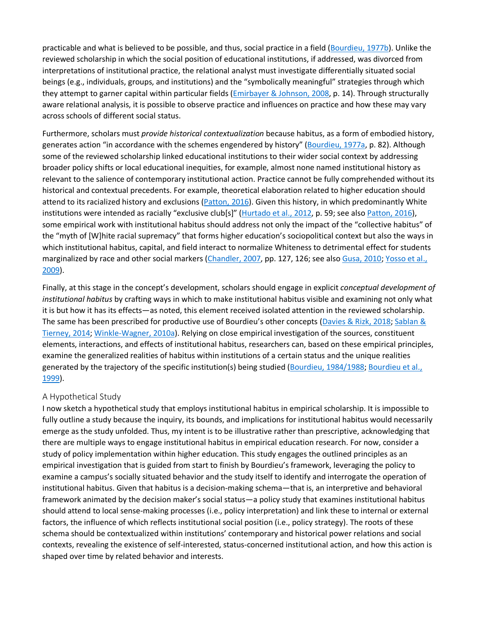practicable and what is believed to be possible, and thus, social practice in a field [\(Bourdieu, 1977b\)](https://0-journals-sagepub-com.libus.csd.mu.edu/doi/full/10.3102/0034654318812915). Unlike the reviewed scholarship in which the social position of educational institutions, if addressed, was divorced from interpretations of institutional practice, the relational analyst must investigate differentially situated social beings (e.g., individuals, groups, and institutions) and the "symbolically meaningful" strategies through which they attempt to garner capital within particular fields (*Emirbayer & Johnson, 2008, p. 14*). Through structurally aware relational analysis, it is possible to observe practice and influences on practice and how these may vary across schools of different social status.

Furthermore, scholars must *provide historical contextualization* because habitus, as a form of embodied history, generates action "in accordance with the schemes engendered by history" [\(Bourdieu, 1977a,](https://0-journals-sagepub-com.libus.csd.mu.edu/doi/full/10.3102/0034654318812915) p. 82). Although some of the reviewed scholarship linked educational institutions to their wider social context by addressing broader policy shifts or local educational inequities, for example, almost none named institutional history as relevant to the salience of contemporary institutional action. Practice cannot be fully comprehended without its historical and contextual precedents. For example, theoretical elaboration related to higher education should attend to its racialized history and exclusions [\(Patton, 2016\)](https://0-journals-sagepub-com.libus.csd.mu.edu/doi/full/10.3102/0034654318812915). Given this history, in which predominantly White institutions were intended as racially "exclusive club[s]" [\(Hurtado et al., 2012,](https://0-journals-sagepub-com.libus.csd.mu.edu/doi/full/10.3102/0034654318812915) p. 59; see also [Patton, 2016\)](https://0-journals-sagepub-com.libus.csd.mu.edu/doi/full/10.3102/0034654318812915), some empirical work with institutional habitus should address not only the impact of the "collective habitus" of the "myth of [W]hite racial supremacy" that forms higher education's sociopolitical context but also the ways in which institutional habitus, capital, and field interact to normalize Whiteness to detrimental effect for students marginalized by race and other social markers [\(Chandler, 2007,](https://0-journals-sagepub-com.libus.csd.mu.edu/doi/full/10.3102/0034654318812915) pp. 127, 126; see also [Gusa, 2010;](https://0-journals-sagepub-com.libus.csd.mu.edu/doi/full/10.3102/0034654318812915) [Yosso et al.,](https://0-journals-sagepub-com.libus.csd.mu.edu/doi/full/10.3102/0034654318812915)  [2009\)](https://0-journals-sagepub-com.libus.csd.mu.edu/doi/full/10.3102/0034654318812915).

Finally, at this stage in the concept's development, scholars should engage in explicit *conceptual development of institutional habitus* by crafting ways in which to make institutional habitus visible and examining not only what it is but how it has its effects—as noted, this element received isolated attention in the reviewed scholarship. The same has been prescribed for productive use of Bourdieu's other concepts [\(Davies & Rizk, 2018;](https://0-journals-sagepub-com.libus.csd.mu.edu/doi/full/10.3102/0034654318812915) [Sablan &](https://0-journals-sagepub-com.libus.csd.mu.edu/doi/full/10.3102/0034654318812915)  [Tierney, 2014;](https://0-journals-sagepub-com.libus.csd.mu.edu/doi/full/10.3102/0034654318812915) [Winkle-Wagner, 2010a\)](https://0-journals-sagepub-com.libus.csd.mu.edu/doi/full/10.3102/0034654318812915). Relying on close empirical investigation of the sources, constituent elements, interactions, and effects of institutional habitus, researchers can, based on these empirical principles, examine the generalized realities of habitus within institutions of a certain status and the unique realities generated by the trajectory of the specific institution(s) being studied [\(Bourdieu, 1984/1988;](https://0-journals-sagepub-com.libus.csd.mu.edu/doi/full/10.3102/0034654318812915) [Bourdieu et al.,](https://0-journals-sagepub-com.libus.csd.mu.edu/doi/full/10.3102/0034654318812915)  [1999\)](https://0-journals-sagepub-com.libus.csd.mu.edu/doi/full/10.3102/0034654318812915).

#### A Hypothetical Study

I now sketch a hypothetical study that employs institutional habitus in empirical scholarship. It is impossible to fully outline a study because the inquiry, its bounds, and implications for institutional habitus would necessarily emerge as the study unfolded. Thus, my intent is to be illustrative rather than prescriptive, acknowledging that there are multiple ways to engage institutional habitus in empirical education research. For now, consider a study of policy implementation within higher education. This study engages the outlined principles as an empirical investigation that is guided from start to finish by Bourdieu's framework, leveraging the policy to examine a campus's socially situated behavior and the study itself to identify and interrogate the operation of institutional habitus. Given that habitus is a decision-making schema—that is, an interpretive and behavioral framework animated by the decision maker's social status—a policy study that examines institutional habitus should attend to local sense-making processes (i.e., policy interpretation) and link these to internal or external factors, the influence of which reflects institutional social position (i.e., policy strategy). The roots of these schema should be contextualized within institutions' contemporary and historical power relations and social contexts, revealing the existence of self-interested, status-concerned institutional action, and how this action is shaped over time by related behavior and interests.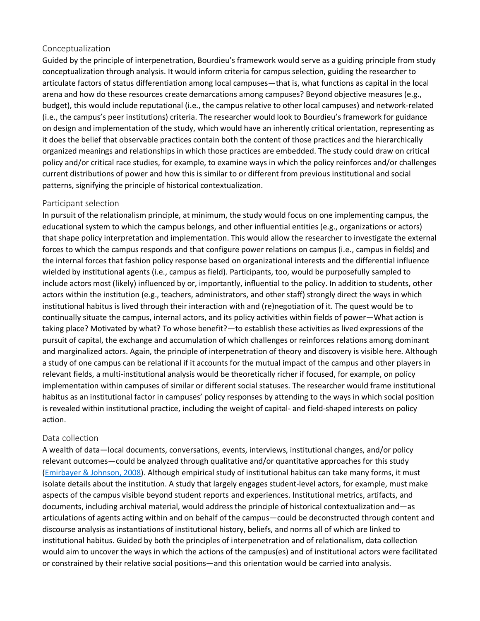#### Conceptualization

Guided by the principle of interpenetration, Bourdieu's framework would serve as a guiding principle from study conceptualization through analysis. It would inform criteria for campus selection, guiding the researcher to articulate factors of status differentiation among local campuses—that is, what functions as capital in the local arena and how do these resources create demarcations among campuses? Beyond objective measures (e.g., budget), this would include reputational (i.e., the campus relative to other local campuses) and network-related (i.e., the campus's peer institutions) criteria. The researcher would look to Bourdieu's framework for guidance on design and implementation of the study, which would have an inherently critical orientation, representing as it does the belief that observable practices contain both the content of those practices and the hierarchically organized meanings and relationships in which those practices are embedded. The study could draw on critical policy and/or critical race studies, for example, to examine ways in which the policy reinforces and/or challenges current distributions of power and how this is similar to or different from previous institutional and social patterns, signifying the principle of historical contextualization.

#### Participant selection

In pursuit of the relationalism principle, at minimum, the study would focus on one implementing campus, the educational system to which the campus belongs, and other influential entities (e.g., organizations or actors) that shape policy interpretation and implementation. This would allow the researcher to investigate the external forces to which the campus responds and that configure power relations on campus (i.e., campus in fields) and the internal forces that fashion policy response based on organizational interests and the differential influence wielded by institutional agents (i.e., campus as field). Participants, too, would be purposefully sampled to include actors most (likely) influenced by or, importantly, influential to the policy. In addition to students, other actors within the institution (e.g., teachers, administrators, and other staff) strongly direct the ways in which institutional habitus is lived through their interaction with and (re)negotiation of it. The quest would be to continually situate the campus, internal actors, and its policy activities within fields of power—What action is taking place? Motivated by what? To whose benefit?—to establish these activities as lived expressions of the pursuit of capital, the exchange and accumulation of which challenges or reinforces relations among dominant and marginalized actors. Again, the principle of interpenetration of theory and discovery is visible here. Although a study of one campus can be relational if it accounts for the mutual impact of the campus and other players in relevant fields, a multi-institutional analysis would be theoretically richer if focused, for example, on policy implementation within campuses of similar or different social statuses. The researcher would frame institutional habitus as an institutional factor in campuses' policy responses by attending to the ways in which social position is revealed within institutional practice, including the weight of capital- and field-shaped interests on policy action.

#### Data collection

A wealth of data—local documents, conversations, events, interviews, institutional changes, and/or policy relevant outcomes—could be analyzed through qualitative and/or quantitative approaches for this study [\(Emirbayer & Johnson, 2008\)](https://0-journals-sagepub-com.libus.csd.mu.edu/doi/full/10.3102/0034654318812915). Although empirical study of institutional habitus can take many forms, it must isolate details about the institution. A study that largely engages student-level actors, for example, must make aspects of the campus visible beyond student reports and experiences. Institutional metrics, artifacts, and documents, including archival material, would address the principle of historical contextualization and—as articulations of agents acting within and on behalf of the campus—could be deconstructed through content and discourse analysis as instantiations of institutional history, beliefs, and norms all of which are linked to institutional habitus. Guided by both the principles of interpenetration and of relationalism, data collection would aim to uncover the ways in which the actions of the campus(es) and of institutional actors were facilitated or constrained by their relative social positions—and this orientation would be carried into analysis.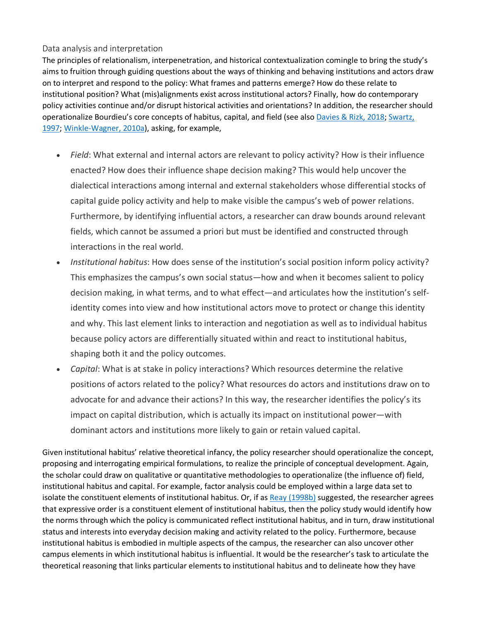#### Data analysis and interpretation

The principles of relationalism, interpenetration, and historical contextualization comingle to bring the study's aims to fruition through guiding questions about the ways of thinking and behaving institutions and actors draw on to interpret and respond to the policy: What frames and patterns emerge? How do these relate to institutional position? What (mis)alignments exist across institutional actors? Finally, how do contemporary policy activities continue and/or disrupt historical activities and orientations? In addition, the researcher should operationalize Bourdieu's core concepts of habitus, capital, and field (see also [Davies & Rizk, 2018;](https://0-journals-sagepub-com.libus.csd.mu.edu/doi/full/10.3102/0034654318812915) [Swartz,](https://0-journals-sagepub-com.libus.csd.mu.edu/doi/full/10.3102/0034654318812915)  [1997;](https://0-journals-sagepub-com.libus.csd.mu.edu/doi/full/10.3102/0034654318812915) [Winkle-Wagner, 2010a\)](https://0-journals-sagepub-com.libus.csd.mu.edu/doi/full/10.3102/0034654318812915), asking, for example,

- *Field*: What external and internal actors are relevant to policy activity? How is their influence enacted? How does their influence shape decision making? This would help uncover the dialectical interactions among internal and external stakeholders whose differential stocks of capital guide policy activity and help to make visible the campus's web of power relations. Furthermore, by identifying influential actors, a researcher can draw bounds around relevant fields, which cannot be assumed a priori but must be identified and constructed through interactions in the real world.
- *Institutional habitus*: How does sense of the institution's social position inform policy activity? This emphasizes the campus's own social status—how and when it becomes salient to policy decision making, in what terms, and to what effect—and articulates how the institution's selfidentity comes into view and how institutional actors move to protect or change this identity and why. This last element links to interaction and negotiation as well as to individual habitus because policy actors are differentially situated within and react to institutional habitus, shaping both it and the policy outcomes.
- *Capital*: What is at stake in policy interactions? Which resources determine the relative positions of actors related to the policy? What resources do actors and institutions draw on to advocate for and advance their actions? In this way, the researcher identifies the policy's its impact on capital distribution, which is actually its impact on institutional power—with dominant actors and institutions more likely to gain or retain valued capital.

Given institutional habitus' relative theoretical infancy, the policy researcher should operationalize the concept, proposing and interrogating empirical formulations, to realize the principle of conceptual development. Again, the scholar could draw on qualitative or quantitative methodologies to operationalize (the influence of) field, institutional habitus and capital. For example, factor analysis could be employed within a large data set to isolate the constituent elements of institutional habitus. Or, if as [Reay \(1998b\)](https://0-journals-sagepub-com.libus.csd.mu.edu/doi/full/10.3102/0034654318812915) suggested, the researcher agrees that expressive order is a constituent element of institutional habitus, then the policy study would identify how the norms through which the policy is communicated reflect institutional habitus, and in turn, draw institutional status and interests into everyday decision making and activity related to the policy. Furthermore, because institutional habitus is embodied in multiple aspects of the campus, the researcher can also uncover other campus elements in which institutional habitus is influential. It would be the researcher's task to articulate the theoretical reasoning that links particular elements to institutional habitus and to delineate how they have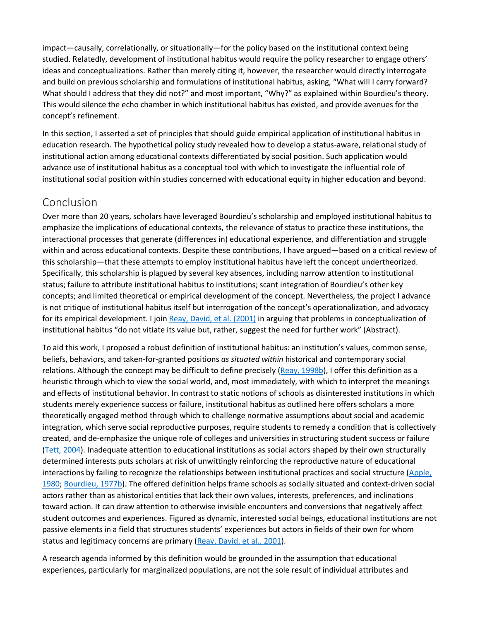impact—causally, correlationally, or situationally—for the policy based on the institutional context being studied. Relatedly, development of institutional habitus would require the policy researcher to engage others' ideas and conceptualizations. Rather than merely citing it, however, the researcher would directly interrogate and build on previous scholarship and formulations of institutional habitus, asking, "What will I carry forward? What should I address that they did not?" and most important, "Why?" as explained within Bourdieu's theory. This would silence the echo chamber in which institutional habitus has existed, and provide avenues for the concept's refinement.

In this section, I asserted a set of principles that should guide empirical application of institutional habitus in education research. The hypothetical policy study revealed how to develop a status-aware, relational study of institutional action among educational contexts differentiated by social position. Such application would advance use of institutional habitus as a conceptual tool with which to investigate the influential role of institutional social position within studies concerned with educational equity in higher education and beyond.

# Conclusion

Over more than 20 years, scholars have leveraged Bourdieu's scholarship and employed institutional habitus to emphasize the implications of educational contexts, the relevance of status to practice these institutions, the interactional processes that generate (differences in) educational experience, and differentiation and struggle within and across educational contexts. Despite these contributions, I have argued—based on a critical review of this scholarship—that these attempts to employ institutional habitus have left the concept undertheorized. Specifically, this scholarship is plagued by several key absences, including narrow attention to institutional status; failure to attribute institutional habitus to institutions; scant integration of Bourdieu's other key concepts; and limited theoretical or empirical development of the concept. Nevertheless, the project I advance is not critique of institutional habitus itself but interrogation of the concept's operationalization, and advocacy for its empirical development. I join [Reay, David, et al. \(2001\)](https://0-journals-sagepub-com.libus.csd.mu.edu/doi/full/10.3102/0034654318812915) in arguing that problems in conceptualization of institutional habitus "do not vitiate its value but, rather, suggest the need for further work" (Abstract).

To aid this work, I proposed a robust definition of institutional habitus: an institution's values, common sense, beliefs, behaviors, and taken-for-granted positions *as situated within* historical and contemporary social relations. Although the concept may be difficult to define precisely [\(Reay, 1998b\)](https://0-journals-sagepub-com.libus.csd.mu.edu/doi/full/10.3102/0034654318812915), I offer this definition as a heuristic through which to view the social world, and, most immediately, with which to interpret the meanings and effects of institutional behavior. In contrast to static notions of schools as disinterested institutions in which students merely experience success or failure, institutional habitus as outlined here offers scholars a more theoretically engaged method through which to challenge normative assumptions about social and academic integration, which serve social reproductive purposes, require students to remedy a condition that is collectively created, and de-emphasize the unique role of colleges and universities in structuring student success or failure [\(Tett, 2004\)](https://0-journals-sagepub-com.libus.csd.mu.edu/doi/full/10.3102/0034654318812915). Inadequate attention to educational institutions as social actors shaped by their own structurally determined interests puts scholars at risk of unwittingly reinforcing the reproductive nature of educational interactions by failing to recognize the relationships between institutional practices and social structure [\(Apple,](https://0-journals-sagepub-com.libus.csd.mu.edu/doi/full/10.3102/0034654318812915)  [1980;](https://0-journals-sagepub-com.libus.csd.mu.edu/doi/full/10.3102/0034654318812915) [Bourdieu, 1977b\)](https://0-journals-sagepub-com.libus.csd.mu.edu/doi/full/10.3102/0034654318812915). The offered definition helps frame schools as socially situated and context-driven social actors rather than as ahistorical entities that lack their own values, interests, preferences, and inclinations toward action. It can draw attention to otherwise invisible encounters and conversions that negatively affect student outcomes and experiences. Figured as dynamic, interested social beings, educational institutions are not passive elements in a field that structures students' experiences but actors in fields of their own for whom status and legitimacy concerns are primary [\(Reay, David, et al., 2001\)](https://0-journals-sagepub-com.libus.csd.mu.edu/doi/full/10.3102/0034654318812915).

A research agenda informed by this definition would be grounded in the assumption that educational experiences, particularly for marginalized populations, are not the sole result of individual attributes and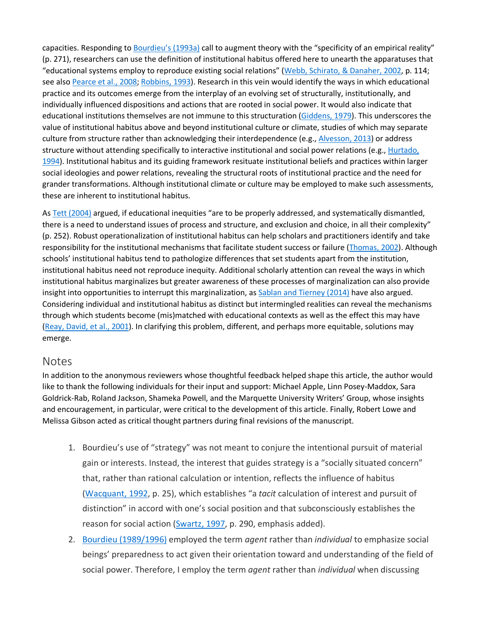capacities. Responding to [Bourdieu's \(1993a\)](https://0-journals-sagepub-com.libus.csd.mu.edu/doi/full/10.3102/0034654318812915) call to augment theory with the "specificity of an empirical reality" (p. 271), researchers can use the definition of institutional habitus offered here to unearth the apparatuses that "educational systems employ to reproduce existing social relations" [\(Webb, Schirato, & Danaher, 2002,](https://0-journals-sagepub-com.libus.csd.mu.edu/doi/full/10.3102/0034654318812915) p. 114; see also [Pearce et al., 2008;](https://0-journals-sagepub-com.libus.csd.mu.edu/doi/full/10.3102/0034654318812915) [Robbins, 1993\)](https://0-journals-sagepub-com.libus.csd.mu.edu/doi/full/10.3102/0034654318812915). Research in this vein would identify the ways in which educational practice and its outcomes emerge from the interplay of an evolving set of structurally, institutionally, and individually influenced dispositions and actions that are rooted in social power. It would also indicate that educational institutions themselves are not immune to this structuration [\(Giddens, 1979\)](https://0-journals-sagepub-com.libus.csd.mu.edu/doi/full/10.3102/0034654318812915). This underscores the value of institutional habitus above and beyond institutional culture or climate, studies of which may separate culture from structure rather than acknowledging their interdependence (e.g., [Alvesson, 2013\)](https://0-journals-sagepub-com.libus.csd.mu.edu/doi/full/10.3102/0034654318812915) or address structure without attending specifically to interactive institutional and social power relations (e.g., Hurtado, [1994\)](https://0-journals-sagepub-com.libus.csd.mu.edu/doi/full/10.3102/0034654318812915). Institutional habitus and its guiding framework resituate institutional beliefs and practices within larger social ideologies and power relations, revealing the structural roots of institutional practice and the need for grander transformations. Although institutional climate or culture may be employed to make such assessments, these are inherent to institutional habitus.

As [Tett \(2004\)](https://0-journals-sagepub-com.libus.csd.mu.edu/doi/full/10.3102/0034654318812915) argued, if educational inequities "are to be properly addressed, and systematically dismantled, there is a need to understand issues of process and structure, and exclusion and choice, in all their complexity" (p. 252). Robust operationalization of institutional habitus can help scholars and practitioners identify and take responsibility for the institutional mechanisms that facilitate student success or failure [\(Thomas, 2002\)](https://0-journals-sagepub-com.libus.csd.mu.edu/doi/full/10.3102/0034654318812915). Although schools' institutional habitus tend to pathologize differences that set students apart from the institution, institutional habitus need not reproduce inequity. Additional scholarly attention can reveal the ways in which institutional habitus marginalizes but greater awareness of these processes of marginalization can also provide insight into opportunities to interrupt this marginalization, as [Sablan and Tierney \(2014\)](https://0-journals-sagepub-com.libus.csd.mu.edu/doi/full/10.3102/0034654318812915) have also argued. Considering individual and institutional habitus as distinct but intermingled realities can reveal the mechanisms through which students become (mis)matched with educational contexts as well as the effect this may have [\(Reay, David, et al., 2001\)](https://0-journals-sagepub-com.libus.csd.mu.edu/doi/full/10.3102/0034654318812915). In clarifying this problem, different, and perhaps more equitable, solutions may emerge.

## Notes

In addition to the anonymous reviewers whose thoughtful feedback helped shape this article, the author would like to thank the following individuals for their input and support: Michael Apple, Linn Posey-Maddox, Sara Goldrick-Rab, Roland Jackson, Shameka Powell, and the Marquette University Writers' Group, whose insights and encouragement, in particular, were critical to the development of this article. Finally, Robert Lowe and Melissa Gibson acted as critical thought partners during final revisions of the manuscript.

- 1. Bourdieu's use of "strategy" was not meant to conjure the intentional pursuit of material gain or interests. Instead, the interest that guides strategy is a "socially situated concern" that, rather than rational calculation or intention, reflects the influence of habitus [\(Wacquant, 1992,](https://0-journals-sagepub-com.libus.csd.mu.edu/doi/full/10.3102/0034654318812915) p. 25), which establishes "a *tacit* calculation of interest and pursuit of distinction" in accord with one's social position and that subconsciously establishes the reason for social action [\(Swartz, 1997,](https://0-journals-sagepub-com.libus.csd.mu.edu/doi/full/10.3102/0034654318812915) p. 290, emphasis added).
- 2. [Bourdieu \(1989/1996\)](https://0-journals-sagepub-com.libus.csd.mu.edu/doi/full/10.3102/0034654318812915) employed the term *agent* rather than *individual* to emphasize social beings' preparedness to act given their orientation toward and understanding of the field of social power. Therefore, I employ the term *agent* rather than *individual* when discussing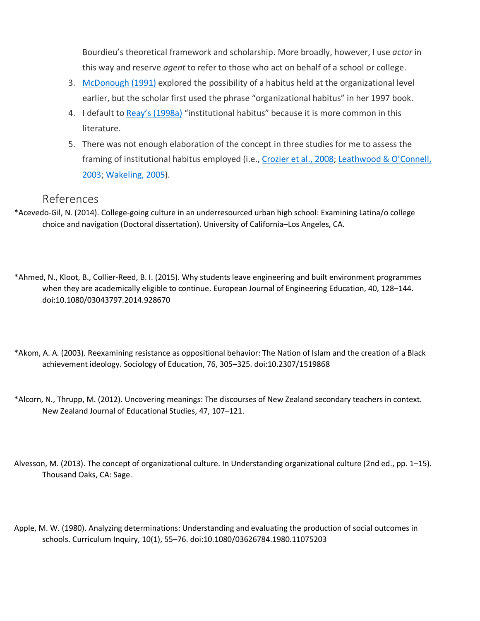Bourdieu's theoretical framework and scholarship. More broadly, however, I use *actor* in this way and reserve *agent* to refer to those who act on behalf of a school or college.

- 3. [McDonough \(1991\)](https://0-journals-sagepub-com.libus.csd.mu.edu/doi/full/10.3102/0034654318812915) explored the possibility of a habitus held at the organizational level earlier, but the scholar first used the phrase "organizational habitus" in her 1997 book.
- 4. I default to [Reay's \(1998a\)](https://0-journals-sagepub-com.libus.csd.mu.edu/doi/full/10.3102/0034654318812915) "institutional habitus" because it is more common in this literature.
- 5. There was not enough elaboration of the concept in three studies for me to assess the framing of institutional habitus employed (i.e., [Crozier et al., 2008;](https://0-journals-sagepub-com.libus.csd.mu.edu/doi/full/10.3102/0034654318812915) Leathwood & O'Connell, [2003;](https://0-journals-sagepub-com.libus.csd.mu.edu/doi/full/10.3102/0034654318812915) [Wakeling, 2005\)](https://0-journals-sagepub-com.libus.csd.mu.edu/doi/full/10.3102/0034654318812915).

## References

- \*Acevedo-Gil, N. (2014). College-going culture in an underresourced urban high school: Examining Latina/o college choice and navigation (Doctoral dissertation). University of California–Los Angeles, CA.
- \*Ahmed, N., Kloot, B., Collier-Reed, B. I. (2015). Why students leave engineering and built environment programmes when they are academically eligible to continue. European Journal of Engineering Education, 40, 128–144. doi:10.1080/03043797.2014.928670
- \*Akom, A. A. (2003). Reexamining resistance as oppositional behavior: The Nation of Islam and the creation of a Black achievement ideology. Sociology of Education, 76, 305–325. doi:10.2307/1519868
- \*Alcorn, N., Thrupp, M. (2012). Uncovering meanings: The discourses of New Zealand secondary teachers in context. New Zealand Journal of Educational Studies, 47, 107–121.
- Alvesson, M. (2013). The concept of organizational culture. In Understanding organizational culture (2nd ed., pp. 1–15). Thousand Oaks, CA: Sage.
- Apple, M. W. (1980). Analyzing determinations: Understanding and evaluating the production of social outcomes in schools. Curriculum Inquiry, 10(1), 55–76. doi:10.1080/03626784.1980.11075203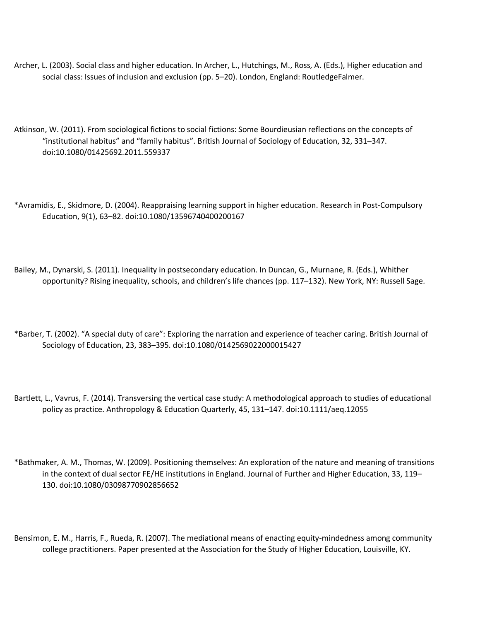- Archer, L. (2003). Social class and higher education. In Archer, L., Hutchings, M., Ross, A. (Eds.), Higher education and social class: Issues of inclusion and exclusion (pp. 5–20). London, England: RoutledgeFalmer.
- Atkinson, W. (2011). From sociological fictions to social fictions: Some Bourdieusian reflections on the concepts of "institutional habitus" and "family habitus". British Journal of Sociology of Education, 32, 331–347. doi:10.1080/01425692.2011.559337
- \*Avramidis, E., Skidmore, D. (2004). Reappraising learning support in higher education. Research in Post-Compulsory Education, 9(1), 63–82. doi:10.1080/13596740400200167
- Bailey, M., Dynarski, S. (2011). Inequality in postsecondary education. In Duncan, G., Murnane, R. (Eds.), Whither opportunity? Rising inequality, schools, and children's life chances (pp. 117–132). New York, NY: Russell Sage.
- \*Barber, T. (2002). "A special duty of care": Exploring the narration and experience of teacher caring. British Journal of Sociology of Education, 23, 383–395. doi:10.1080/0142569022000015427
- Bartlett, L., Vavrus, F. (2014). Transversing the vertical case study: A methodological approach to studies of educational policy as practice. Anthropology & Education Quarterly, 45, 131–147. doi:10.1111/aeq.12055
- \*Bathmaker, A. M., Thomas, W. (2009). Positioning themselves: An exploration of the nature and meaning of transitions in the context of dual sector FE/HE institutions in England. Journal of Further and Higher Education, 33, 119– 130. doi:10.1080/03098770902856652
- Bensimon, E. M., Harris, F., Rueda, R. (2007). The mediational means of enacting equity-mindedness among community college practitioners. Paper presented at the Association for the Study of Higher Education, Louisville, KY.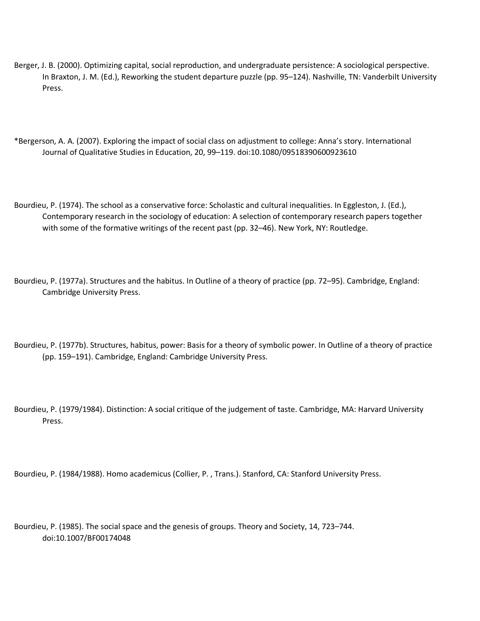- Berger, J. B. (2000). Optimizing capital, social reproduction, and undergraduate persistence: A sociological perspective. In Braxton, J. M. (Ed.), Reworking the student departure puzzle (pp. 95–124). Nashville, TN: Vanderbilt University Press.
- \*Bergerson, A. A. (2007). Exploring the impact of social class on adjustment to college: Anna's story. International Journal of Qualitative Studies in Education, 20, 99–119. doi:10.1080/09518390600923610
- Bourdieu, P. (1974). The school as a conservative force: Scholastic and cultural inequalities. In Eggleston, J. (Ed.), Contemporary research in the sociology of education: A selection of contemporary research papers together with some of the formative writings of the recent past (pp. 32–46). New York, NY: Routledge.
- Bourdieu, P. (1977a). Structures and the habitus. In Outline of a theory of practice (pp. 72–95). Cambridge, England: Cambridge University Press.
- Bourdieu, P. (1977b). Structures, habitus, power: Basis for a theory of symbolic power. In Outline of a theory of practice (pp. 159–191). Cambridge, England: Cambridge University Press.
- Bourdieu, P. (1979/1984). Distinction: A social critique of the judgement of taste. Cambridge, MA: Harvard University Press.

Bourdieu, P. (1984/1988). Homo academicus (Collier, P. , Trans.). Stanford, CA: Stanford University Press.

Bourdieu, P. (1985). The social space and the genesis of groups. Theory and Society, 14, 723–744. doi:10.1007/BF00174048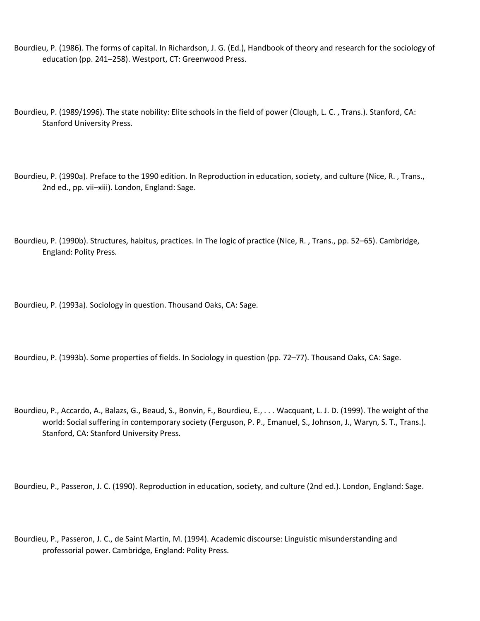- Bourdieu, P. (1986). The forms of capital. In Richardson, J. G. (Ed.), Handbook of theory and research for the sociology of education (pp. 241–258). Westport, CT: Greenwood Press.
- Bourdieu, P. (1989/1996). The state nobility: Elite schools in the field of power (Clough, L. C. , Trans.). Stanford, CA: Stanford University Press.
- Bourdieu, P. (1990a). Preface to the 1990 edition. In Reproduction in education, society, and culture (Nice, R. , Trans., 2nd ed., pp. vii–xiii). London, England: Sage.
- Bourdieu, P. (1990b). Structures, habitus, practices. In The logic of practice (Nice, R. , Trans., pp. 52–65). Cambridge, England: Polity Press.

Bourdieu, P. (1993a). Sociology in question. Thousand Oaks, CA: Sage.

Bourdieu, P. (1993b). Some properties of fields. In Sociology in question (pp. 72–77). Thousand Oaks, CA: Sage.

Bourdieu, P., Accardo, A., Balazs, G., Beaud, S., Bonvin, F., Bourdieu, E., . . . Wacquant, L. J. D. (1999). The weight of the world: Social suffering in contemporary society (Ferguson, P. P., Emanuel, S., Johnson, J., Waryn, S. T., Trans.). Stanford, CA: Stanford University Press.

Bourdieu, P., Passeron, J. C. (1990). Reproduction in education, society, and culture (2nd ed.). London, England: Sage.

Bourdieu, P., Passeron, J. C., de Saint Martin, M. (1994). Academic discourse: Linguistic misunderstanding and professorial power. Cambridge, England: Polity Press.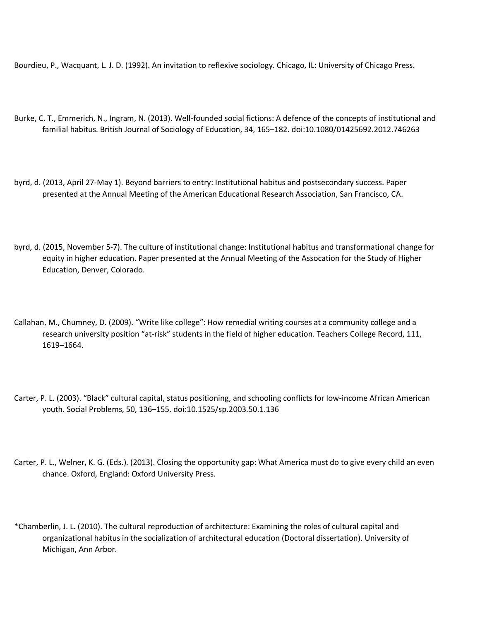Bourdieu, P., Wacquant, L. J. D. (1992). An invitation to reflexive sociology. Chicago, IL: University of Chicago Press.

- Burke, C. T., Emmerich, N., Ingram, N. (2013). Well-founded social fictions: A defence of the concepts of institutional and familial habitus. British Journal of Sociology of Education, 34, 165–182. doi:10.1080/01425692.2012.746263
- byrd, d. (2013, April 27-May 1). Beyond barriers to entry: Institutional habitus and postsecondary success. Paper presented at the Annual Meeting of the American Educational Research Association, San Francisco, CA.
- byrd, d. (2015, November 5-7). The culture of institutional change: Institutional habitus and transformational change for equity in higher education. Paper presented at the Annual Meeting of the Assocation for the Study of Higher Education, Denver, Colorado.
- Callahan, M., Chumney, D. (2009). "Write like college": How remedial writing courses at a community college and a research university position "at-risk" students in the field of higher education. Teachers College Record, 111, 1619–1664.
- Carter, P. L. (2003). "Black" cultural capital, status positioning, and schooling conflicts for low-income African American youth. Social Problems, 50, 136–155. doi:10.1525/sp.2003.50.1.136
- Carter, P. L., Welner, K. G. (Eds.). (2013). Closing the opportunity gap: What America must do to give every child an even chance. Oxford, England: Oxford University Press.
- \*Chamberlin, J. L. (2010). The cultural reproduction of architecture: Examining the roles of cultural capital and organizational habitus in the socialization of architectural education (Doctoral dissertation). University of Michigan, Ann Arbor.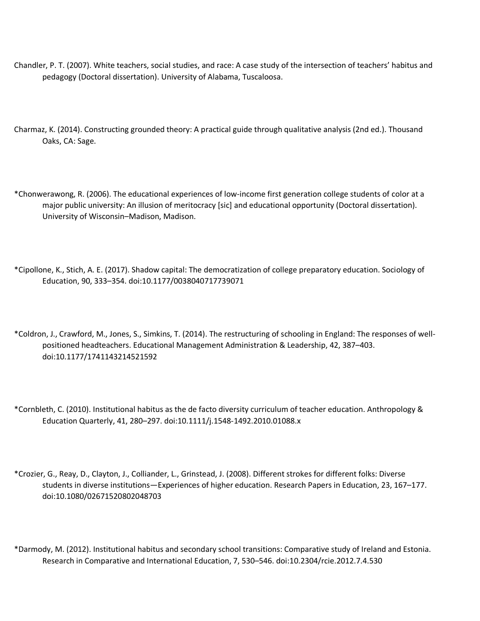- Chandler, P. T. (2007). White teachers, social studies, and race: A case study of the intersection of teachers' habitus and pedagogy (Doctoral dissertation). University of Alabama, Tuscaloosa.
- Charmaz, K. (2014). Constructing grounded theory: A practical guide through qualitative analysis (2nd ed.). Thousand Oaks, CA: Sage.
- \*Chonwerawong, R. (2006). The educational experiences of low-income first generation college students of color at a major public university: An illusion of meritocracy [sic] and educational opportunity (Doctoral dissertation). University of Wisconsin–Madison, Madison.
- \*Cipollone, K., Stich, A. E. (2017). Shadow capital: The democratization of college preparatory education. Sociology of Education, 90, 333–354. doi:10.1177/0038040717739071
- \*Coldron, J., Crawford, M., Jones, S., Simkins, T. (2014). The restructuring of schooling in England: The responses of wellpositioned headteachers. Educational Management Administration & Leadership, 42, 387–403. doi:10.1177/1741143214521592
- \*Cornbleth, C. (2010). Institutional habitus as the de facto diversity curriculum of teacher education. Anthropology & Education Quarterly, 41, 280–297. doi:10.1111/j.1548-1492.2010.01088.x
- \*Crozier, G., Reay, D., Clayton, J., Colliander, L., Grinstead, J. (2008). Different strokes for different folks: Diverse students in diverse institutions—Experiences of higher education. Research Papers in Education, 23, 167–177. doi:10.1080/02671520802048703
- \*Darmody, M. (2012). Institutional habitus and secondary school transitions: Comparative study of Ireland and Estonia. Research in Comparative and International Education, 7, 530–546. doi:10.2304/rcie.2012.7.4.530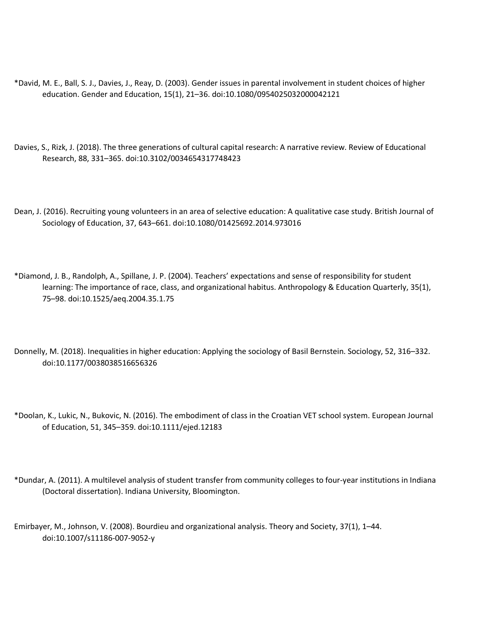- \*David, M. E., Ball, S. J., Davies, J., Reay, D. (2003). Gender issues in parental involvement in student choices of higher education. Gender and Education, 15(1), 21–36. doi:10.1080/0954025032000042121
- Davies, S., Rizk, J. (2018). The three generations of cultural capital research: A narrative review. Review of Educational Research, 88, 331–365. doi:10.3102/0034654317748423
- Dean, J. (2016). Recruiting young volunteers in an area of selective education: A qualitative case study. British Journal of Sociology of Education, 37, 643–661. doi:10.1080/01425692.2014.973016
- \*Diamond, J. B., Randolph, A., Spillane, J. P. (2004). Teachers' expectations and sense of responsibility for student learning: The importance of race, class, and organizational habitus. Anthropology & Education Quarterly, 35(1), 75–98. doi:10.1525/aeq.2004.35.1.75
- Donnelly, M. (2018). Inequalities in higher education: Applying the sociology of Basil Bernstein. Sociology, 52, 316–332. doi:10.1177/0038038516656326
- \*Doolan, K., Lukic, N., Bukovic, N. (2016). The embodiment of class in the Croatian VET school system. European Journal of Education, 51, 345–359. doi:10.1111/ejed.12183
- \*Dundar, A. (2011). A multilevel analysis of student transfer from community colleges to four-year institutions in Indiana (Doctoral dissertation). Indiana University, Bloomington.
- Emirbayer, M., Johnson, V. (2008). Bourdieu and organizational analysis. Theory and Society, 37(1), 1–44. doi:10.1007/s11186-007-9052-y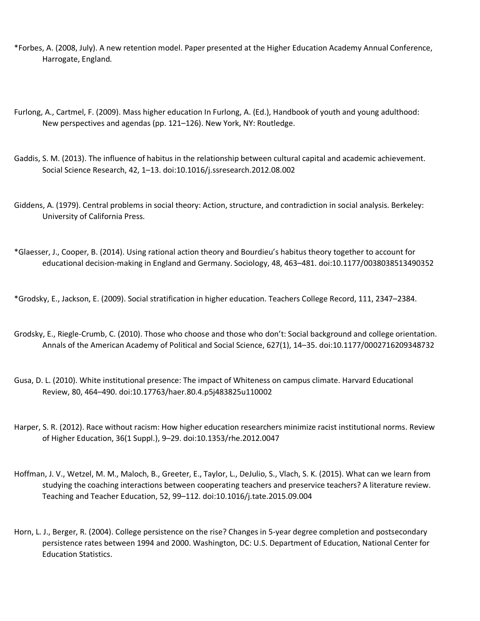- \*Forbes, A. (2008, July). A new retention model. Paper presented at the Higher Education Academy Annual Conference, Harrogate, England.
- Furlong, A., Cartmel, F. (2009). Mass higher education In Furlong, A. (Ed.), Handbook of youth and young adulthood: New perspectives and agendas (pp. 121–126). New York, NY: Routledge.
- Gaddis, S. M. (2013). The influence of habitus in the relationship between cultural capital and academic achievement. Social Science Research, 42, 1–13. doi:10.1016/j.ssresearch.2012.08.002
- Giddens, A. (1979). Central problems in social theory: Action, structure, and contradiction in social analysis. Berkeley: University of California Press.
- \*Glaesser, J., Cooper, B. (2014). Using rational action theory and Bourdieu's habitus theory together to account for educational decision-making in England and Germany. Sociology, 48, 463–481. doi:10.1177/0038038513490352

\*Grodsky, E., Jackson, E. (2009). Social stratification in higher education. Teachers College Record, 111, 2347–2384.

- Grodsky, E., Riegle-Crumb, C. (2010). Those who choose and those who don't: Social background and college orientation. Annals of the American Academy of Political and Social Science, 627(1), 14–35. doi:10.1177/0002716209348732
- Gusa, D. L. (2010). White institutional presence: The impact of Whiteness on campus climate. Harvard Educational Review, 80, 464–490. doi:10.17763/haer.80.4.p5j483825u110002
- Harper, S. R. (2012). Race without racism: How higher education researchers minimize racist institutional norms. Review of Higher Education, 36(1 Suppl.), 9–29. doi:10.1353/rhe.2012.0047
- Hoffman, J. V., Wetzel, M. M., Maloch, B., Greeter, E., Taylor, L., DeJulio, S., Vlach, S. K. (2015). What can we learn from studying the coaching interactions between cooperating teachers and preservice teachers? A literature review. Teaching and Teacher Education, 52, 99–112. doi:10.1016/j.tate.2015.09.004
- Horn, L. J., Berger, R. (2004). College persistence on the rise? Changes in 5-year degree completion and postsecondary persistence rates between 1994 and 2000. Washington, DC: U.S. Department of Education, National Center for Education Statistics.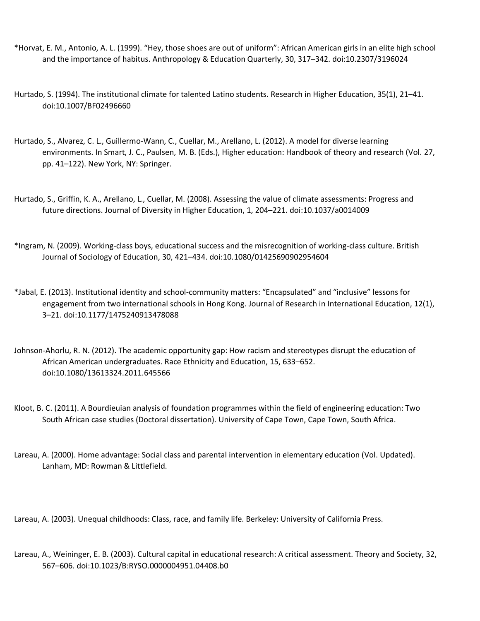- \*Horvat, E. M., Antonio, A. L. (1999). "Hey, those shoes are out of uniform": African American girls in an elite high school and the importance of habitus. Anthropology & Education Quarterly, 30, 317–342. doi:10.2307/3196024
- Hurtado, S. (1994). The institutional climate for talented Latino students. Research in Higher Education, 35(1), 21–41. doi:10.1007/BF02496660
- Hurtado, S., Alvarez, C. L., Guillermo-Wann, C., Cuellar, M., Arellano, L. (2012). A model for diverse learning environments. In Smart, J. C., Paulsen, M. B. (Eds.), Higher education: Handbook of theory and research (Vol. 27, pp. 41–122). New York, NY: Springer.
- Hurtado, S., Griffin, K. A., Arellano, L., Cuellar, M. (2008). Assessing the value of climate assessments: Progress and future directions. Journal of Diversity in Higher Education, 1, 204–221. doi:10.1037/a0014009
- \*Ingram, N. (2009). Working-class boys, educational success and the misrecognition of working-class culture. British Journal of Sociology of Education, 30, 421–434. doi:10.1080/01425690902954604
- \*Jabal, E. (2013). Institutional identity and school-community matters: "Encapsulated" and "inclusive" lessons for engagement from two international schools in Hong Kong. Journal of Research in International Education, 12(1), 3–21. doi:10.1177/1475240913478088
- Johnson-Ahorlu, R. N. (2012). The academic opportunity gap: How racism and stereotypes disrupt the education of African American undergraduates. Race Ethnicity and Education, 15, 633–652. doi:10.1080/13613324.2011.645566
- Kloot, B. C. (2011). A Bourdieuian analysis of foundation programmes within the field of engineering education: Two South African case studies (Doctoral dissertation). University of Cape Town, Cape Town, South Africa.
- Lareau, A. (2000). Home advantage: Social class and parental intervention in elementary education (Vol. Updated). Lanham, MD: Rowman & Littlefield.

Lareau, A. (2003). Unequal childhoods: Class, race, and family life. Berkeley: University of California Press.

Lareau, A., Weininger, E. B. (2003). Cultural capital in educational research: A critical assessment. Theory and Society, 32, 567–606. doi:10.1023/B:RYSO.0000004951.04408.b0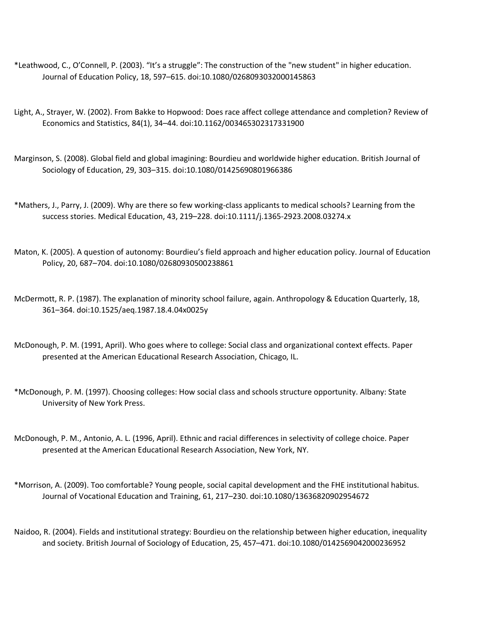- \*Leathwood, C., O'Connell, P. (2003). "It's a struggle": The construction of the "new student" in higher education. Journal of Education Policy, 18, 597–615. doi:10.1080/0268093032000145863
- Light, A., Strayer, W. (2002). From Bakke to Hopwood: Does race affect college attendance and completion? Review of Economics and Statistics, 84(1), 34–44. doi:10.1162/003465302317331900
- Marginson, S. (2008). Global field and global imagining: Bourdieu and worldwide higher education. British Journal of Sociology of Education, 29, 303–315. doi:10.1080/01425690801966386
- \*Mathers, J., Parry, J. (2009). Why are there so few working-class applicants to medical schools? Learning from the success stories. Medical Education, 43, 219–228. doi:10.1111/j.1365-2923.2008.03274.x
- Maton, K. (2005). A question of autonomy: Bourdieu's field approach and higher education policy. Journal of Education Policy, 20, 687–704. doi:10.1080/02680930500238861
- McDermott, R. P. (1987). The explanation of minority school failure, again. Anthropology & Education Quarterly, 18, 361–364. doi:10.1525/aeq.1987.18.4.04x0025y
- McDonough, P. M. (1991, April). Who goes where to college: Social class and organizational context effects. Paper presented at the American Educational Research Association, Chicago, IL.
- \*McDonough, P. M. (1997). Choosing colleges: How social class and schools structure opportunity. Albany: State University of New York Press.
- McDonough, P. M., Antonio, A. L. (1996, April). Ethnic and racial differences in selectivity of college choice. Paper presented at the American Educational Research Association, New York, NY.
- \*Morrison, A. (2009). Too comfortable? Young people, social capital development and the FHE institutional habitus. Journal of Vocational Education and Training, 61, 217–230. doi:10.1080/13636820902954672
- Naidoo, R. (2004). Fields and institutional strategy: Bourdieu on the relationship between higher education, inequality and society. British Journal of Sociology of Education, 25, 457–471. doi:10.1080/0142569042000236952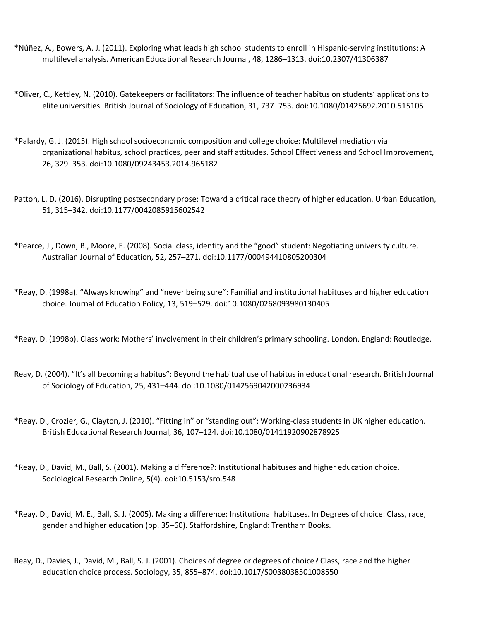- \*Núñez, A., Bowers, A. J. (2011). Exploring what leads high school students to enroll in Hispanic-serving institutions: A multilevel analysis. American Educational Research Journal, 48, 1286–1313. doi:10.2307/41306387
- \*Oliver, C., Kettley, N. (2010). Gatekeepers or facilitators: The influence of teacher habitus on students' applications to elite universities. British Journal of Sociology of Education, 31, 737–753. doi:10.1080/01425692.2010.515105
- \*Palardy, G. J. (2015). High school socioeconomic composition and college choice: Multilevel mediation via organizational habitus, school practices, peer and staff attitudes. School Effectiveness and School Improvement, 26, 329–353. doi:10.1080/09243453.2014.965182
- Patton, L. D. (2016). Disrupting postsecondary prose: Toward a critical race theory of higher education. Urban Education, 51, 315–342. doi:10.1177/0042085915602542
- \*Pearce, J., Down, B., Moore, E. (2008). Social class, identity and the "good" student: Negotiating university culture. Australian Journal of Education, 52, 257–271. doi:10.1177/000494410805200304
- \*Reay, D. (1998a). "Always knowing" and "never being sure": Familial and institutional habituses and higher education choice. Journal of Education Policy, 13, 519–529. doi:10.1080/0268093980130405
- \*Reay, D. (1998b). Class work: Mothers' involvement in their children's primary schooling. London, England: Routledge.
- Reay, D. (2004). "It's all becoming a habitus": Beyond the habitual use of habitus in educational research. British Journal of Sociology of Education, 25, 431–444. doi:10.1080/0142569042000236934
- \*Reay, D., Crozier, G., Clayton, J. (2010). "Fitting in" or "standing out": Working-class students in UK higher education. British Educational Research Journal, 36, 107–124. doi:10.1080/01411920902878925
- \*Reay, D., David, M., Ball, S. (2001). Making a difference?: Institutional habituses and higher education choice. Sociological Research Online, 5(4). doi:10.5153/sro.548
- \*Reay, D., David, M. E., Ball, S. J. (2005). Making a difference: Institutional habituses. In Degrees of choice: Class, race, gender and higher education (pp. 35–60). Staffordshire, England: Trentham Books.
- Reay, D., Davies, J., David, M., Ball, S. J. (2001). Choices of degree or degrees of choice? Class, race and the higher education choice process. Sociology, 35, 855–874. doi:10.1017/S0038038501008550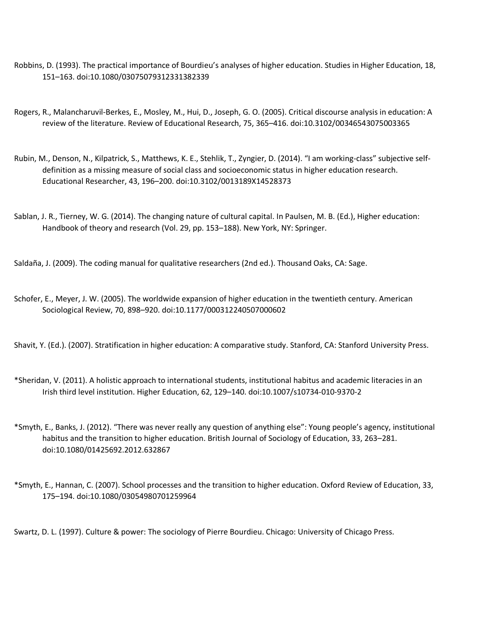- Robbins, D. (1993). The practical importance of Bourdieu's analyses of higher education. Studies in Higher Education, 18, 151–163. doi:10.1080/03075079312331382339
- Rogers, R., Malancharuvil-Berkes, E., Mosley, M., Hui, D., Joseph, G. O. (2005). Critical discourse analysis in education: A review of the literature. Review of Educational Research, 75, 365–416. doi:10.3102/00346543075003365
- Rubin, M., Denson, N., Kilpatrick, S., Matthews, K. E., Stehlik, T., Zyngier, D. (2014). "I am working-class" subjective selfdefinition as a missing measure of social class and socioeconomic status in higher education research. Educational Researcher, 43, 196–200. doi:10.3102/0013189X14528373
- Sablan, J. R., Tierney, W. G. (2014). The changing nature of cultural capital. In Paulsen, M. B. (Ed.), Higher education: Handbook of theory and research (Vol. 29, pp. 153–188). New York, NY: Springer.
- Saldaña, J. (2009). The coding manual for qualitative researchers (2nd ed.). Thousand Oaks, CA: Sage.
- Schofer, E., Meyer, J. W. (2005). The worldwide expansion of higher education in the twentieth century. American Sociological Review, 70, 898–920. doi:10.1177/000312240507000602

Shavit, Y. (Ed.). (2007). Stratification in higher education: A comparative study. Stanford, CA: Stanford University Press.

\*Sheridan, V. (2011). A holistic approach to international students, institutional habitus and academic literacies in an Irish third level institution. Higher Education, 62, 129–140. doi:10.1007/s10734-010-9370-2

- \*Smyth, E., Banks, J. (2012). "There was never really any question of anything else": Young people's agency, institutional habitus and the transition to higher education. British Journal of Sociology of Education, 33, 263–281. doi:10.1080/01425692.2012.632867
- \*Smyth, E., Hannan, C. (2007). School processes and the transition to higher education. Oxford Review of Education, 33, 175–194. doi:10.1080/03054980701259964

Swartz, D. L. (1997). Culture & power: The sociology of Pierre Bourdieu. Chicago: University of Chicago Press.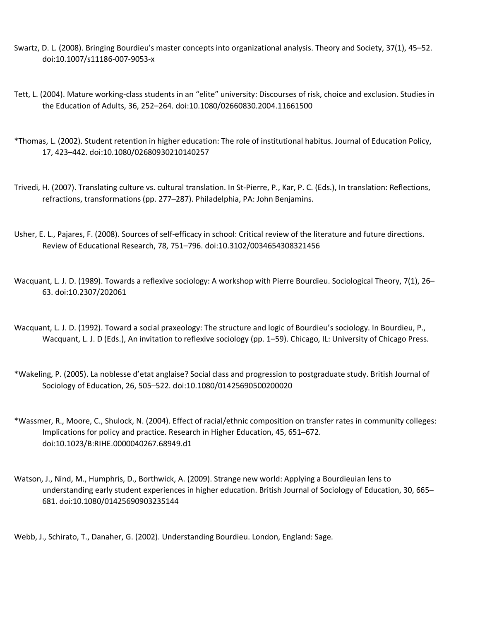- Swartz, D. L. (2008). Bringing Bourdieu's master concepts into organizational analysis. Theory and Society, 37(1), 45–52. doi:10.1007/s11186-007-9053-x
- Tett, L. (2004). Mature working-class students in an "elite" university: Discourses of risk, choice and exclusion. Studies in the Education of Adults, 36, 252–264. doi:10.1080/02660830.2004.11661500
- \*Thomas, L. (2002). Student retention in higher education: The role of institutional habitus. Journal of Education Policy, 17, 423–442. doi:10.1080/02680930210140257
- Trivedi, H. (2007). Translating culture vs. cultural translation. In St-Pierre, P., Kar, P. C. (Eds.), In translation: Reflections, refractions, transformations (pp. 277–287). Philadelphia, PA: John Benjamins.
- Usher, E. L., Pajares, F. (2008). Sources of self-efficacy in school: Critical review of the literature and future directions. Review of Educational Research, 78, 751–796. doi:10.3102/0034654308321456
- Wacquant, L. J. D. (1989). Towards a reflexive sociology: A workshop with Pierre Bourdieu. Sociological Theory, 7(1), 26– 63. doi:10.2307/202061
- Wacquant, L. J. D. (1992). Toward a social praxeology: The structure and logic of Bourdieu's sociology. In Bourdieu, P., Wacquant, L. J. D (Eds.), An invitation to reflexive sociology (pp. 1–59). Chicago, IL: University of Chicago Press.
- \*Wakeling, P. (2005). La noblesse d'etat anglaise? Social class and progression to postgraduate study. British Journal of Sociology of Education, 26, 505–522. doi:10.1080/01425690500200020
- \*Wassmer, R., Moore, C., Shulock, N. (2004). Effect of racial/ethnic composition on transfer rates in community colleges: Implications for policy and practice. Research in Higher Education, 45, 651–672. doi:10.1023/B:RIHE.0000040267.68949.d1
- Watson, J., Nind, M., Humphris, D., Borthwick, A. (2009). Strange new world: Applying a Bourdieuian lens to understanding early student experiences in higher education. British Journal of Sociology of Education, 30, 665– 681. doi:10.1080/01425690903235144

Webb, J., Schirato, T., Danaher, G. (2002). Understanding Bourdieu. London, England: Sage.